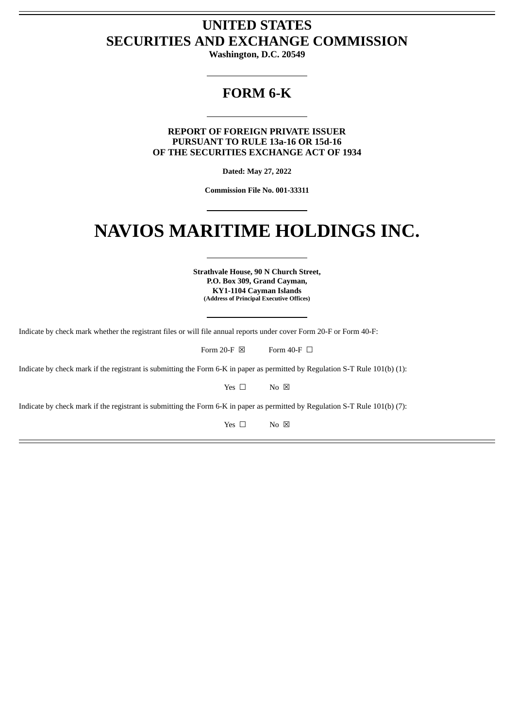# **UNITED STATES SECURITIES AND EXCHANGE COMMISSION**

**Washington, D.C. 20549**

# **FORM 6-K**

**REPORT OF FOREIGN PRIVATE ISSUER PURSUANT TO RULE 13a-16 OR 15d-16 OF THE SECURITIES EXCHANGE ACT OF 1934**

**Dated: May 27, 2022**

**Commission File No. 001-33311**

# **NAVIOS MARITIME HOLDINGS INC.**

**Strathvale House, 90 N Church Street, P.O. Box 309, Grand Cayman, KY1-1104 Cayman Islands (Address of Principal Executive Offices)**

Indicate by check mark whether the registrant files or will file annual reports under cover Form 20-F or Form 40-F:

Form 20-F  $\boxtimes$  Form 40-F  $\Box$ 

Indicate by check mark if the registrant is submitting the Form 6-K in paper as permitted by Regulation S-T Rule 101(b) (1):

Yes □ No ⊠

Indicate by check mark if the registrant is submitting the Form 6-K in paper as permitted by Regulation S-T Rule 101(b) (7):

Yes □ No ⊠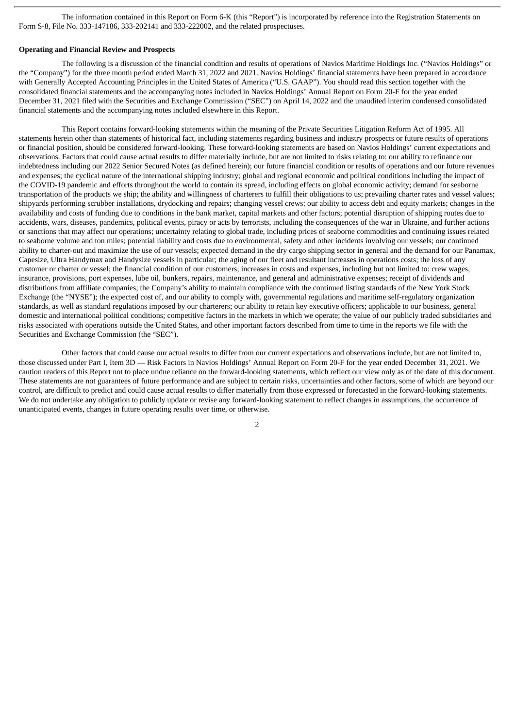The information contained in this Report on Form 6-K (this "Report") is incorporated by reference into the Registration Statements on Form S-8, File No. 333-147186, 333-202141 and 333-222002, and the related prospectuses.

## **Operating and Financial Review and Prospects**

The following is a discussion of the financial condition and results of operations of Navios Maritime Holdings Inc. ("Navios Holdings" or the "Company") for the three month period ended March 31, 2022 and 2021. Navios Holdings' financial statements have been prepared in accordance with Generally Accepted Accounting Principles in the United States of America ("U.S. GAAP"). You should read this section together with the consolidated financial statements and the accompanying notes included in Navios Holdings' Annual Report on Form 20-F for the year ended December 31, 2021 filed with the Securities and Exchange Commission ("SEC") on April 14, 2022 and the unaudited interim condensed consolidated financial statements and the accompanying notes included elsewhere in this Report.

This Report contains forward-looking statements within the meaning of the Private Securities Litigation Reform Act of 1995. All statements herein other than statements of historical fact, including statements regarding business and industry prospects or future results of operations or financial position, should be considered forward-looking. These forward-looking statements are based on Navios Holdings' current expectations and observations. Factors that could cause actual results to differ materially include, but are not limited to risks relating to: our ability to refinance our indebtedness including our 2022 Senior Secured Notes (as defined herein); our future financial condition or results of operations and our future revenues and expenses; the cyclical nature of the international shipping industry; global and regional economic and political conditions including the impact of the COVID-19 pandemic and efforts throughout the world to contain its spread, including effects on global economic activity; demand for seaborne transportation of the products we ship; the ability and willingness of charterers to fulfill their obligations to us; prevailing charter rates and vessel values; shipyards performing scrubber installations, drydocking and repairs; changing vessel crews; our ability to access debt and equity markets; changes in the availability and costs of funding due to conditions in the bank market, capital markets and other factors; potential disruption of shipping routes due to accidents, wars, diseases, pandemics, political events, piracy or acts by terrorists, including the consequences of the war in Ukraine, and further actions or sanctions that may affect our operations; uncertainty relating to global trade, including prices of seaborne commodities and continuing issues related to seaborne volume and ton miles; potential liability and costs due to environmental, safety and other incidents involving our vessels; our continued ability to charter-out and maximize the use of our vessels; expected demand in the dry cargo shipping sector in general and the demand for our Panamax, Capesize, Ultra Handymax and Handysize vessels in particular; the aging of our fleet and resultant increases in operations costs; the loss of any customer or charter or vessel; the financial condition of our customers; increases in costs and expenses, including but not limited to: crew wages, insurance, provisions, port expenses, lube oil, bunkers, repairs, maintenance, and general and administrative expenses; receipt of dividends and distributions from affiliate companies; the Company's ability to maintain compliance with the continued listing standards of the New York Stock Exchange (the "NYSE"); the expected cost of, and our ability to comply with, governmental regulations and maritime self-regulatory organization standards, as well as standard regulations imposed by our charterers; our ability to retain key executive officers; applicable to our business, general domestic and international political conditions; competitive factors in the markets in which we operate; the value of our publicly traded subsidiaries and risks associated with operations outside the United States, and other important factors described from time to time in the reports we file with the Securities and Exchange Commission (the "SEC").

Other factors that could cause our actual results to differ from our current expectations and observations include, but are not limited to, those discussed under Part I, Item 3D — Risk Factors in Navios Holdings' Annual Report on Form 20-F for the year ended December 31, 2021. We caution readers of this Report not to place undue reliance on the forward-looking statements, which reflect our view only as of the date of this document. These statements are not guarantees of future performance and are subject to certain risks, uncertainties and other factors, some of which are beyond our control, are difficult to predict and could cause actual results to differ materially from those expressed or forecasted in the forward-looking statements. We do not undertake any obligation to publicly update or revise any forward-looking statement to reflect changes in assumptions, the occurrence of unanticipated events, changes in future operating results over time, or otherwise.

 $\overline{2}$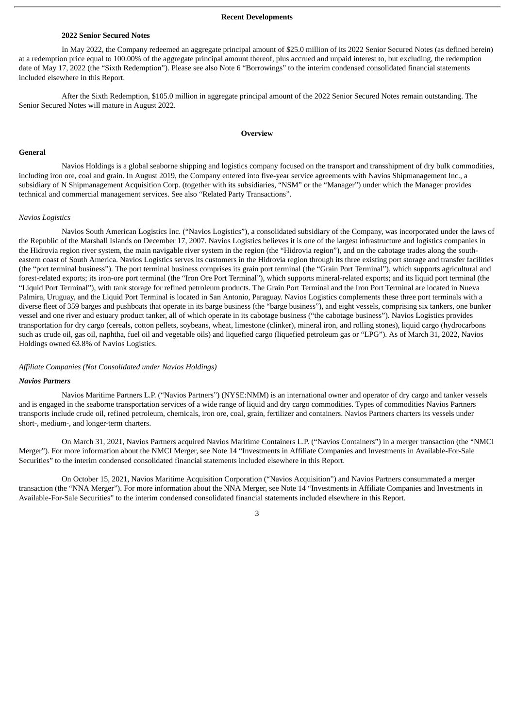#### **Recent Developments**

#### **2022 Senior Secured Notes**

In May 2022, the Company redeemed an aggregate principal amount of \$25.0 million of its 2022 Senior Secured Notes (as defined herein) at a redemption price equal to 100.00% of the aggregate principal amount thereof, plus accrued and unpaid interest to, but excluding, the redemption date of May 17, 2022 (the "Sixth Redemption"). Please see also Note 6 "Borrowings" to the interim condensed consolidated financial statements included elsewhere in this Report.

After the Sixth Redemption, \$105.0 million in aggregate principal amount of the 2022 Senior Secured Notes remain outstanding. The Senior Secured Notes will mature in August 2022.

#### **Overview**

#### **General**

Navios Holdings is a global seaborne shipping and logistics company focused on the transport and transshipment of dry bulk commodities, including iron ore, coal and grain. In August 2019, the Company entered into five-year service agreements with Navios Shipmanagement Inc., a subsidiary of N Shipmanagement Acquisition Corp. (together with its subsidiaries, "NSM" or the "Manager") under which the Manager provides technical and commercial management services. See also "Related Party Transactions".

#### *Navios Logistics*

Navios South American Logistics Inc. ("Navios Logistics"), a consolidated subsidiary of the Company, was incorporated under the laws of the Republic of the Marshall Islands on December 17, 2007. Navios Logistics believes it is one of the largest infrastructure and logistics companies in the Hidrovia region river system, the main navigable river system in the region (the "Hidrovia region"), and on the cabotage trades along the southeastern coast of South America. Navios Logistics serves its customers in the Hidrovia region through its three existing port storage and transfer facilities (the "port terminal business"). The port terminal business comprises its grain port terminal (the "Grain Port Terminal"), which supports agricultural and forest-related exports; its iron-ore port terminal (the "Iron Ore Port Terminal"), which supports mineral-related exports; and its liquid port terminal (the "Liquid Port Terminal"), with tank storage for refined petroleum products. The Grain Port Terminal and the Iron Port Terminal are located in Nueva Palmira, Uruguay, and the Liquid Port Terminal is located in San Antonio, Paraguay. Navios Logistics complements these three port terminals with a diverse fleet of 359 barges and pushboats that operate in its barge business (the "barge business"), and eight vessels, comprising six tankers, one bunker vessel and one river and estuary product tanker, all of which operate in its cabotage business ("the cabotage business"). Navios Logistics provides transportation for dry cargo (cereals, cotton pellets, soybeans, wheat, limestone (clinker), mineral iron, and rolling stones), liquid cargo (hydrocarbons such as crude oil, gas oil, naphtha, fuel oil and vegetable oils) and liquefied cargo (liquefied petroleum gas or "LPG"). As of March 31, 2022, Navios Holdings owned 63.8% of Navios Logistics.

#### *Affiliate Companies (Not Consolidated under Navios Holdings)*

#### *Navios Partners*

Navios Maritime Partners L.P. ("Navios Partners") (NYSE:NMM) is an international owner and operator of dry cargo and tanker vessels and is engaged in the seaborne transportation services of a wide range of liquid and dry cargo commodities. Types of commodities Navios Partners transports include crude oil, refined petroleum, chemicals, iron ore, coal, grain, fertilizer and containers. Navios Partners charters its vessels under short-, medium-, and longer-term charters.

On March 31, 2021, Navios Partners acquired Navios Maritime Containers L.P. ("Navios Containers") in a merger transaction (the "NMCI Merger"). For more information about the NMCI Merger, see Note 14 "Investments in Affiliate Companies and Investments in Available-For-Sale Securities" to the interim condensed consolidated financial statements included elsewhere in this Report.

On October 15, 2021, Navios Maritime Acquisition Corporation ("Navios Acquisition") and Navios Partners consummated a merger transaction (the "NNA Merger"). For more information about the NNA Merger, see Note 14 "Investments in Affiliate Companies and Investments in Available-For-Sale Securities" to the interim condensed consolidated financial statements included elsewhere in this Report.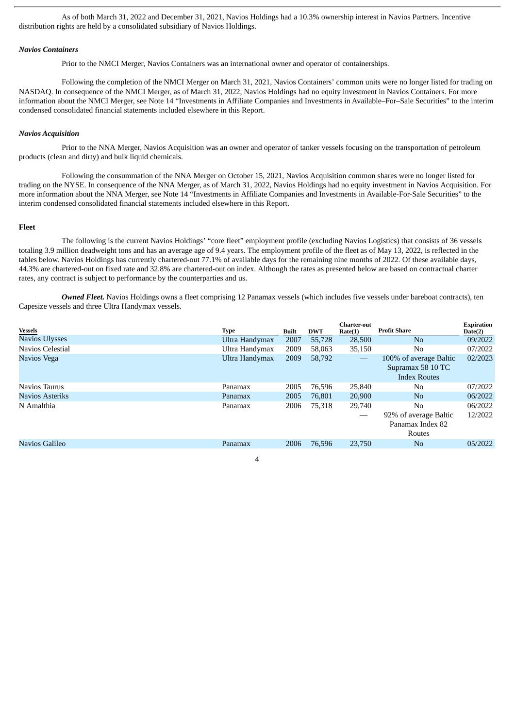As of both March 31, 2022 and December 31, 2021, Navios Holdings had a 10.3% ownership interest in Navios Partners. Incentive distribution rights are held by a consolidated subsidiary of Navios Holdings.

#### *Navios Containers*

Prior to the NMCI Merger, Navios Containers was an international owner and operator of containerships.

Following the completion of the NMCI Merger on March 31, 2021, Navios Containers' common units were no longer listed for trading on NASDAQ. In consequence of the NMCI Merger, as of March 31, 2022, Navios Holdings had no equity investment in Navios Containers. For more information about the NMCI Merger, see Note 14 "Investments in Affiliate Companies and Investments in Available–For–Sale Securities" to the interim condensed consolidated financial statements included elsewhere in this Report.

#### *Navios Acquisition*

Prior to the NNA Merger, Navios Acquisition was an owner and operator of tanker vessels focusing on the transportation of petroleum products (clean and dirty) and bulk liquid chemicals.

Following the consummation of the NNA Merger on October 15, 2021, Navios Acquisition common shares were no longer listed for trading on the NYSE. In consequence of the NNA Merger, as of March 31, 2022, Navios Holdings had no equity investment in Navios Acquisition. For more information about the NNA Merger, see Note 14 "Investments in Affiliate Companies and Investments in Available-For-Sale Securities" to the interim condensed consolidated financial statements included elsewhere in this Report.

## **Fleet**

The following is the current Navios Holdings' "core fleet" employment profile (excluding Navios Logistics) that consists of 36 vessels totaling 3.9 million deadweight tons and has an average age of 9.4 years. The employment profile of the fleet as of May 13, 2022, is reflected in the tables below. Navios Holdings has currently chartered-out 77.1% of available days for the remaining nine months of 2022. Of these available days, 44.3% are chartered-out on fixed rate and 32.8% are chartered-out on index. Although the rates as presented below are based on contractual charter rates, any contract is subject to performance by the counterparties and us.

*Owned Fleet.* Navios Holdings owns a fleet comprising 12 Panamax vessels (which includes five vessels under bareboat contracts), ten Capesize vessels and three Ultra Handymax vessels.

| <b>Vessels</b>   | Type           | Built | <b>DWT</b> | <b>Charter-out</b><br>Rate(1)  | <b>Profit Share</b>                                                | <b>Expiration</b><br>Date(2) |
|------------------|----------------|-------|------------|--------------------------------|--------------------------------------------------------------------|------------------------------|
| Navios Ulysses   | Ultra Handymax | 2007  | 55,728     | 28,500                         | N <sub>o</sub>                                                     | 09/2022                      |
| Navios Celestial | Ultra Handymax | 2009  | 58,063     | 35,150                         | No                                                                 | 07/2022                      |
| Navios Vega      | Ultra Handymax | 2009  | 58,792     | $\qquad \qquad \longleftarrow$ | 100% of average Baltic<br>Supramax 58 10 TC<br><b>Index Routes</b> | 02/2023                      |
| Navios Taurus    | Panamax        | 2005  | 76,596     | 25,840                         | No                                                                 | 07/2022                      |
| Navios Asteriks  | Panamax        | 2005  | 76.801     | 20,900                         | N <sub>0</sub>                                                     | 06/2022                      |
| N Amalthia       | Panamax        | 2006  | 75,318     | 29,740                         | No.<br>92% of average Baltic<br>Panamax Index 82<br>Routes         | 06/2022<br>12/2022           |
| Navios Galileo   | Panamax        | 2006  | 76,596     | 23,750                         | N <sub>0</sub>                                                     | 05/2022                      |
|                  |                |       |            |                                |                                                                    |                              |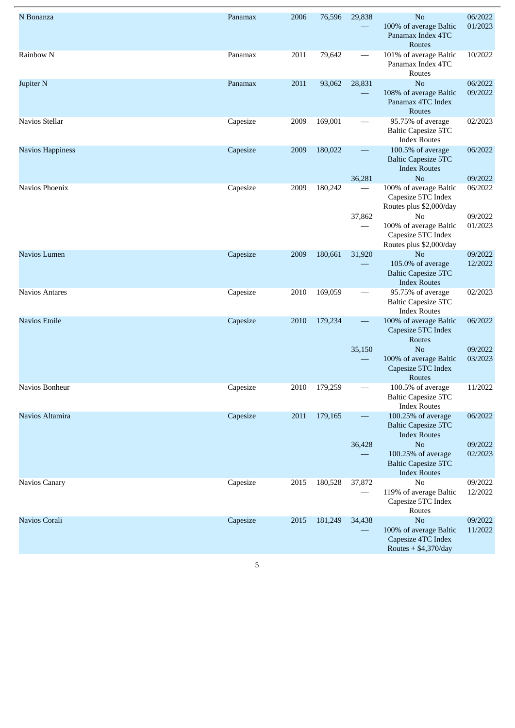| N Bonanza             | Panamax  | 2006 | 76,596  | 29,838                             | N <sub>o</sub><br>100% of average Baltic<br>Panamax Index 4TC<br>Routes                                                                                                    | 06/2022<br>01/2023                       |
|-----------------------|----------|------|---------|------------------------------------|----------------------------------------------------------------------------------------------------------------------------------------------------------------------------|------------------------------------------|
| Rainbow N             | Panamax  | 2011 | 79,642  |                                    | 101% of average Baltic<br>Panamax Index 4TC<br>Routes                                                                                                                      | 10/2022                                  |
| Jupiter <sub>N</sub>  | Panamax  | 2011 | 93,062  | 28,831                             | N <sub>o</sub><br>108% of average Baltic<br>Panamax 4TC Index<br>Routes                                                                                                    | 06/2022<br>09/2022                       |
| Navios Stellar        | Capesize | 2009 | 169,001 |                                    | 95.75% of average<br><b>Baltic Capesize 5TC</b><br><b>Index Routes</b>                                                                                                     | 02/2023                                  |
| Navios Happiness      | Capesize | 2009 | 180,022 |                                    | 100.5% of average<br><b>Baltic Capesize 5TC</b><br><b>Index Routes</b>                                                                                                     | 06/2022                                  |
| Navios Phoenix        | Capesize | 2009 | 180,242 | 36,281<br>37,862                   | N <sub>o</sub><br>100% of average Baltic<br>Capesize 5TC Index<br>Routes plus \$2,000/day<br>No<br>100% of average Baltic<br>Capesize 5TC Index<br>Routes plus \$2,000/day | 09/2022<br>06/2022<br>09/2022<br>01/2023 |
| Navios Lumen          | Capesize | 2009 | 180,661 | 31,920                             | N <sub>o</sub><br>105.0% of average<br><b>Baltic Capesize 5TC</b><br><b>Index Routes</b>                                                                                   | 09/2022<br>12/2022                       |
| <b>Navios Antares</b> | Capesize | 2010 | 169,059 |                                    | 95.75% of average<br><b>Baltic Capesize 5TC</b><br><b>Index Routes</b>                                                                                                     | 02/2023                                  |
| <b>Navios Etoile</b>  | Capesize | 2010 | 179,234 | $\overline{\phantom{0}}$<br>35,150 | 100% of average Baltic<br>Capesize 5TC Index<br>Routes<br>N <sub>o</sub><br>100% of average Baltic<br>Capesize 5TC Index<br>Routes                                         | 06/2022<br>09/2022<br>03/2023            |
| Navios Bonheur        | Capesize | 2010 | 179,259 |                                    | 100.5% of average<br><b>Baltic Capesize 5TC</b><br><b>Index Routes</b>                                                                                                     | 11/2022                                  |
| Navios Altamira       | Capesize | 2011 | 179,165 | $\overline{\phantom{0}}$<br>36,428 | 100.25% of average<br><b>Baltic Capesize 5TC</b><br><b>Index Routes</b><br>No<br>100.25% of average<br><b>Baltic Capesize 5TC</b><br><b>Index Routes</b>                   | 06/2022<br>09/2022<br>02/2023            |
| Navios Canary         | Capesize | 2015 | 180,528 | 37,872                             | N <sub>o</sub><br>119% of average Baltic<br>Capesize 5TC Index<br>Routes                                                                                                   | 09/2022<br>12/2022                       |
| Navios Corali         | Capesize | 2015 | 181,249 | 34,438                             | No<br>100% of average Baltic<br>Capesize 4TC Index<br>Routes $+$ \$4,370/day                                                                                               | 09/2022<br>11/2022                       |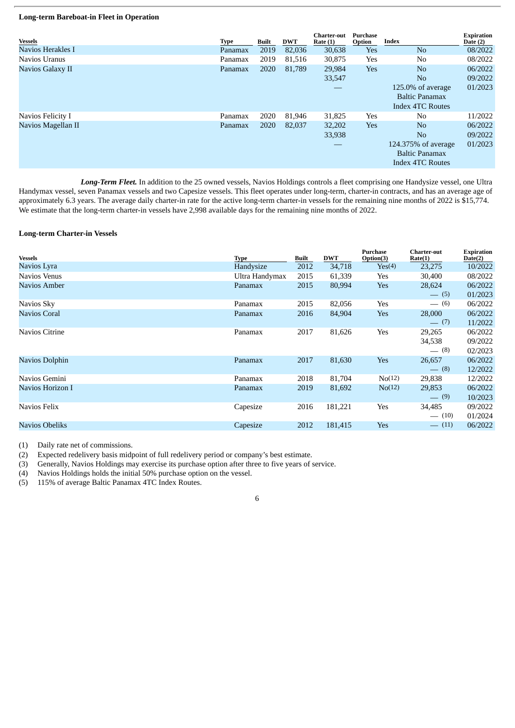### **Long-term Bareboat-in Fleet in Operation**

| <b>Vessels</b>     | Type    | Built | <b>DWT</b> | Charter-out<br>Rate $(1)$ | Purchase<br>Option | <b>Index</b>                                                            | <b>Expiration</b><br>Date $(2)$ |
|--------------------|---------|-------|------------|---------------------------|--------------------|-------------------------------------------------------------------------|---------------------------------|
| Navios Herakles I  | Panamax | 2019  | 82,036     | 30,638                    | <b>Yes</b>         | N <sub>o</sub>                                                          | 08/2022                         |
| Navios Uranus      | Panamax | 2019  | 81.516     | 30,875                    | Yes                | No.                                                                     | 08/2022                         |
| Navios Galaxy II   | Panamax | 2020  | 81,789     | 29,984                    | <b>Yes</b>         | No                                                                      | 06/2022                         |
|                    |         |       |            | 33,547                    |                    | N <sub>o</sub>                                                          | 09/2022                         |
|                    |         |       |            |                           |                    | $125.0\%$ of average                                                    | 01/2023                         |
|                    |         |       |            |                           |                    | <b>Baltic Panamax</b>                                                   |                                 |
|                    |         |       |            |                           |                    | <b>Index 4TC Routes</b>                                                 |                                 |
| Navios Felicity I  | Panamax | 2020  | 81,946     | 31,825                    | <b>Yes</b>         | No.                                                                     | 11/2022                         |
| Navios Magellan II | Panamax | 2020  | 82,037     | 32,202                    | <b>Yes</b>         | No                                                                      | 06/2022                         |
|                    |         |       |            | 33,938                    |                    | N <sub>o</sub>                                                          | 09/2022                         |
|                    |         |       |            |                           |                    | 124.375% of average<br><b>Baltic Panamax</b><br><b>Index 4TC Routes</b> | 01/2023                         |

*Long-Term Fleet.* In addition to the 25 owned vessels, Navios Holdings controls a fleet comprising one Handysize vessel, one Ultra Handymax vessel, seven Panamax vessels and two Capesize vessels. This fleet operates under long-term, charter-in contracts, and has an average age of approximately 6.3 years. The average daily charter-in rate for the active long-term charter-in vessels for the remaining nine months of 2022 is \$15,774. We estimate that the long-term charter-in vessels have 2,998 available days for the remaining nine months of 2022.

# **Long-term Charter-in Vessels**

| <b>Vessels</b>      | <b>Type</b>    | Built | <b>DWT</b> | <b>Purchase</b><br>Option(3) | <b>Charter-out</b><br>Rate(1) | <b>Expiration</b><br>Date(2) |
|---------------------|----------------|-------|------------|------------------------------|-------------------------------|------------------------------|
| Navios Lyra         | Handysize      | 2012  | 34,718     | Yes(4)                       | 23,275                        | 10/2022                      |
| Navios Venus        | Ultra Handymax | 2015  | 61,339     | Yes                          | 30,400                        | 08/2022                      |
| Navios Amber        | Panamax        | 2015  | 80,994     | Yes                          | 28,624                        | 06/2022                      |
|                     |                |       |            |                              | $-$ (5)                       | 01/2023                      |
| Navios Sky          | Panamax        | 2015  | 82,056     | Yes                          | $- (6)$                       | 06/2022                      |
| <b>Navios Coral</b> | Panamax        | 2016  | 84,904     | Yes                          | 28,000                        | 06/2022                      |
|                     |                |       |            |                              | $- (7)$                       | 11/2022                      |
| Navios Citrine      | Panamax        | 2017  | 81,626     | Yes                          | 29,265                        | 06/2022                      |
|                     |                |       |            |                              | 34,538                        | 09/2022                      |
|                     |                |       |            |                              | $- (8)$                       | 02/2023                      |
| Navios Dolphin      | Panamax        | 2017  | 81,630     | Yes                          | 26,657                        | 06/2022                      |
|                     |                |       |            |                              | $- (8)$                       | 12/2022                      |
| Navios Gemini       | Panamax        | 2018  | 81,704     | N <sub>0</sub> (12)          | 29,838                        | 12/2022                      |
| Navios Horizon I    | Panamax        | 2019  | 81,692     | No(12)                       | 29,853                        | 06/2022                      |
|                     |                |       |            |                              | $- (9)$                       | 10/2023                      |
| Navios Felix        | Capesize       | 2016  | 181,221    | Yes                          | 34,485                        | 09/2022                      |
|                     |                |       |            |                              | $- (10)$                      | 01/2024                      |
| Navios Obeliks      | Capesize       | 2012  | 181,415    | Yes                          | $-$ (11)                      | 06/2022                      |
|                     |                |       |            |                              |                               |                              |

(1) Daily rate net of commissions.

(2) Expected redelivery basis midpoint of full redelivery period or company's best estimate.

(3) Generally, Navios Holdings may exercise its purchase option after three to five years of service.

(4) Navios Holdings holds the initial 50% purchase option on the vessel.

(5) 115% of average Baltic Panamax 4TC Index Routes.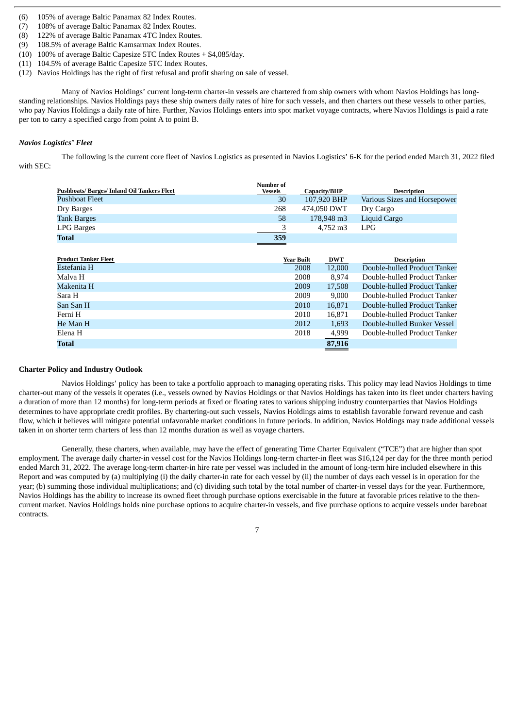- (6) 105% of average Baltic Panamax 82 Index Routes.
- (7) 108% of average Baltic Panamax 82 Index Routes.
- (8) 122% of average Baltic Panamax 4TC Index Routes.
- (9) 108.5% of average Baltic Kamsarmax Index Routes.
- (10) 100% of average Baltic Capesize 5TC Index Routes + \$4,085/day.
- (11) 104.5% of average Baltic Capesize 5TC Index Routes.
- (12) Navios Holdings has the right of first refusal and profit sharing on sale of vessel.

Many of Navios Holdings' current long-term charter-in vessels are chartered from ship owners with whom Navios Holdings has longstanding relationships. Navios Holdings pays these ship owners daily rates of hire for such vessels, and then charters out these vessels to other parties, who pay Navios Holdings a daily rate of hire. Further, Navios Holdings enters into spot market voyage contracts, where Navios Holdings is paid a rate per ton to carry a specified cargo from point A to point B.

# *Navios Logistics' Fleet*

The following is the current core fleet of Navios Logistics as presented in Navios Logistics' 6-K for the period ended March 31, 2022 filed with SEC:

| <b>Pushboats/Barges/Inland Oil Tankers Fleet</b> | <b>Number of</b> |            |              |                              |
|--------------------------------------------------|------------------|------------|--------------|------------------------------|
|                                                  | Vessels          |            | Capacity/BHP | <b>Description</b>           |
| <b>Pushboat Fleet</b>                            | 30               |            | 107,920 BHP  | Various Sizes and Horsepower |
| Dry Barges                                       | 268              |            | 474.050 DWT  | Dry Cargo                    |
| <b>Tank Barges</b>                               | 58               |            | 178,948 m3   | Liquid Cargo                 |
| <b>LPG Barges</b>                                | 3                |            | 4,752 m3     | <b>LPG</b>                   |
| Total                                            | 359              |            |              |                              |
|                                                  |                  |            |              |                              |
| <b>Product Tanker Fleet</b>                      |                  | Year Built | <b>DWT</b>   | <b>Description</b>           |
| Estefania H                                      |                  | 2008       | 12,000       | Double-hulled Product Tanker |
| Malya H                                          |                  | 2008       | 8.974        | Double-hulled Product Tanker |
| Makenita H                                       |                  | 2009       | 17,508       | Double-hulled Product Tanker |
| Sara H                                           |                  | 2009       | 9,000        | Double-hulled Product Tanker |
| San San H                                        |                  | 2010       | 16,871       | Double-hulled Product Tanker |
| Ferni H                                          |                  | 2010       | 16,871       | Double-hulled Product Tanker |
| He Man H                                         |                  | 2012       | 1,693        | Double-hulled Bunker Vessel  |
| Elena H                                          |                  | 2018       | 4,999        | Double-hulled Product Tanker |
| Total                                            |                  |            | 87,916       |                              |

# **Charter Policy and Industry Outlook**

Navios Holdings' policy has been to take a portfolio approach to managing operating risks. This policy may lead Navios Holdings to time charter-out many of the vessels it operates (i.e., vessels owned by Navios Holdings or that Navios Holdings has taken into its fleet under charters having a duration of more than 12 months) for long-term periods at fixed or floating rates to various shipping industry counterparties that Navios Holdings determines to have appropriate credit profiles. By chartering-out such vessels, Navios Holdings aims to establish favorable forward revenue and cash flow, which it believes will mitigate potential unfavorable market conditions in future periods. In addition, Navios Holdings may trade additional vessels taken in on shorter term charters of less than 12 months duration as well as voyage charters.

Generally, these charters, when available, may have the effect of generating Time Charter Equivalent ("TCE") that are higher than spot employment. The average daily charter-in vessel cost for the Navios Holdings long-term charter-in fleet was \$16,124 per day for the three month period ended March 31, 2022. The average long-term charter-in hire rate per vessel was included in the amount of long-term hire included elsewhere in this Report and was computed by (a) multiplying (i) the daily charter-in rate for each vessel by (ii) the number of days each vessel is in operation for the year; (b) summing those individual multiplications; and (c) dividing such total by the total number of charter-in vessel days for the year. Furthermore, Navios Holdings has the ability to increase its owned fleet through purchase options exercisable in the future at favorable prices relative to the thencurrent market. Navios Holdings holds nine purchase options to acquire charter-in vessels, and five purchase options to acquire vessels under bareboat contracts.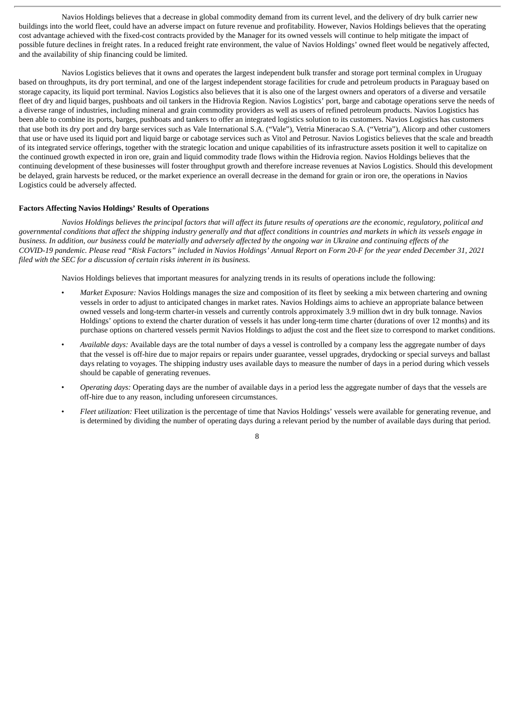Navios Holdings believes that a decrease in global commodity demand from its current level, and the delivery of dry bulk carrier new buildings into the world fleet, could have an adverse impact on future revenue and profitability. However, Navios Holdings believes that the operating cost advantage achieved with the fixed-cost contracts provided by the Manager for its owned vessels will continue to help mitigate the impact of possible future declines in freight rates. In a reduced freight rate environment, the value of Navios Holdings' owned fleet would be negatively affected, and the availability of ship financing could be limited.

Navios Logistics believes that it owns and operates the largest independent bulk transfer and storage port terminal complex in Uruguay based on throughputs, its dry port terminal, and one of the largest independent storage facilities for crude and petroleum products in Paraguay based on storage capacity, its liquid port terminal. Navios Logistics also believes that it is also one of the largest owners and operators of a diverse and versatile fleet of dry and liquid barges, pushboats and oil tankers in the Hidrovia Region. Navios Logistics' port, barge and cabotage operations serve the needs of a diverse range of industries, including mineral and grain commodity providers as well as users of refined petroleum products. Navios Logistics has been able to combine its ports, barges, pushboats and tankers to offer an integrated logistics solution to its customers. Navios Logistics has customers that use both its dry port and dry barge services such as Vale International S.A. ("Vale"), Vetria Mineracao S.A. ("Vetria"), Alicorp and other customers that use or have used its liquid port and liquid barge or cabotage services such as Vitol and Petrosur. Navios Logistics believes that the scale and breadth of its integrated service offerings, together with the strategic location and unique capabilities of its infrastructure assets position it well to capitalize on the continued growth expected in iron ore, grain and liquid commodity trade flows within the Hidrovia region. Navios Holdings believes that the continuing development of these businesses will foster throughput growth and therefore increase revenues at Navios Logistics. Should this development be delayed, grain harvests be reduced, or the market experience an overall decrease in the demand for grain or iron ore, the operations in Navios Logistics could be adversely affected.

#### **Factors Affecting Navios Holdings' Results of Operations**

Navios Holdings believes the principal factors that will affect its future results of operations are the economic, regulatory, political and governmental conditions that affect the shipping industry generally and that affect conditions in countries and markets in which its vessels enaage in business. In addition, our business could be materially and adversely affected by the ongoing war in Ukraine and continuing effects of the COVID-19 pandemic. Please read "Risk Factors" included in Navios Holdings' Annual Report on Form 20-F for the year ended December 31, 2021 *filed with the SEC for a discussion of certain risks inherent in its business.*

Navios Holdings believes that important measures for analyzing trends in its results of operations include the following:

- *Market Exposure:* Navios Holdings manages the size and composition of its fleet by seeking a mix between chartering and owning vessels in order to adjust to anticipated changes in market rates. Navios Holdings aims to achieve an appropriate balance between owned vessels and long-term charter-in vessels and currently controls approximately 3.9 million dwt in dry bulk tonnage. Navios Holdings' options to extend the charter duration of vessels it has under long-term time charter (durations of over 12 months) and its purchase options on chartered vessels permit Navios Holdings to adjust the cost and the fleet size to correspond to market conditions.
- *Available days:* Available days are the total number of days a vessel is controlled by a company less the aggregate number of days that the vessel is off-hire due to major repairs or repairs under guarantee, vessel upgrades, drydocking or special surveys and ballast days relating to voyages. The shipping industry uses available days to measure the number of days in a period during which vessels should be capable of generating revenues.
- *Operating days:* Operating days are the number of available days in a period less the aggregate number of days that the vessels are off-hire due to any reason, including unforeseen circumstances.
- *Fleet utilization:* Fleet utilization is the percentage of time that Navios Holdings' vessels were available for generating revenue, and is determined by dividing the number of operating days during a relevant period by the number of available days during that period.

 $\mathbf{Q}$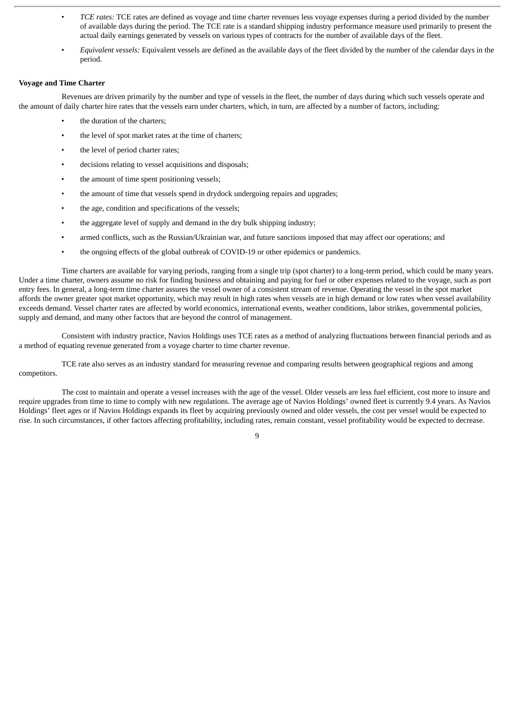- *TCE rates:* TCE rates are defined as voyage and time charter revenues less voyage expenses during a period divided by the number of available days during the period. The TCE rate is a standard shipping industry performance measure used primarily to present the actual daily earnings generated by vessels on various types of contracts for the number of available days of the fleet.
- *Equivalent vessels:* Equivalent vessels are defined as the available days of the fleet divided by the number of the calendar days in the period.

# **Voyage and Time Charter**

Revenues are driven primarily by the number and type of vessels in the fleet, the number of days during which such vessels operate and the amount of daily charter hire rates that the vessels earn under charters, which, in turn, are affected by a number of factors, including:

- the duration of the charters:
- the level of spot market rates at the time of charters;
- the level of period charter rates:
- decisions relating to vessel acquisitions and disposals;
- the amount of time spent positioning vessels;
- the amount of time that vessels spend in drydock undergoing repairs and upgrades;
- the age, condition and specifications of the vessels;
- the aggregate level of supply and demand in the dry bulk shipping industry;
- armed conflicts, such as the Russian/Ukrainian war, and future sanctions imposed that may affect our operations; and
- the ongoing effects of the global outbreak of COVID-19 or other epidemics or pandemics.

Time charters are available for varying periods, ranging from a single trip (spot charter) to a long-term period, which could be many years. Under a time charter, owners assume no risk for finding business and obtaining and paying for fuel or other expenses related to the voyage, such as port entry fees. In general, a long-term time charter assures the vessel owner of a consistent stream of revenue. Operating the vessel in the spot market affords the owner greater spot market opportunity, which may result in high rates when vessels are in high demand or low rates when vessel availability exceeds demand. Vessel charter rates are affected by world economics, international events, weather conditions, labor strikes, governmental policies, supply and demand, and many other factors that are beyond the control of management.

Consistent with industry practice, Navios Holdings uses TCE rates as a method of analyzing fluctuations between financial periods and as a method of equating revenue generated from a voyage charter to time charter revenue.

TCE rate also serves as an industry standard for measuring revenue and comparing results between geographical regions and among competitors.

The cost to maintain and operate a vessel increases with the age of the vessel. Older vessels are less fuel efficient, cost more to insure and require upgrades from time to time to comply with new regulations. The average age of Navios Holdings' owned fleet is currently 9.4 years. As Navios Holdings' fleet ages or if Navios Holdings expands its fleet by acquiring previously owned and older vessels, the cost per vessel would be expected to rise. In such circumstances, if other factors affecting profitability, including rates, remain constant, vessel profitability would be expected to decrease.

 $\overline{q}$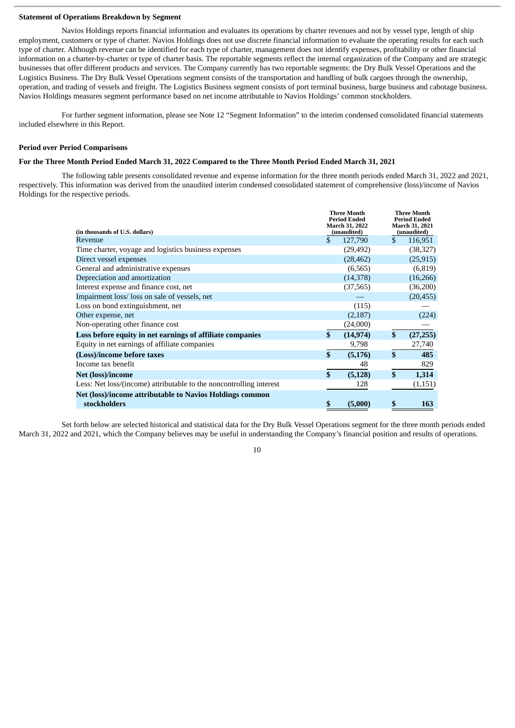# **Statement of Operations Breakdown by Segment**

Navios Holdings reports financial information and evaluates its operations by charter revenues and not by vessel type, length of ship employment, customers or type of charter. Navios Holdings does not use discrete financial information to evaluate the operating results for each such type of charter. Although revenue can be identified for each type of charter, management does not identify expenses, profitability or other financial information on a charter-by-charter or type of charter basis. The reportable segments reflect the internal organization of the Company and are strategic businesses that offer different products and services. The Company currently has two reportable segments: the Dry Bulk Vessel Operations and the Logistics Business. The Dry Bulk Vessel Operations segment consists of the transportation and handling of bulk cargoes through the ownership, operation, and trading of vessels and freight. The Logistics Business segment consists of port terminal business, barge business and cabotage business. Navios Holdings measures segment performance based on net income attributable to Navios Holdings' common stockholders.

For further segment information, please see Note 12 "Segment Information" to the interim condensed consolidated financial statements included elsewhere in this Report.

#### **Period over Period Comparisons**

# For the Three Month Period Ended March 31, 2022 Compared to the Three Month Period Ended March 31, 2021

The following table presents consolidated revenue and expense information for the three month periods ended March 31, 2022 and 2021, respectively. This information was derived from the unaudited interim condensed consolidated statement of comprehensive (loss)/income of Navios Holdings for the respective periods.

| (in thousands of U.S. dollars)                                      |              | March 31, 2022<br>(unaudited) | <b>March 31, 2021</b><br>(unaudited) |
|---------------------------------------------------------------------|--------------|-------------------------------|--------------------------------------|
| Revenue                                                             | \$           | 127,790                       | \$<br>116,951                        |
| Time charter, voyage and logistics business expenses                |              | (29, 492)                     | (38, 327)                            |
| Direct vessel expenses                                              |              | (28, 462)                     | (25, 915)                            |
| General and administrative expenses                                 |              | (6, 565)                      | (6, 819)                             |
| Depreciation and amortization                                       |              | (14, 378)                     | (16, 266)                            |
| Interest expense and finance cost, net                              |              | (37, 565)                     | (36,200)                             |
| Impairment loss/loss on sale of vessels, net                        |              |                               | (20, 455)                            |
| Loss on bond extinguishment, net                                    |              | (115)                         |                                      |
| Other expense, net                                                  |              | (2, 187)                      | (224)                                |
| Non-operating other finance cost                                    |              | (24,000)                      |                                      |
| Loss before equity in net earnings of affiliate companies           | \$           | (14, 974)                     | \$<br>(27, 255)                      |
| Equity in net earnings of affiliate companies                       |              | 9,798                         | 27,740                               |
| (Loss)/income before taxes                                          | \$           | (5, 176)                      | \$<br>485                            |
| Income tax benefit                                                  |              | 48                            | 829                                  |
| <b>Net (loss)/income</b>                                            | $\mathbf{s}$ | (5, 128)                      | \$<br>1,314                          |
| Less: Net loss/(income) attributable to the noncontrolling interest |              | 128                           | (1,151)                              |
| Net (loss)/income attributable to Navios Holdings common            |              |                               |                                      |
| stockholders                                                        | \$           | (5,000)                       | \$<br>163                            |

Set forth below are selected historical and statistical data for the Dry Bulk Vessel Operations segment for the three month periods ended March 31, 2022 and 2021, which the Company believes may be useful in understanding the Company's financial position and results of operations.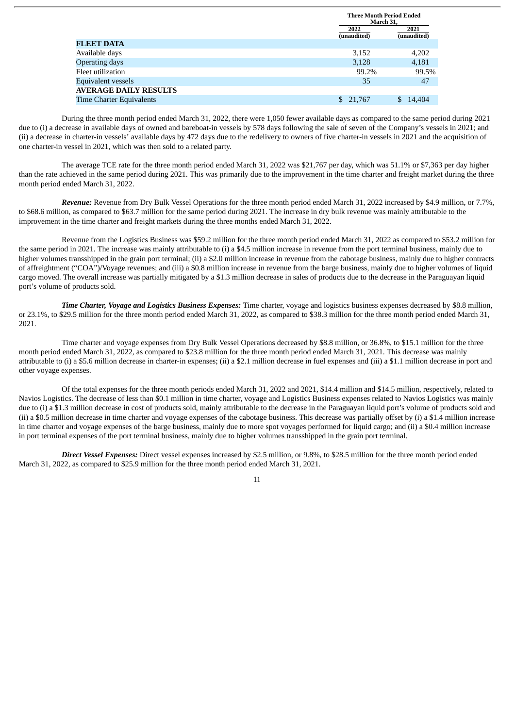|                                 | <b>Three Month Period Ended</b><br>March 31, |                     |
|---------------------------------|----------------------------------------------|---------------------|
|                                 | 2022<br>(unaudited)                          | 2021<br>(unaudited) |
| <b>FLEET DATA</b>               |                                              |                     |
| Available days                  | 3,152                                        | 4,202               |
| Operating days                  | 3,128                                        | 4,181               |
| Fleet utilization               | 99.2%                                        | 99.5%               |
| Equivalent vessels              | 35                                           | 47                  |
| <b>AVERAGE DAILY RESULTS</b>    |                                              |                     |
| <b>Time Charter Equivalents</b> | 21,767<br>\$.                                | 14,404              |

During the three month period ended March 31, 2022, there were 1,050 fewer available days as compared to the same period during 2021 due to (i) a decrease in available days of owned and bareboat-in vessels by 578 days following the sale of seven of the Company's vessels in 2021; and (ii) a decrease in charter-in vessels' available days by 472 days due to the redelivery to owners of five charter-in vessels in 2021 and the acquisition of one charter-in vessel in 2021, which was then sold to a related party.

The average TCE rate for the three month period ended March 31, 2022 was \$21,767 per day, which was 51.1% or \$7,363 per day higher than the rate achieved in the same period during 2021. This was primarily due to the improvement in the time charter and freight market during the three month period ended March 31, 2022.

*Revenue:* Revenue from Dry Bulk Vessel Operations for the three month period ended March 31, 2022 increased by \$4.9 million, or 7.7%, to \$68.6 million, as compared to \$63.7 million for the same period during 2021. The increase in dry bulk revenue was mainly attributable to the improvement in the time charter and freight markets during the three months ended March 31, 2022.

Revenue from the Logistics Business was \$59.2 million for the three month period ended March 31, 2022 as compared to \$53.2 million for the same period in 2021. The increase was mainly attributable to (i) a \$4.5 million increase in revenue from the port terminal business, mainly due to higher volumes transshipped in the grain port terminal; (ii) a \$2.0 million increase in revenue from the cabotage business, mainly due to higher contracts of affreightment ("COA")/Voyage revenues; and (iii) a \$0.8 million increase in revenue from the barge business, mainly due to higher volumes of liquid cargo moved. The overall increase was partially mitigated by a \$1.3 million decrease in sales of products due to the decrease in the Paraguayan liquid port's volume of products sold.

*Time Charter, Voyage and Logistics Business Expenses:* Time charter, voyage and logistics business expenses decreased by \$8.8 million, or 23.1%, to \$29.5 million for the three month period ended March 31, 2022, as compared to \$38.3 million for the three month period ended March 31, 2021.

Time charter and voyage expenses from Dry Bulk Vessel Operations decreased by \$8.8 million, or 36.8%, to \$15.1 million for the three month period ended March 31, 2022, as compared to \$23.8 million for the three month period ended March 31, 2021. This decrease was mainly attributable to (i) a \$5.6 million decrease in charter-in expenses; (ii) a \$2.1 million decrease in fuel expenses and (iii) a \$1.1 million decrease in port and other voyage expenses.

Of the total expenses for the three month periods ended March 31, 2022 and 2021, \$14.4 million and \$14.5 million, respectively, related to Navios Logistics. The decrease of less than \$0.1 million in time charter, voyage and Logistics Business expenses related to Navios Logistics was mainly due to (i) a \$1.3 million decrease in cost of products sold, mainly attributable to the decrease in the Paraguayan liquid port's volume of products sold and (ii) a \$0.5 million decrease in time charter and voyage expenses of the cabotage business. This decrease was partially offset by (i) a \$1.4 million increase in time charter and voyage expenses of the barge business, mainly due to more spot voyages performed for liquid cargo; and (ii) a \$0.4 million increase in port terminal expenses of the port terminal business, mainly due to higher volumes transshipped in the grain port terminal.

*Direct Vessel Expenses:* Direct vessel expenses increased by \$2.5 million, or 9.8%, to \$28.5 million for the three month period ended March 31, 2022, as compared to \$25.9 million for the three month period ended March 31, 2021.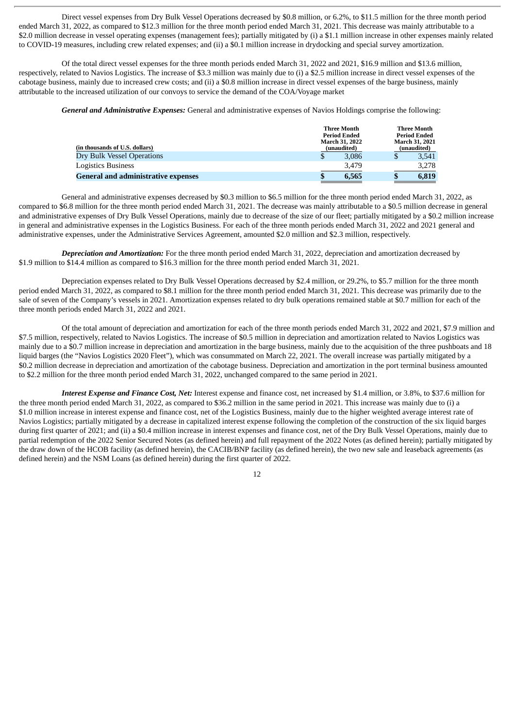Direct vessel expenses from Dry Bulk Vessel Operations decreased by \$0.8 million, or 6.2%, to \$11.5 million for the three month period ended March 31, 2022, as compared to \$12.3 million for the three month period ended March 31, 2021. This decrease was mainly attributable to a \$2.0 million decrease in vessel operating expenses (management fees); partially mitigated by (i) a \$1.1 million increase in other expenses mainly related to COVID-19 measures, including crew related expenses; and (ii) a \$0.1 million increase in drydocking and special survey amortization.

Of the total direct vessel expenses for the three month periods ended March 31, 2022 and 2021, \$16.9 million and \$13.6 million, respectively, related to Navios Logistics. The increase of \$3.3 million was mainly due to (i) a \$2.5 million increase in direct vessel expenses of the cabotage business, mainly due to increased crew costs; and (ii) a \$0.8 million increase in direct vessel expenses of the barge business, mainly attributable to the increased utilization of our convoys to service the demand of the COA/Voyage market

*General and Administrative Expenses:* General and administrative expenses of Navios Holdings comprise the following:

| (in thousands of U.S. dollars)             | <b>Three Month</b><br><b>Period Ended</b><br><b>March 31, 2022</b><br>(unaudited) | <b>Three Month</b><br><b>Period Ended</b><br><b>March 31, 2021</b><br>(unaudited) |
|--------------------------------------------|-----------------------------------------------------------------------------------|-----------------------------------------------------------------------------------|
| Dry Bulk Vessel Operations                 | 3.086                                                                             | 3,541                                                                             |
| Logistics Business                         | 3.479                                                                             | 3,278                                                                             |
| <b>General and administrative expenses</b> | 6.565                                                                             | 6.819                                                                             |

General and administrative expenses decreased by \$0.3 million to \$6.5 million for the three month period ended March 31, 2022, as compared to \$6.8 million for the three month period ended March 31, 2021. The decrease was mainly attributable to a \$0.5 million decrease in general and administrative expenses of Dry Bulk Vessel Operations, mainly due to decrease of the size of our fleet; partially mitigated by a \$0.2 million increase in general and administrative expenses in the Logistics Business. For each of the three month periods ended March 31, 2022 and 2021 general and administrative expenses, under the Administrative Services Agreement, amounted \$2.0 million and \$2.3 million, respectively.

*Depreciation and Amortization:* For the three month period ended March 31, 2022, depreciation and amortization decreased by \$1.9 million to \$14.4 million as compared to \$16.3 million for the three month period ended March 31, 2021.

Depreciation expenses related to Dry Bulk Vessel Operations decreased by \$2.4 million, or 29.2%, to \$5.7 million for the three month period ended March 31, 2022, as compared to \$8.1 million for the three month period ended March 31, 2021. This decrease was primarily due to the sale of seven of the Company's vessels in 2021. Amortization expenses related to dry bulk operations remained stable at \$0.7 million for each of the three month periods ended March 31, 2022 and 2021.

Of the total amount of depreciation and amortization for each of the three month periods ended March 31, 2022 and 2021, \$7.9 million and \$7.5 million, respectively, related to Navios Logistics. The increase of \$0.5 million in depreciation and amortization related to Navios Logistics was mainly due to a \$0.7 million increase in depreciation and amortization in the barge business, mainly due to the acquisition of the three pushboats and 18 liquid barges (the "Navios Logistics 2020 Fleet"), which was consummated on March 22, 2021. The overall increase was partially mitigated by a \$0.2 million decrease in depreciation and amortization of the cabotage business. Depreciation and amortization in the port terminal business amounted to \$2.2 million for the three month period ended March 31, 2022, unchanged compared to the same period in 2021.

*Interest Expense and Finance Cost, Net:* Interest expense and finance cost, net increased by \$1.4 million, or 3.8%, to \$37.6 million for the three month period ended March 31, 2022, as compared to \$36.2 million in the same period in 2021. This increase was mainly due to (i) a \$1.0 million increase in interest expense and finance cost, net of the Logistics Business, mainly due to the higher weighted average interest rate of Navios Logistics; partially mitigated by a decrease in capitalized interest expense following the completion of the construction of the six liquid barges during first quarter of 2021; and (ii) a \$0.4 million increase in interest expenses and finance cost, net of the Dry Bulk Vessel Operations, mainly due to partial redemption of the 2022 Senior Secured Notes (as defined herein) and full repayment of the 2022 Notes (as defined herein); partially mitigated by the draw down of the HCOB facility (as defined herein), the CACIB/BNP facility (as defined herein), the two new sale and leaseback agreements (as defined herein) and the NSM Loans (as defined herein) during the first quarter of 2022.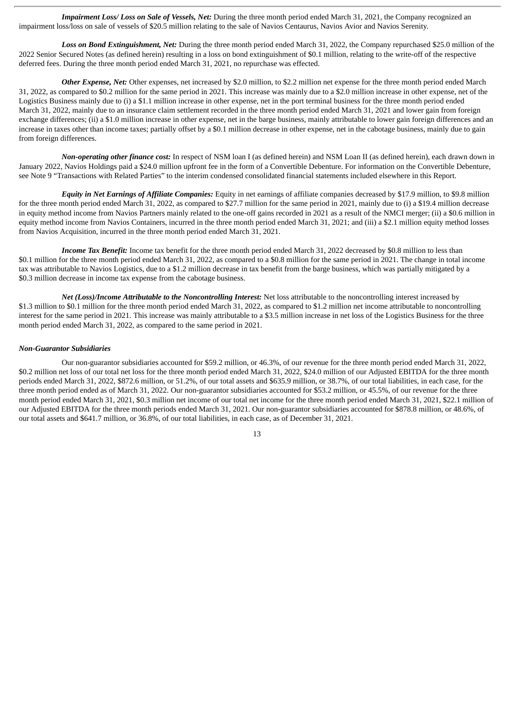*Impairment Loss/ Loss on Sale of Vessels, Net:* During the three month period ended March 31, 2021, the Company recognized an impairment loss/loss on sale of vessels of \$20.5 million relating to the sale of Navios Centaurus, Navios Avior and Navios Serenity.

*Loss on Bond Extinguishment, Net:* During the three month period ended March 31, 2022, the Company repurchased \$25.0 million of the 2022 Senior Secured Notes (as defined herein) resulting in a loss on bond extinguishment of \$0.1 million, relating to the write-off of the respective deferred fees. During the three month period ended March 31, 2021, no repurchase was effected.

*Other Expense, Net:* Other expenses, net increased by \$2.0 million, to \$2.2 million net expense for the three month period ended March 31, 2022, as compared to \$0.2 million for the same period in 2021. This increase was mainly due to a \$2.0 million increase in other expense, net of the Logistics Business mainly due to (i) a \$1.1 million increase in other expense, net in the port terminal business for the three month period ended March 31, 2022, mainly due to an insurance claim settlement recorded in the three month period ended March 31, 2021 and lower gain from foreign exchange differences; (ii) a \$1.0 million increase in other expense, net in the barge business, mainly attributable to lower gain foreign differences and an increase in taxes other than income taxes; partially offset by a \$0.1 million decrease in other expense, net in the cabotage business, mainly due to gain from foreign differences.

*Non-operating other finance cost:* In respect of NSM loan I (as defined herein) and NSM Loan II (as defined herein), each drawn down in January 2022, Navios Holdings paid a \$24.0 million upfront fee in the form of a Convertible Debenture. For information on the Convertible Debenture, see Note 9 "Transactions with Related Parties" to the interim condensed consolidated financial statements included elsewhere in this Report.

*Equity in Net Earnings of Affiliate Companies:* Equity in net earnings of affiliate companies decreased by \$17.9 million, to \$9.8 million for the three month period ended March 31, 2022, as compared to \$27.7 million for the same period in 2021, mainly due to (i) a \$19.4 million decrease in equity method income from Navios Partners mainly related to the one-off gains recorded in 2021 as a result of the NMCI merger; (ii) a \$0.6 million in equity method income from Navios Containers, incurred in the three month period ended March 31, 2021; and (iii) a \$2.1 million equity method losses from Navios Acquisition, incurred in the three month period ended March 31, 2021.

*Income Tax Benefit:* Income tax benefit for the three month period ended March 31, 2022 decreased by \$0.8 million to less than \$0.1 million for the three month period ended March 31, 2022, as compared to a \$0.8 million for the same period in 2021. The change in total income tax was attributable to Navios Logistics, due to a \$1.2 million decrease in tax benefit from the barge business, which was partially mitigated by a \$0.3 million decrease in income tax expense from the cabotage business.

*Net (Loss)/Income Attributable to the Noncontrolling Interest:* Net loss attributable to the noncontrolling interest increased by \$1.3 million to \$0.1 million for the three month period ended March 31, 2022, as compared to \$1.2 million net income attributable to noncontrolling interest for the same period in 2021. This increase was mainly attributable to a \$3.5 million increase in net loss of the Logistics Business for the three month period ended March 31, 2022, as compared to the same period in 2021.

#### *Non-Guarantor Subsidiaries*

Our non-guarantor subsidiaries accounted for \$59.2 million, or 46.3%, of our revenue for the three month period ended March 31, 2022, \$0.2 million net loss of our total net loss for the three month period ended March 31, 2022, \$24.0 million of our Adjusted EBITDA for the three month periods ended March 31, 2022, \$872.6 million, or 51.2%, of our total assets and \$635.9 million, or 38.7%, of our total liabilities, in each case, for the three month period ended as of March 31, 2022. Our non-guarantor subsidiaries accounted for \$53.2 million, or 45.5%, of our revenue for the three month period ended March 31, 2021, \$0.3 million net income of our total net income for the three month period ended March 31, 2021, \$22.1 million of our Adjusted EBITDA for the three month periods ended March 31, 2021. Our non-guarantor subsidiaries accounted for \$878.8 million, or 48.6%, of our total assets and \$641.7 million, or 36.8%, of our total liabilities, in each case, as of December 31, 2021.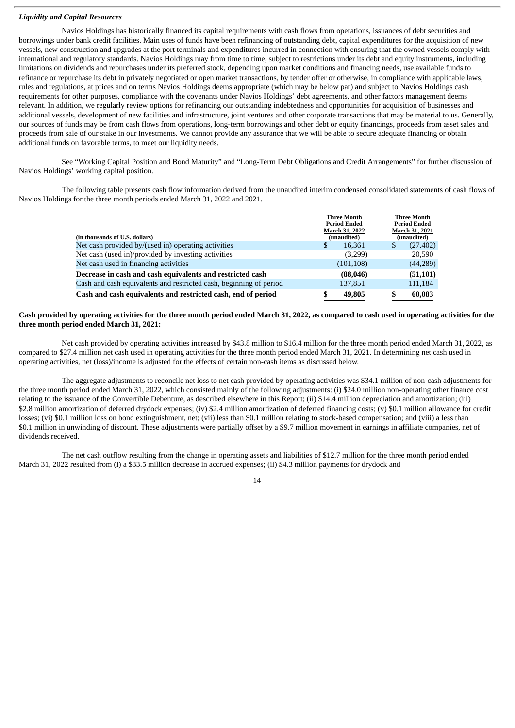# *Liquidity and Capital Resources*

Navios Holdings has historically financed its capital requirements with cash flows from operations, issuances of debt securities and borrowings under bank credit facilities. Main uses of funds have been refinancing of outstanding debt, capital expenditures for the acquisition of new vessels, new construction and upgrades at the port terminals and expenditures incurred in connection with ensuring that the owned vessels comply with international and regulatory standards. Navios Holdings may from time to time, subject to restrictions under its debt and equity instruments, including limitations on dividends and repurchases under its preferred stock, depending upon market conditions and financing needs, use available funds to refinance or repurchase its debt in privately negotiated or open market transactions, by tender offer or otherwise, in compliance with applicable laws, rules and regulations, at prices and on terms Navios Holdings deems appropriate (which may be below par) and subject to Navios Holdings cash requirements for other purposes, compliance with the covenants under Navios Holdings' debt agreements, and other factors management deems relevant. In addition, we regularly review options for refinancing our outstanding indebtedness and opportunities for acquisition of businesses and additional vessels, development of new facilities and infrastructure, joint ventures and other corporate transactions that may be material to us. Generally, our sources of funds may be from cash flows from operations, long-term borrowings and other debt or equity financings, proceeds from asset sales and proceeds from sale of our stake in our investments. We cannot provide any assurance that we will be able to secure adequate financing or obtain additional funds on favorable terms, to meet our liquidity needs.

See "Working Capital Position and Bond Maturity" and "Long-Term Debt Obligations and Credit Arrangements" for further discussion of Navios Holdings' working capital position.

The following table presents cash flow information derived from the unaudited interim condensed consolidated statements of cash flows of Navios Holdings for the three month periods ended March 31, 2022 and 2021.

| (in thousands of U.S. dollars)                                     | <b>Three Month</b><br><b>Period Ended</b><br>March 31, 2022<br>(unaudited) | <b>Three Month</b><br><b>Period Ended</b><br>March 31, 2021<br>(unaudited) |
|--------------------------------------------------------------------|----------------------------------------------------------------------------|----------------------------------------------------------------------------|
| Net cash provided by/(used in) operating activities                | 16,361<br>S                                                                | S<br>(27, 402)                                                             |
| Net cash (used in)/provided by investing activities                | (3,299)                                                                    | 20,590                                                                     |
| Net cash used in financing activities                              | (101, 108)                                                                 | (44, 289)                                                                  |
| Decrease in cash and cash equivalents and restricted cash          | (88, 046)                                                                  | (51, 101)                                                                  |
| Cash and cash equivalents and restricted cash, beginning of period | 137,851                                                                    | 111,184                                                                    |
| Cash and cash equivalents and restricted cash, end of period       | 49,805                                                                     | 60,083                                                                     |

## Cash provided by operating activities for the three month period ended March 31, 2022, as compared to cash used in operating activities for the **three month period ended March 31, 2021:**

Net cash provided by operating activities increased by \$43.8 million to \$16.4 million for the three month period ended March 31, 2022, as compared to \$27.4 million net cash used in operating activities for the three month period ended March 31, 2021. In determining net cash used in operating activities, net (loss)/income is adjusted for the effects of certain non-cash items as discussed below.

The aggregate adjustments to reconcile net loss to net cash provided by operating activities was \$34.1 million of non-cash adjustments for the three month period ended March 31, 2022, which consisted mainly of the following adjustments: (i) \$24.0 million non-operating other finance cost relating to the issuance of the Convertible Debenture, as described elsewhere in this Report; (ii) \$14.4 million depreciation and amortization; (iii) \$2.8 million amortization of deferred drydock expenses; (iv) \$2.4 million amortization of deferred financing costs; (v) \$0.1 million allowance for credit losses; (vi) \$0.1 million loss on bond extinguishment, net; (vii) less than \$0.1 million relating to stock-based compensation; and (viii) a less than \$0.1 million in unwinding of discount. These adjustments were partially offset by a \$9.7 million movement in earnings in affiliate companies, net of dividends received.

The net cash outflow resulting from the change in operating assets and liabilities of \$12.7 million for the three month period ended March 31, 2022 resulted from (i) a \$33.5 million decrease in accrued expenses; (ii) \$4.3 million payments for drydock and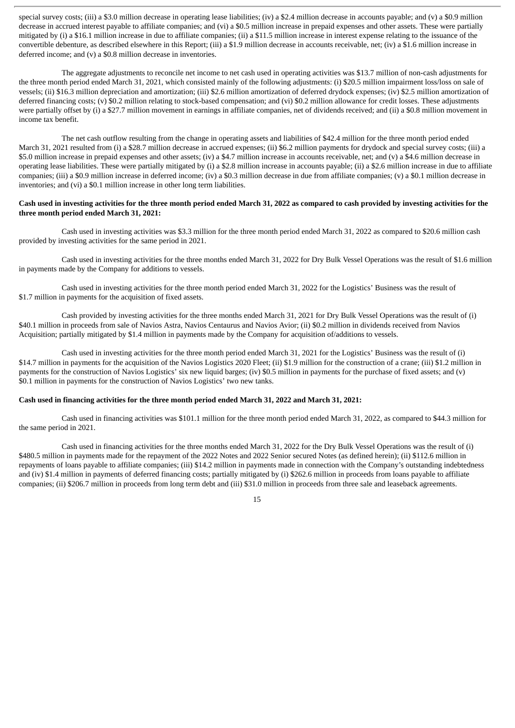special survey costs; (iii) a \$3.0 million decrease in operating lease liabilities; (iy) a \$2.4 million decrease in accounts payable; and (y) a \$0.9 million decrease in accrued interest payable to affiliate companies; and (vi) a \$0.5 million increase in prepaid expenses and other assets. These were partially mitigated by (i) a \$16.1 million increase in due to affiliate companies; (ii) a \$11.5 million increase in interest expense relating to the issuance of the convertible debenture, as described elsewhere in this Report; (iii) a \$1.9 million decrease in accounts receivable, net; (iv) a \$1.6 million increase in deferred income; and (v) a \$0.8 million decrease in inventories.

The aggregate adjustments to reconcile net income to net cash used in operating activities was \$13.7 million of non-cash adjustments for the three month period ended March 31, 2021, which consisted mainly of the following adjustments: (i) \$20.5 million impairment loss/loss on sale of vessels; (ii) \$16.3 million depreciation and amortization; (iii) \$2.6 million amortization of deferred drydock expenses; (iv) \$2.5 million amortization of deferred financing costs; (v) \$0.2 million relating to stock-based compensation; and (vi) \$0.2 million allowance for credit losses. These adjustments were partially offset by (i) a \$27.7 million movement in earnings in affiliate companies, net of dividends received; and (ii) a \$0.8 million movement in income tax benefit.

The net cash outflow resulting from the change in operating assets and liabilities of \$42.4 million for the three month period ended March 31, 2021 resulted from (i) a \$28.7 million decrease in accrued expenses; (ii) \$6.2 million payments for drydock and special survey costs; (iii) a \$5.0 million increase in prepaid expenses and other assets; (iv) a \$4.7 million increase in accounts receivable, net; and (v) a \$4.6 million decrease in operating lease liabilities. These were partially mitigated by (i) a \$2.8 million increase in accounts payable; (ii) a \$2.6 million increase in due to affiliate companies; (iii) a \$0.9 million increase in deferred income; (iv) a \$0.3 million decrease in due from affiliate companies; (v) a \$0.1 million decrease in inventories; and (vi) a \$0.1 million increase in other long term liabilities.

# Cash used in investing activities for the three month period ended March 31, 2022 as compared to cash provided by investing activities for the **three month period ended March 31, 2021:**

Cash used in investing activities was \$3.3 million for the three month period ended March 31, 2022 as compared to \$20.6 million cash provided by investing activities for the same period in 2021.

Cash used in investing activities for the three months ended March 31, 2022 for Dry Bulk Vessel Operations was the result of \$1.6 million in payments made by the Company for additions to vessels.

Cash used in investing activities for the three month period ended March 31, 2022 for the Logistics' Business was the result of \$1.7 million in payments for the acquisition of fixed assets.

Cash provided by investing activities for the three months ended March 31, 2021 for Dry Bulk Vessel Operations was the result of (i) \$40.1 million in proceeds from sale of Navios Astra, Navios Centaurus and Navios Avior; (ii) \$0.2 million in dividends received from Navios Acquisition; partially mitigated by \$1.4 million in payments made by the Company for acquisition of/additions to vessels.

Cash used in investing activities for the three month period ended March 31, 2021 for the Logistics' Business was the result of (i) \$14.7 million in payments for the acquisition of the Navios Logistics 2020 Fleet; (ii) \$1.9 million for the construction of a crane; (iii) \$1.2 million in payments for the construction of Navios Logistics' six new liquid barges; (iv) \$0.5 million in payments for the purchase of fixed assets; and (v) \$0.1 million in payments for the construction of Navios Logistics' two new tanks.

#### Cash used in financing activities for the three month period ended March 31, 2022 and March 31, 2021:

Cash used in financing activities was \$101.1 million for the three month period ended March 31, 2022, as compared to \$44.3 million for the same period in 2021.

Cash used in financing activities for the three months ended March 31, 2022 for the Dry Bulk Vessel Operations was the result of (i) \$480.5 million in payments made for the repayment of the 2022 Notes and 2022 Senior secured Notes (as defined herein); (ii) \$112.6 million in repayments of loans payable to affiliate companies; (iii) \$14.2 million in payments made in connection with the Company's outstanding indebtedness and (iv) \$1.4 million in payments of deferred financing costs; partially mitigated by (i) \$262.6 million in proceeds from loans payable to affiliate companies; (ii) \$206.7 million in proceeds from long term debt and (iii) \$31.0 million in proceeds from three sale and leaseback agreements.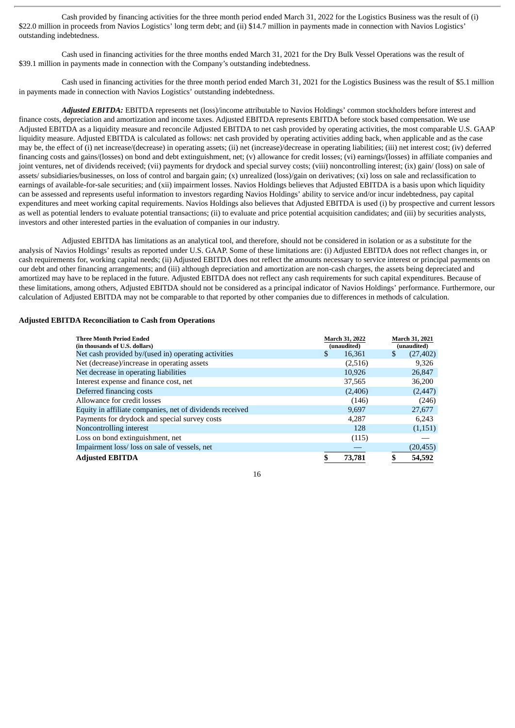Cash provided by financing activities for the three month period ended March 31, 2022 for the Logistics Business was the result of (i) \$22.0 million in proceeds from Navios Logistics' long term debt; and (ii) \$14.7 million in payments made in connection with Navios Logistics' outstanding indebtedness.

Cash used in financing activities for the three months ended March 31, 2021 for the Dry Bulk Vessel Operations was the result of \$39.1 million in payments made in connection with the Company's outstanding indebtedness.

Cash used in financing activities for the three month period ended March 31, 2021 for the Logistics Business was the result of \$5.1 million in payments made in connection with Navios Logistics' outstanding indebtedness.

*Adjusted EBITDA:* EBITDA represents net (loss)/income attributable to Navios Holdings' common stockholders before interest and finance costs, depreciation and amortization and income taxes. Adjusted EBITDA represents EBITDA before stock based compensation. We use Adjusted EBITDA as a liquidity measure and reconcile Adjusted EBITDA to net cash provided by operating activities, the most comparable U.S. GAAP liquidity measure. Adjusted EBITDA is calculated as follows: net cash provided by operating activities adding back, when applicable and as the case may be, the effect of (i) net increase/(decrease) in operating assets; (ii) net (increase)/decrease in operating liabilities; (iii) net interest cost; (iv) deferred financing costs and gains/(losses) on bond and debt extinguishment, net; (v) allowance for credit losses; (vi) earnings/(losses) in affiliate companies and joint ventures, net of dividends received; (vii) payments for drydock and special survey costs; (viii) noncontrolling interest; (ix) gain/ (loss) on sale of assets/ subsidiaries/businesses, on loss of control and bargain gain; (x) unrealized (loss)/gain on derivatives; (xi) loss on sale and reclassification to earnings of available-for-sale securities; and (xii) impairment losses. Navios Holdings believes that Adjusted EBITDA is a basis upon which liquidity can be assessed and represents useful information to investors regarding Navios Holdings' ability to service and/or incur indebtedness, pay capital expenditures and meet working capital requirements. Navios Holdings also believes that Adjusted EBITDA is used (i) by prospective and current lessors as well as potential lenders to evaluate potential transactions; (ii) to evaluate and price potential acquisition candidates; and (iii) by securities analysts, investors and other interested parties in the evaluation of companies in our industry.

Adjusted EBITDA has limitations as an analytical tool, and therefore, should not be considered in isolation or as a substitute for the analysis of Navios Holdings' results as reported under U.S. GAAP. Some of these limitations are: (i) Adjusted EBITDA does not reflect changes in, or cash requirements for, working capital needs; (ii) Adjusted EBITDA does not reflect the amounts necessary to service interest or principal payments on our debt and other financing arrangements; and (iii) although depreciation and amortization are non-cash charges, the assets being depreciated and amortized may have to be replaced in the future. Adjusted EBITDA does not reflect any cash requirements for such capital expenditures. Because of these limitations, among others, Adjusted EBITDA should not be considered as a principal indicator of Navios Holdings' performance. Furthermore, our calculation of Adjusted EBITDA may not be comparable to that reported by other companies due to differences in methods of calculation.

#### **Adjusted EBITDA Reconciliation to Cash from Operations**

| <b>Three Month Period Ended</b><br>(in thousands of U.S. dollars) | March 31, 2022<br>(unaudited) | March 31, 2021<br>(unaudited) |
|-------------------------------------------------------------------|-------------------------------|-------------------------------|
| Net cash provided by/(used in) operating activities               | \$<br>16,361                  | \$<br>(27, 402)               |
| Net (decrease)/increase in operating assets                       | (2,516)                       | 9,326                         |
| Net decrease in operating liabilities                             | 10,926                        | 26,847                        |
| Interest expense and finance cost, net                            | 37,565                        | 36,200                        |
| Deferred financing costs                                          | (2,406)                       | (2, 447)                      |
| Allowance for credit losses                                       | (146)                         | (246)                         |
| Equity in affiliate companies, net of dividends received          | 9.697                         | 27,677                        |
| Payments for drydock and special survey costs                     | 4,287                         | 6,243                         |
| Noncontrolling interest                                           | 128                           | (1,151)                       |
| Loss on bond extinguishment, net                                  | (115)                         |                               |
| Impairment loss/loss on sale of vessels, net                      |                               | (20, 455)                     |
| <b>Adjusted EBITDA</b>                                            | \$<br>73,781                  | \$<br>54,592                  |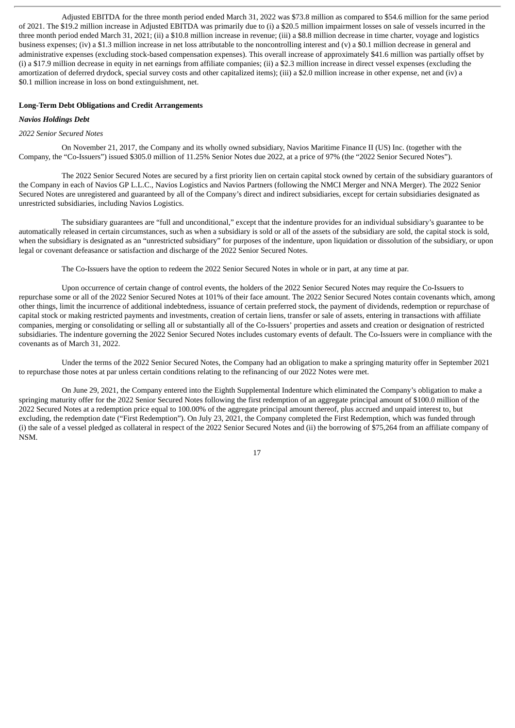Adjusted EBITDA for the three month period ended March 31, 2022 was \$73.8 million as compared to \$54.6 million for the same period of 2021. The \$19.2 million increase in Adjusted EBITDA was primarily due to (i) a \$20.5 million impairment losses on sale of vessels incurred in the three month period ended March 31, 2021; (ii) a \$10.8 million increase in revenue; (iii) a \$8.8 million decrease in time charter, voyage and logistics business expenses; (iv) a \$1.3 million increase in net loss attributable to the noncontrolling interest and (v) a \$0.1 million decrease in general and administrative expenses (excluding stock-based compensation expenses). This overall increase of approximately \$41.6 million was partially offset by (i) a \$17.9 million decrease in equity in net earnings from affiliate companies; (ii) a \$2.3 million increase in direct vessel expenses (excluding the amortization of deferred drydock, special survey costs and other capitalized items); (iii) a \$2.0 million increase in other expense, net and (iv) a \$0.1 million increase in loss on bond extinguishment, net.

#### **Long-Term Debt Obligations and Credit Arrangements**

# *Navios Holdings Debt*

#### *2022 Senior Secured Notes*

On November 21, 2017, the Company and its wholly owned subsidiary, Navios Maritime Finance II (US) Inc. (together with the Company, the "Co-Issuers") issued \$305.0 million of 11.25% Senior Notes due 2022, at a price of 97% (the "2022 Senior Secured Notes").

The 2022 Senior Secured Notes are secured by a first priority lien on certain capital stock owned by certain of the subsidiary guarantors of the Company in each of Navios GP L.L.C., Navios Logistics and Navios Partners (following the NMCI Merger and NNA Merger). The 2022 Senior Secured Notes are unregistered and guaranteed by all of the Company's direct and indirect subsidiaries, except for certain subsidiaries designated as unrestricted subsidiaries, including Navios Logistics.

The subsidiary guarantees are "full and unconditional," except that the indenture provides for an individual subsidiary's guarantee to be automatically released in certain circumstances, such as when a subsidiary is sold or all of the assets of the subsidiary are sold, the capital stock is sold, when the subsidiary is designated as an "unrestricted subsidiary" for purposes of the indenture, upon liquidation or dissolution of the subsidiary, or upon legal or covenant defeasance or satisfaction and discharge of the 2022 Senior Secured Notes.

The Co-Issuers have the option to redeem the 2022 Senior Secured Notes in whole or in part, at any time at par.

Upon occurrence of certain change of control events, the holders of the 2022 Senior Secured Notes may require the Co-Issuers to repurchase some or all of the 2022 Senior Secured Notes at 101% of their face amount. The 2022 Senior Secured Notes contain covenants which, among other things, limit the incurrence of additional indebtedness, issuance of certain preferred stock, the payment of dividends, redemption or repurchase of capital stock or making restricted payments and investments, creation of certain liens, transfer or sale of assets, entering in transactions with affiliate companies, merging or consolidating or selling all or substantially all of the Co-Issuers' properties and assets and creation or designation of restricted subsidiaries. The indenture governing the 2022 Senior Secured Notes includes customary events of default. The Co-Issuers were in compliance with the covenants as of March 31, 2022.

Under the terms of the 2022 Senior Secured Notes, the Company had an obligation to make a springing maturity offer in September 2021 to repurchase those notes at par unless certain conditions relating to the refinancing of our 2022 Notes were met.

On June 29, 2021, the Company entered into the Eighth Supplemental Indenture which eliminated the Company's obligation to make a springing maturity offer for the 2022 Senior Secured Notes following the first redemption of an aggregate principal amount of \$100.0 million of the 2022 Secured Notes at a redemption price equal to 100.00% of the aggregate principal amount thereof, plus accrued and unpaid interest to, but excluding, the redemption date ("First Redemption"). On July 23, 2021, the Company completed the First Redemption, which was funded through (i) the sale of a vessel pledged as collateral in respect of the 2022 Senior Secured Notes and (ii) the borrowing of \$75,264 from an affiliate company of NSM.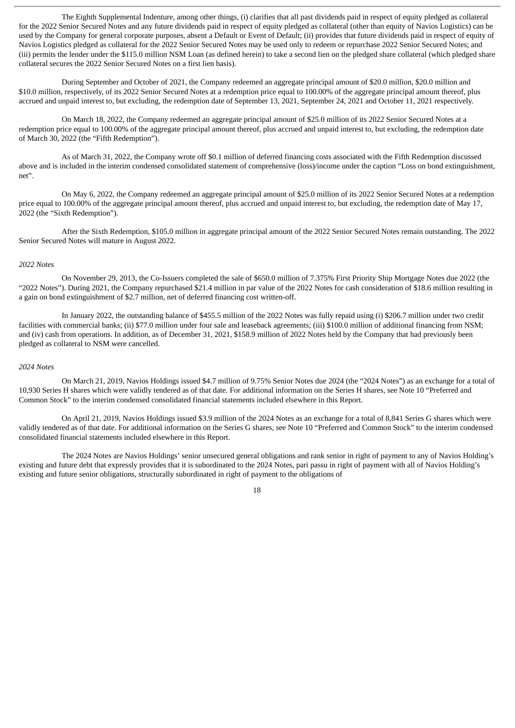The Eighth Supplemental Indenture, among other things, (i) clarifies that all past dividends paid in respect of equity pledged as collateral for the 2022 Senior Secured Notes and any future dividends paid in respect of equity pledged as collateral (other than equity of Navios Logistics) can be used by the Company for general corporate purposes, absent a Default or Event of Default; (ii) provides that future dividends paid in respect of equity of Navios Logistics pledged as collateral for the 2022 Senior Secured Notes may be used only to redeem or repurchase 2022 Senior Secured Notes; and (iii) permits the lender under the \$115.0 million NSM Loan (as defined herein) to take a second lien on the pledged share collateral (which pledged share collateral secures the 2022 Senior Secured Notes on a first lien basis).

During September and October of 2021, the Company redeemed an aggregate principal amount of \$20.0 million, \$20.0 million and \$10.0 million, respectively, of its 2022 Senior Secured Notes at a redemption price equal to 100.00% of the aggregate principal amount thereof, plus accrued and unpaid interest to, but excluding, the redemption date of September 13, 2021, September 24, 2021 and October 11, 2021 respectively.

On March 18, 2022, the Company redeemed an aggregate principal amount of \$25.0 million of its 2022 Senior Secured Notes at a redemption price equal to 100.00% of the aggregate principal amount thereof, plus accrued and unpaid interest to, but excluding, the redemption date of March 30, 2022 (the "Fifth Redemption").

As of March 31, 2022, the Company wrote off \$0.1 million of deferred financing costs associated with the Fifth Redemption discussed above and is included in the interim condensed consolidated statement of comprehensive (loss)/income under the caption "Loss on bond extinguishment, net".

On May 6, 2022, the Company redeemed an aggregate principal amount of \$25.0 million of its 2022 Senior Secured Notes at a redemption price equal to 100.00% of the aggregate principal amount thereof, plus accrued and unpaid interest to, but excluding, the redemption date of May 17, 2022 (the "Sixth Redemption").

After the Sixth Redemption, \$105.0 million in aggregate principal amount of the 2022 Senior Secured Notes remain outstanding. The 2022 Senior Secured Notes will mature in August 2022.

# *2022 Notes*

On November 29, 2013, the Co-Issuers completed the sale of \$650.0 million of 7.375% First Priority Ship Mortgage Notes due 2022 (the "2022 Notes"). During 2021, the Company repurchased \$21.4 million in par value of the 2022 Notes for cash consideration of \$18.6 million resulting in a gain on bond extinguishment of \$2.7 million, net of deferred financing cost written-off.

In January 2022, the outstanding balance of \$455.5 million of the 2022 Notes was fully repaid using (i) \$206.7 million under two credit facilities with commercial banks; (ii) \$77.0 million under four sale and leaseback agreements; (iii) \$100.0 million of additional financing from NSM; and (iv) cash from operations. In addition, as of December 31, 2021, \$158.9 million of 2022 Notes held by the Company that had previously been pledged as collateral to NSM were cancelled.

#### *2024 Notes*

On March 21, 2019, Navios Holdings issued \$4.7 million of 9.75% Senior Notes due 2024 (the "2024 Notes") as an exchange for a total of 10,930 Series H shares which were validly tendered as of that date. For additional information on the Series H shares, see Note 10 "Preferred and Common Stock" to the interim condensed consolidated financial statements included elsewhere in this Report.

On April 21, 2019, Navios Holdings issued \$3.9 million of the 2024 Notes as an exchange for a total of 8,841 Series G shares which were validly tendered as of that date. For additional information on the Series G shares, see Note 10 "Preferred and Common Stock" to the interim condensed consolidated financial statements included elsewhere in this Report.

The 2024 Notes are Navios Holdings' senior unsecured general obligations and rank senior in right of payment to any of Navios Holding's existing and future debt that expressly provides that it is subordinated to the 2024 Notes, pari passu in right of payment with all of Navios Holding's existing and future senior obligations, structurally subordinated in right of payment to the obligations of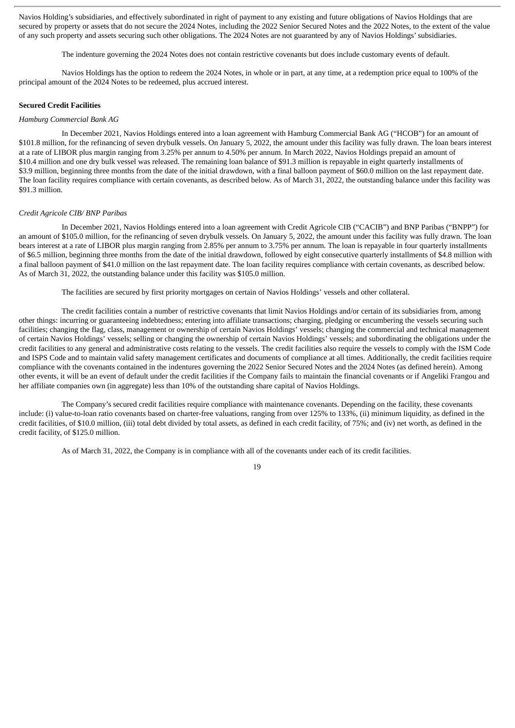Navios Holding's subsidiaries, and effectively subordinated in right of payment to any existing and future obligations of Navios Holdings that are secured by property or assets that do not secure the 2024 Notes, including the 2022 Senior Secured Notes and the 2022 Notes, to the extent of the value of any such property and assets securing such other obligations. The 2024 Notes are not guaranteed by any of Navios Holdings'subsidiaries.

The indenture governing the 2024 Notes does not contain restrictive covenants but does include customary events of default.

Navios Holdings has the option to redeem the 2024 Notes, in whole or in part, at any time, at a redemption price equal to 100% of the principal amount of the 2024 Notes to be redeemed, plus accrued interest.

#### **Secured Credit Facilities**

#### *Hamburg Commercial Bank AG*

In December 2021, Navios Holdings entered into a loan agreement with Hamburg Commercial Bank AG ("HCOB") for an amount of \$101.8 million, for the refinancing of seven drybulk vessels. On January 5, 2022, the amount under this facility was fully drawn. The loan bears interest at a rate of LIBOR plus margin ranging from 3.25% per annum to 4.50% per annum. In March 2022, Navios Holdings prepaid an amount of \$10.4 million and one dry bulk vessel was released. The remaining loan balance of \$91.3 million is repayable in eight quarterly installments of \$3.9 million, beginning three months from the date of the initial drawdown, with a final balloon payment of \$60.0 million on the last repayment date. The loan facility requires compliance with certain covenants, as described below. As of March 31, 2022, the outstanding balance under this facility was \$91.3 million.

#### *Credit Agricole CIB/ BNP Paribas*

In December 2021, Navios Holdings entered into a loan agreement with Credit Agricole CIB ("CACIB") and BNP Paribas ("BNPP") for an amount of \$105.0 million, for the refinancing of seven drybulk vessels. On January 5, 2022, the amount under this facility was fully drawn. The loan bears interest at a rate of LIBOR plus margin ranging from 2.85% per annum to 3.75% per annum. The loan is repayable in four quarterly installments of \$6.5 million, beginning three months from the date of the initial drawdown, followed by eight consecutive quarterly installments of \$4.8 million with a final balloon payment of \$41.0 million on the last repayment date. The loan facility requires compliance with certain covenants, as described below. As of March 31, 2022, the outstanding balance under this facility was \$105.0 million.

The facilities are secured by first priority mortgages on certain of Navios Holdings' vessels and other collateral.

The credit facilities contain a number of restrictive covenants that limit Navios Holdings and/or certain of its subsidiaries from, among other things: incurring or guaranteeing indebtedness; entering into affiliate transactions; charging, pledging or encumbering the vessels securing such facilities; changing the flag, class, management or ownership of certain Navios Holdings' vessels; changing the commercial and technical management of certain Navios Holdings' vessels; selling or changing the ownership of certain Navios Holdings' vessels; and subordinating the obligations under the credit facilities to any general and administrative costs relating to the vessels. The credit facilities also require the vessels to comply with the ISM Code and ISPS Code and to maintain valid safety management certificates and documents of compliance at all times. Additionally, the credit facilities require compliance with the covenants contained in the indentures governing the 2022 Senior Secured Notes and the 2024 Notes (as defined herein). Among other events, it will be an event of default under the credit facilities if the Company fails to maintain the financial covenants or if Angeliki Frangou and her affiliate companies own (in aggregate) less than 10% of the outstanding share capital of Navios Holdings.

The Company's secured credit facilities require compliance with maintenance covenants. Depending on the facility, these covenants include: (i) value-to-loan ratio covenants based on charter-free valuations, ranging from over 125% to 133%, (ii) minimum liquidity, as defined in the credit facilities, of \$10.0 million, (iii) total debt divided by total assets, as defined in each credit facility, of 75%; and (iv) net worth, as defined in the credit facility, of \$125.0 million.

As of March 31, 2022, the Company is in compliance with all of the covenants under each of its credit facilities.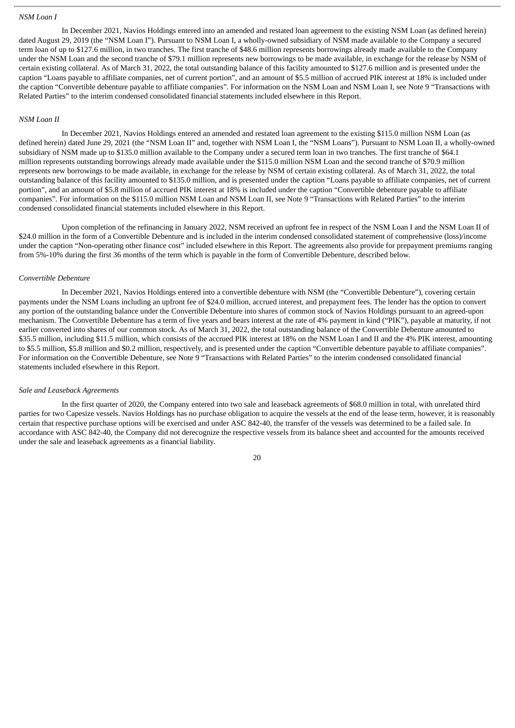#### *NSM Loan I*

In December 2021, Navios Holdings entered into an amended and restated loan agreement to the existing NSM Loan (as defined herein) dated August 29, 2019 (the "NSM Loan I"). Pursuant to NSM Loan I, a wholly-owned subsidiary of NSM made available to the Company a secured term loan of up to \$127.6 million, in two tranches. The first tranche of \$48.6 million represents borrowings already made available to the Company under the NSM Loan and the second tranche of \$79.1 million represents new borrowings to be made available, in exchange for the release by NSM of certain existing collateral. As of March 31, 2022, the total outstanding balance of this facility amounted to \$127.6 million and is presented under the caption "Loans payable to affiliate companies, net of current portion", and an amount of \$5.5 million of accrued PIK interest at 18% is included under the caption "Convertible debenture payable to affiliate companies". For information on the NSM Loan and NSM Loan I, see Note 9 "Transactions with Related Parties" to the interim condensed consolidated financial statements included elsewhere in this Report.

# *NSM Loan II*

In December 2021, Navios Holdings entered an amended and restated loan agreement to the existing \$115.0 million NSM Loan (as defined herein) dated June 29, 2021 (the "NSM Loan II" and, together with NSM Loan I, the "NSM Loans"). Pursuant to NSM Loan II, a wholly-owned subsidiary of NSM made up to \$135.0 million available to the Company under a secured term loan in two tranches. The first tranche of \$64.1 million represents outstanding borrowings already made available under the \$115.0 million NSM Loan and the second tranche of \$70.9 million represents new borrowings to be made available, in exchange for the release by NSM of certain existing collateral. As of March 31, 2022, the total outstanding balance of this facility amounted to \$135.0 million, and is presented under the caption "Loans payable to affiliate companies, net of current portion", and an amount of \$5.8 million of accrued PIK interest at 18% is included under the caption "Convertible debenture payable to affiliate companies". For information on the \$115.0 million NSM Loan and NSM Loan II, see Note 9 "Transactions with Related Parties" to the interim condensed consolidated financial statements included elsewhere in this Report.

Upon completion of the refinancing in January 2022, NSM received an upfront fee in respect of the NSM Loan I and the NSM Loan II of \$24.0 million in the form of a Convertible Debenture and is included in the interim condensed consolidated statement of comprehensive (loss)/income under the caption "Non-operating other finance cost" included elsewhere in this Report. The agreements also provide for prepayment premiums ranging from 5%-10% during the first 36 months of the term which is payable in the form of Convertible Debenture, described below.

#### *Convertible Debenture*

In December 2021, Navios Holdings entered into a convertible debenture with NSM (the "Convertible Debenture"), covering certain payments under the NSM Loans including an upfront fee of \$24.0 million, accrued interest, and prepayment fees. The lender has the option to convert any portion of the outstanding balance under the Convertible Debenture into shares of common stock of Navios Holdings pursuant to an agreed-upon mechanism. The Convertible Debenture has a term of five years and bears interest at the rate of 4% payment in kind ("PIK"), payable at maturity, if not earlier converted into shares of our common stock. As of March 31, 2022, the total outstanding balance of the Convertible Debenture amounted to \$35.5 million, including \$11.5 million, which consists of the accrued PIK interest at 18% on the NSM Loan I and II and the 4% PIK interest, amounting to \$5.5 million, \$5.8 million and \$0.2 million, respectively, and is presented under the caption "Convertible debenture payable to affiliate companies". For information on the Convertible Debenture, see Note 9 "Transactions with Related Parties" to the interim condensed consolidated financial statements included elsewhere in this Report.

#### *Sale and Leaseback Agreements*

In the first quarter of 2020, the Company entered into two sale and leaseback agreements of \$68.0 million in total, with unrelated third parties for two Capesize vessels. Navios Holdings has no purchase obligation to acquire the vessels at the end of the lease term, however, it is reasonably certain that respective purchase options will be exercised and under ASC 842-40, the transfer of the vessels was determined to be a failed sale. In accordance with ASC 842-40, the Company did not derecognize the respective vessels from its balance sheet and accounted for the amounts received under the sale and leaseback agreements as a financial liability.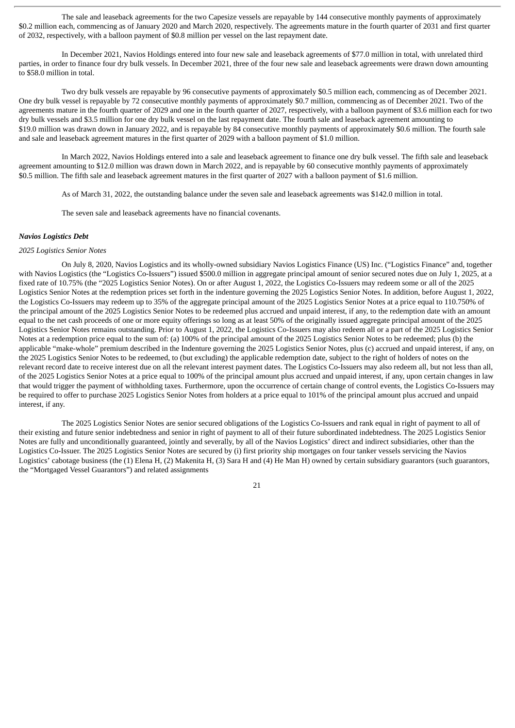The sale and leaseback agreements for the two Capesize vessels are repayable by 144 consecutive monthly payments of approximately \$0.2 million each, commencing as of January 2020 and March 2020, respectively. The agreements mature in the fourth quarter of 2031 and first quarter of 2032, respectively, with a balloon payment of \$0.8 million per vessel on the last repayment date.

In December 2021, Navios Holdings entered into four new sale and leaseback agreements of \$77.0 million in total, with unrelated third parties, in order to finance four dry bulk vessels. In December 2021, three of the four new sale and leaseback agreements were drawn down amounting to \$58.0 million in total.

Two dry bulk vessels are repayable by 96 consecutive payments of approximately \$0.5 million each, commencing as of December 2021. One dry bulk vessel is repayable by 72 consecutive monthly payments of approximately \$0.7 million, commencing as of December 2021. Two of the agreements mature in the fourth quarter of 2029 and one in the fourth quarter of 2027, respectively, with a balloon payment of \$3.6 million each for two dry bulk vessels and \$3.5 million for one dry bulk vessel on the last repayment date. The fourth sale and leaseback agreement amounting to \$19.0 million was drawn down in January 2022, and is repayable by 84 consecutive monthly payments of approximately \$0.6 million. The fourth sale and sale and leaseback agreement matures in the first quarter of 2029 with a balloon payment of \$1.0 million.

In March 2022, Navios Holdings entered into a sale and leaseback agreement to finance one dry bulk vessel. The fifth sale and leaseback agreement amounting to \$12.0 million was drawn down in March 2022, and is repayable by 60 consecutive monthly payments of approximately \$0.5 million. The fifth sale and leaseback agreement matures in the first quarter of 2027 with a balloon payment of \$1.6 million.

As of March 31, 2022, the outstanding balance under the seven sale and leaseback agreements was \$142.0 million in total.

The seven sale and leaseback agreements have no financial covenants.

#### *Navios Logistics Debt*

# *2025 Logistics Senior Notes*

On July 8, 2020, Navios Logistics and its wholly-owned subsidiary Navios Logistics Finance (US) Inc. ("Logistics Finance" and, together with Navios Logistics (the "Logistics Co-Issuers") issued \$500.0 million in aggregate principal amount of senior secured notes due on July 1, 2025, at a fixed rate of 10.75% (the "2025 Logistics Senior Notes). On or after August 1, 2022, the Logistics Co-Issuers may redeem some or all of the 2025 Logistics Senior Notes at the redemption prices set forth in the indenture governing the 2025 Logistics Senior Notes. In addition, before August 1, 2022, the Logistics Co-Issuers may redeem up to 35% of the aggregate principal amount of the 2025 Logistics Senior Notes at a price equal to 110.750% of the principal amount of the 2025 Logistics Senior Notes to be redeemed plus accrued and unpaid interest, if any, to the redemption date with an amount equal to the net cash proceeds of one or more equity offerings so long as at least 50% of the originally issued aggregate principal amount of the 2025 Logistics Senior Notes remains outstanding. Prior to August 1, 2022, the Logistics Co-Issuers may also redeem all or a part of the 2025 Logistics Senior Notes at a redemption price equal to the sum of: (a) 100% of the principal amount of the 2025 Logistics Senior Notes to be redeemed; plus (b) the applicable "make-whole" premium described in the Indenture governing the 2025 Logistics Senior Notes, plus (c) accrued and unpaid interest, if any, on the 2025 Logistics Senior Notes to be redeemed, to (but excluding) the applicable redemption date, subject to the right of holders of notes on the relevant record date to receive interest due on all the relevant interest payment dates. The Logistics Co-Issuers may also redeem all, but not less than all, of the 2025 Logistics Senior Notes at a price equal to 100% of the principal amount plus accrued and unpaid interest, if any, upon certain changes in law that would trigger the payment of withholding taxes. Furthermore, upon the occurrence of certain change of control events, the Logistics Co-Issuers may be required to offer to purchase 2025 Logistics Senior Notes from holders at a price equal to 101% of the principal amount plus accrued and unpaid interest, if any.

The 2025 Logistics Senior Notes are senior secured obligations of the Logistics Co-Issuers and rank equal in right of payment to all of their existing and future senior indebtedness and senior in right of payment to all of their future subordinated indebtedness. The 2025 Logistics Senior Notes are fully and unconditionally guaranteed, jointly and severally, by all of the Navios Logistics' direct and indirect subsidiaries, other than the Logistics Co-Issuer. The 2025 Logistics Senior Notes are secured by (i) first priority ship mortgages on four tanker vessels servicing the Navios Logistics' cabotage business (the (1) Elena H, (2) Makenita H, (3) Sara H and (4) He Man H) owned by certain subsidiary guarantors (such guarantors, the "Mortgaged Vessel Guarantors") and related assignments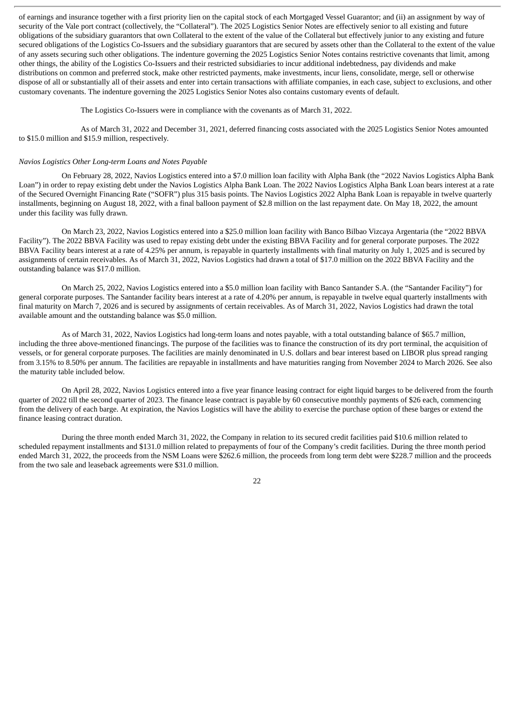of earnings and insurance together with a first priority lien on the capital stock of each Mortgaged Vessel Guarantor; and (ii) an assignment by way of security of the Vale port contract (collectively, the "Collateral"). The 2025 Logistics Senior Notes are effectively senior to all existing and future obligations of the subsidiary guarantors that own Collateral to the extent of the value of the Collateral but effectively junior to any existing and future secured obligations of the Logistics Co-Issuers and the subsidiary guarantors that are secured by assets other than the Collateral to the extent of the value of any assets securing such other obligations. The indenture governing the 2025 Logistics Senior Notes contains restrictive covenants that limit, among other things, the ability of the Logistics Co-Issuers and their restricted subsidiaries to incur additional indebtedness, pay dividends and make distributions on common and preferred stock, make other restricted payments, make investments, incur liens, consolidate, merge, sell or otherwise dispose of all or substantially all of their assets and enter into certain transactions with affiliate companies, in each case, subject to exclusions, and other customary covenants. The indenture governing the 2025 Logistics Senior Notes also contains customary events of default.

The Logistics Co-Issuers were in compliance with the covenants as of March 31, 2022.

As of March 31, 2022 and December 31, 2021, deferred financing costs associated with the 2025 Logistics Senior Notes amounted to \$15.0 million and \$15.9 million, respectively.

#### *Navios Logistics Other Long-term Loans and Notes Payable*

On February 28, 2022, Navios Logistics entered into a \$7.0 million loan facility with Alpha Bank (the "2022 Navios Logistics Alpha Bank Loan") in order to repay existing debt under the Navios Logistics Alpha Bank Loan. The 2022 Navios Logistics Alpha Bank Loan bears interest at a rate of the Secured Overnight Financing Rate ("SOFR") plus 315 basis points. The Navios Logistics 2022 Alpha Bank Loan is repayable in twelve quarterly installments, beginning on August 18, 2022, with a final balloon payment of \$2.8 million on the last repayment date. On May 18, 2022, the amount under this facility was fully drawn.

On March 23, 2022, Navios Logistics entered into a \$25.0 million loan facility with Banco Bilbao Vizcaya Argentaria (the "2022 BBVA Facility"). The 2022 BBVA Facility was used to repay existing debt under the existing BBVA Facility and for general corporate purposes. The 2022 BBVA Facility bears interest at a rate of 4.25% per annum, is repayable in quarterly installments with final maturity on July 1, 2025 and is secured by assignments of certain receivables. As of March 31, 2022, Navios Logistics had drawn a total of \$17.0 million on the 2022 BBVA Facility and the outstanding balance was \$17.0 million.

On March 25, 2022, Navios Logistics entered into a \$5.0 million loan facility with Banco Santander S.A. (the "Santander Facility") for general corporate purposes. The Santander facility bears interest at a rate of 4.20% per annum, is repayable in twelve equal quarterly installments with final maturity on March 7, 2026 and is secured by assignments of certain receivables. As of March 31, 2022, Navios Logistics had drawn the total available amount and the outstanding balance was \$5.0 million.

As of March 31, 2022, Navios Logistics had long-term loans and notes payable, with a total outstanding balance of \$65.7 million, including the three above-mentioned financings. The purpose of the facilities was to finance the construction of its dry port terminal, the acquisition of vessels, or for general corporate purposes. The facilities are mainly denominated in U.S. dollars and bear interest based on LIBOR plus spread ranging from 3.15% to 8.50% per annum. The facilities are repayable in installments and have maturities ranging from November 2024 to March 2026. See also the maturity table included below.

On April 28, 2022, Navios Logistics entered into a five year finance leasing contract for eight liquid barges to be delivered from the fourth quarter of 2022 till the second quarter of 2023. The finance lease contract is payable by 60 consecutive monthly payments of \$26 each, commencing from the delivery of each barge. At expiration, the Navios Logistics will have the ability to exercise the purchase option of these barges or extend the finance leasing contract duration.

During the three month ended March 31, 2022, the Company in relation to its secured credit facilities paid \$10.6 million related to scheduled repayment installments and \$131.0 million related to prepayments of four of the Company's credit facilities. During the three month period ended March 31, 2022, the proceeds from the NSM Loans were \$262.6 million, the proceeds from long term debt were \$228.7 million and the proceeds from the two sale and leaseback agreements were \$31.0 million.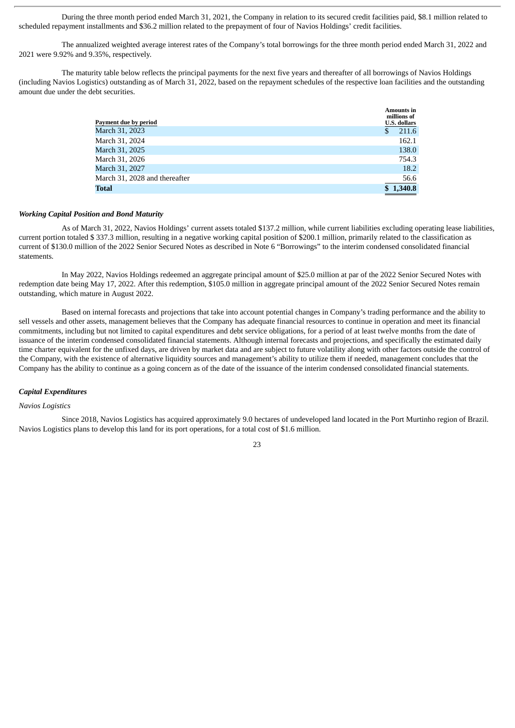During the three month period ended March 31, 2021, the Company in relation to its secured credit facilities paid, \$8.1 million related to scheduled repayment installments and \$36.2 million related to the prepayment of four of Navios Holdings' credit facilities.

The annualized weighted average interest rates of the Company's total borrowings for the three month period ended March 31, 2022 and 2021 were 9.92% and 9.35%, respectively.

The maturity table below reflects the principal payments for the next five years and thereafter of all borrowings of Navios Holdings (including Navios Logistics) outstanding as of March 31, 2022, based on the repayment schedules of the respective loan facilities and the outstanding amount due under the debt securities.

| Payment due by period         |    | <b>Amounts in</b><br>millions of<br><b>U.S. dollars</b> |
|-------------------------------|----|---------------------------------------------------------|
| March 31, 2023                | S. | 211.6                                                   |
| March 31, 2024                |    | 162.1                                                   |
| March 31, 2025                |    | 138.0                                                   |
| March 31, 2026                |    | 754.3                                                   |
| March 31, 2027                |    | 18.2                                                    |
| March 31, 2028 and thereafter |    | 56.6                                                    |
| <b>Total</b>                  |    | 1,340.8                                                 |

#### *Working Capital Position and Bond Maturity*

As of March 31, 2022, Navios Holdings' current assets totaled \$137.2 million, while current liabilities excluding operating lease liabilities, current portion totaled \$ 337.3 million, resulting in a negative working capital position of \$200.1 million, primarily related to the classification as current of \$130.0 million of the 2022 Senior Secured Notes as described in Note 6 "Borrowings" to the interim condensed consolidated financial statements.

In May 2022, Navios Holdings redeemed an aggregate principal amount of \$25.0 million at par of the 2022 Senior Secured Notes with redemption date being May 17, 2022. After this redemption, \$105.0 million in aggregate principal amount of the 2022 Senior Secured Notes remain outstanding, which mature in August 2022.

Based on internal forecasts and projections that take into account potential changes in Company's trading performance and the ability to sell vessels and other assets, management believes that the Company has adequate financial resources to continue in operation and meet its financial commitments, including but not limited to capital expenditures and debt service obligations, for a period of at least twelve months from the date of issuance of the interim condensed consolidated financial statements. Although internal forecasts and projections, and specifically the estimated daily time charter equivalent for the unfixed days, are driven by market data and are subject to future volatility along with other factors outside the control of the Company, with the existence of alternative liquidity sources and management's ability to utilize them if needed, management concludes that the Company has the ability to continue as a going concern as of the date of the issuance of the interim condensed consolidated financial statements.

# *Capital Expenditures*

# *Navios Logistics*

Since 2018, Navios Logistics has acquired approximately 9.0 hectares of undeveloped land located in the Port Murtinho region of Brazil. Navios Logistics plans to develop this land for its port operations, for a total cost of \$1.6 million.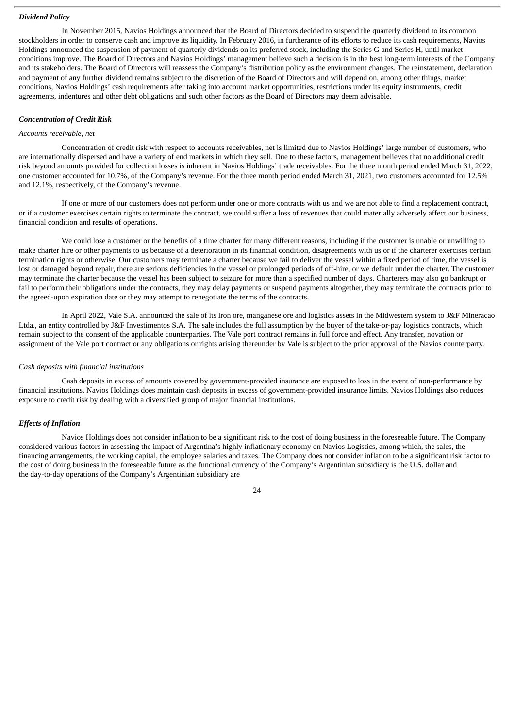#### *Dividend Policy*

In November 2015, Navios Holdings announced that the Board of Directors decided to suspend the quarterly dividend to its common stockholders in order to conserve cash and improve its liquidity. In February 2016, in furtherance of its efforts to reduce its cash requirements, Navios Holdings announced the suspension of payment of quarterly dividends on its preferred stock, including the Series G and Series H, until market conditions improve. The Board of Directors and Navios Holdings' management believe such a decision is in the best long-term interests of the Company and its stakeholders. The Board of Directors will reassess the Company's distribution policy as the environment changes. The reinstatement, declaration and payment of any further dividend remains subject to the discretion of the Board of Directors and will depend on, among other things, market conditions, Navios Holdings' cash requirements after taking into account market opportunities, restrictions under its equity instruments, credit agreements, indentures and other debt obligations and such other factors as the Board of Directors may deem advisable.

# *Concentration of Credit Risk*

# *Accounts receivable, net*

Concentration of credit risk with respect to accounts receivables, net is limited due to Navios Holdings' large number of customers, who are internationally dispersed and have a variety of end markets in which they sell. Due to these factors, management believes that no additional credit risk beyond amounts provided for collection losses is inherent in Navios Holdings' trade receivables. For the three month period ended March 31, 2022, one customer accounted for 10.7%, of the Company's revenue. For the three month period ended March 31, 2021, two customers accounted for 12.5% and 12.1%, respectively, of the Company's revenue.

If one or more of our customers does not perform under one or more contracts with us and we are not able to find a replacement contract, or if a customer exercises certain rights to terminate the contract, we could suffer a loss of revenues that could materially adversely affect our business, financial condition and results of operations.

We could lose a customer or the benefits of a time charter for many different reasons, including if the customer is unable or unwilling to make charter hire or other payments to us because of a deterioration in its financial condition, disagreements with us or if the charterer exercises certain termination rights or otherwise. Our customers may terminate a charter because we fail to deliver the vessel within a fixed period of time, the vessel is lost or damaged beyond repair, there are serious deficiencies in the vessel or prolonged periods of off-hire, or we default under the charter. The customer may terminate the charter because the vessel has been subject to seizure for more than a specified number of days. Charterers may also go bankrupt or fail to perform their obligations under the contracts, they may delay payments or suspend payments altogether, they may terminate the contracts prior to the agreed-upon expiration date or they may attempt to renegotiate the terms of the contracts.

In April 2022, Vale S.A. announced the sale of its iron ore, manganese ore and logistics assets in the Midwestern system to J&F Mineracao Ltda., an entity controlled by J&F Investimentos S.A. The sale includes the full assumption by the buyer of the take-or-pay logistics contracts, which remain subject to the consent of the applicable counterparties. The Vale port contract remains in full force and effect. Any transfer, novation or assignment of the Vale port contract or any obligations or rights arising thereunder by Vale is subject to the prior approval of the Navios counterparty.

#### *Cash deposits with financial institutions*

Cash deposits in excess of amounts covered by government-provided insurance are exposed to loss in the event of non-performance by financial institutions. Navios Holdings does maintain cash deposits in excess of government-provided insurance limits. Navios Holdings also reduces exposure to credit risk by dealing with a diversified group of major financial institutions.

#### *Effects of Inflation*

Navios Holdings does not consider inflation to be a significant risk to the cost of doing business in the foreseeable future. The Company considered various factors in assessing the impact of Argentina's highly inflationary economy on Navios Logistics, among which, the sales, the financing arrangements, the working capital, the employee salaries and taxes. The Company does not consider inflation to be a significant risk factor to the cost of doing business in the foreseeable future as the functional currency of the Company's Argentinian subsidiary is the U.S. dollar and the day-to-day operations of the Company's Argentinian subsidiary are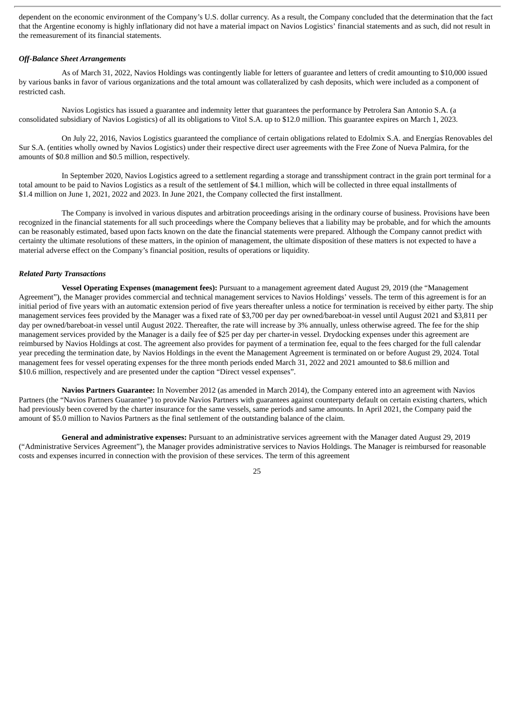dependent on the economic environment of the Company's U.S. dollar currency. As a result, the Company concluded that the determination that the fact that the Argentine economy is highly inflationary did not have a material impact on Navios Logistics' financial statements and as such, did not result in the remeasurement of its financial statements.

# *Off-Balance Sheet Arrangements*

As of March 31, 2022, Navios Holdings was contingently liable for letters of guarantee and letters of credit amounting to \$10,000 issued by various banks in favor of various organizations and the total amount was collateralized by cash deposits, which were included as a component of restricted cash.

Navios Logistics has issued a guarantee and indemnity letter that guarantees the performance by Petrolera San Antonio S.A. (a consolidated subsidiary of Navios Logistics) of all its obligations to Vitol S.A. up to \$12.0 million. This guarantee expires on March 1, 2023.

On July 22, 2016, Navios Logistics guaranteed the compliance of certain obligations related to Edolmix S.A. and Energías Renovables del Sur S.A. (entities wholly owned by Navios Logistics) under their respective direct user agreements with the Free Zone of Nueva Palmira, for the amounts of \$0.8 million and \$0.5 million, respectively.

In September 2020, Navios Logistics agreed to a settlement regarding a storage and transshipment contract in the grain port terminal for a total amount to be paid to Navios Logistics as a result of the settlement of \$4.1 million, which will be collected in three equal installments of \$1.4 million on June 1, 2021, 2022 and 2023. In June 2021, the Company collected the first installment.

The Company is involved in various disputes and arbitration proceedings arising in the ordinary course of business. Provisions have been recognized in the financial statements for all such proceedings where the Company believes that a liability may be probable, and for which the amounts can be reasonably estimated, based upon facts known on the date the financial statements were prepared. Although the Company cannot predict with certainty the ultimate resolutions of these matters, in the opinion of management, the ultimate disposition of these matters is not expected to have a material adverse effect on the Company's financial position, results of operations or liquidity.

#### *Related Party Transactions*

**Vessel Operating Expenses (management fees):** Pursuant to a management agreement dated August 29, 2019 (the "Management Agreement"), the Manager provides commercial and technical management services to Navios Holdings' vessels. The term of this agreement is for an initial period of five years with an automatic extension period of five years thereafter unless a notice for termination is received by either party. The ship management services fees provided by the Manager was a fixed rate of \$3,700 per day per owned/bareboat-in vessel until August 2021 and \$3,811 per day per owned/bareboat-in vessel until August 2022. Thereafter, the rate will increase by 3% annually, unless otherwise agreed. The fee for the ship management services provided by the Manager is a daily fee of \$25 per day per charter-in vessel. Drydocking expenses under this agreement are reimbursed by Navios Holdings at cost. The agreement also provides for payment of a termination fee, equal to the fees charged for the full calendar year preceding the termination date, by Navios Holdings in the event the Management Agreement is terminated on or before August 29, 2024. Total management fees for vessel operating expenses for the three month periods ended March 31, 2022 and 2021 amounted to \$8.6 million and \$10.6 million, respectively and are presented under the caption "Direct vessel expenses".

**Navios Partners Guarantee:** In November 2012 (as amended in March 2014), the Company entered into an agreement with Navios Partners (the "Navios Partners Guarantee") to provide Navios Partners with guarantees against counterparty default on certain existing charters, which had previously been covered by the charter insurance for the same vessels, same periods and same amounts. In April 2021, the Company paid the amount of \$5.0 million to Navios Partners as the final settlement of the outstanding balance of the claim.

**General and administrative expenses:** Pursuant to an administrative services agreement with the Manager dated August 29, 2019 ("Administrative Services Agreement"), the Manager provides administrative services to Navios Holdings. The Manager is reimbursed for reasonable costs and expenses incurred in connection with the provision of these services. The term of this agreement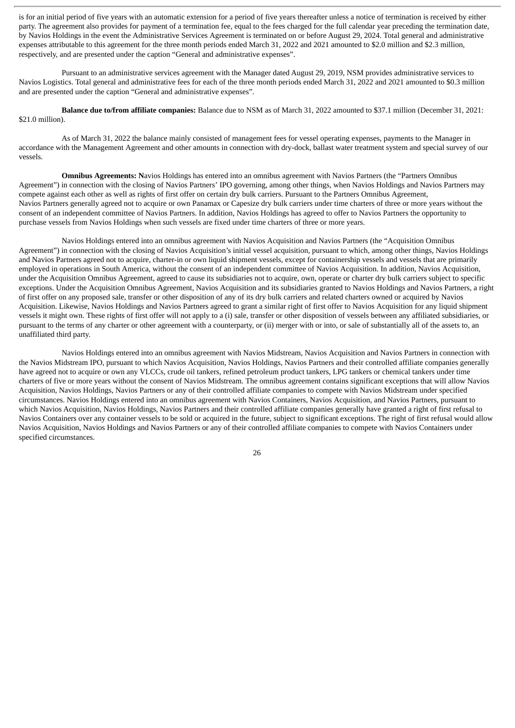is for an initial period of five years with an automatic extension for a period of five years thereafter unless a notice of termination is received by either party. The agreement also provides for payment of a termination fee, equal to the fees charged for the full calendar year preceding the termination date, by Navios Holdings in the event the Administrative Services Agreement is terminated on or before August 29, 2024. Total general and administrative expenses attributable to this agreement for the three month periods ended March 31, 2022 and 2021 amounted to \$2.0 million and \$2.3 million, respectively, and are presented under the caption "General and administrative expenses".

Pursuant to an administrative services agreement with the Manager dated August 29, 2019, NSM provides administrative services to Navios Logistics. Total general and administrative fees for each of the three month periods ended March 31, 2022 and 2021 amounted to \$0.3 million and are presented under the caption "General and administrative expenses".

**Balance due to/from affiliate companies:** Balance due to NSM as of March 31, 2022 amounted to \$37.1 million (December 31, 2021: \$21.0 million).

As of March 31, 2022 the balance mainly consisted of management fees for vessel operating expenses, payments to the Manager in accordance with the Management Agreement and other amounts in connection with dry-dock, ballast water treatment system and special survey of our vessels.

**Omnibus Agreements: N**avios Holdings has entered into an omnibus agreement with Navios Partners (the "Partners Omnibus Agreement") in connection with the closing of Navios Partners' IPO governing, among other things, when Navios Holdings and Navios Partners may compete against each other as well as rights of first offer on certain dry bulk carriers. Pursuant to the Partners Omnibus Agreement, Navios Partners generally agreed not to acquire or own Panamax or Capesize dry bulk carriers under time charters of three or more years without the consent of an independent committee of Navios Partners. In addition, Navios Holdings has agreed to offer to Navios Partners the opportunity to purchase vessels from Navios Holdings when such vessels are fixed under time charters of three or more years.

Navios Holdings entered into an omnibus agreement with Navios Acquisition and Navios Partners (the "Acquisition Omnibus Agreement") in connection with the closing of Navios Acquisition's initial vessel acquisition, pursuant to which, among other things, Navios Holdings and Navios Partners agreed not to acquire, charter-in or own liquid shipment vessels, except for containership vessels and vessels that are primarily employed in operations in South America, without the consent of an independent committee of Navios Acquisition. In addition, Navios Acquisition, under the Acquisition Omnibus Agreement, agreed to cause its subsidiaries not to acquire, own, operate or charter dry bulk carriers subject to specific exceptions. Under the Acquisition Omnibus Agreement, Navios Acquisition and its subsidiaries granted to Navios Holdings and Navios Partners, a right of first offer on any proposed sale, transfer or other disposition of any of its dry bulk carriers and related charters owned or acquired by Navios Acquisition. Likewise, Navios Holdings and Navios Partners agreed to grant a similar right of first offer to Navios Acquisition for any liquid shipment vessels it might own. These rights of first offer will not apply to a (i) sale, transfer or other disposition of vessels between any affiliated subsidiaries, or pursuant to the terms of any charter or other agreement with a counterparty, or (ii) merger with or into, or sale of substantially all of the assets to, an unaffiliated third party.

Navios Holdings entered into an omnibus agreement with Navios Midstream, Navios Acquisition and Navios Partners in connection with the Navios Midstream IPO, pursuant to which Navios Acquisition, Navios Holdings, Navios Partners and their controlled affiliate companies generally have agreed not to acquire or own any VLCCs, crude oil tankers, refined petroleum product tankers, LPG tankers or chemical tankers under time charters of five or more years without the consent of Navios Midstream. The omnibus agreement contains significant exceptions that will allow Navios Acquisition, Navios Holdings, Navios Partners or any of their controlled affiliate companies to compete with Navios Midstream under specified circumstances. Navios Holdings entered into an omnibus agreement with Navios Containers, Navios Acquisition, and Navios Partners, pursuant to which Navios Acquisition, Navios Holdings, Navios Partners and their controlled affiliate companies generally have granted a right of first refusal to Navios Containers over any container vessels to be sold or acquired in the future, subject to significant exceptions. The right of first refusal would allow Navios Acquisition, Navios Holdings and Navios Partners or any of their controlled affiliate companies to compete with Navios Containers under specified circumstances.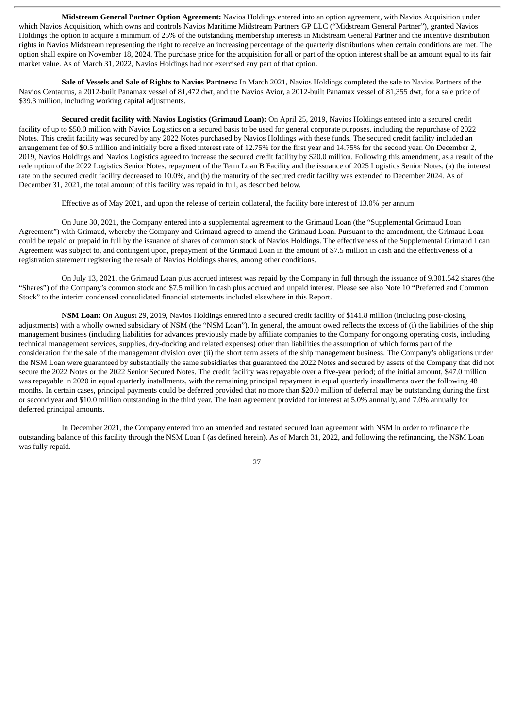**Midstream General Partner Option Agreement:** Navios Holdings entered into an option agreement, with Navios Acquisition under which Navios Acquisition, which owns and controls Navios Maritime Midstream Partners GP LLC ("Midstream General Partner"), granted Navios Holdings the option to acquire a minimum of 25% of the outstanding membership interests in Midstream General Partner and the incentive distribution rights in Navios Midstream representing the right to receive an increasing percentage of the quarterly distributions when certain conditions are met. The option shall expire on November 18, 2024. The purchase price for the acquisition for all or part of the option interest shall be an amount equal to its fair market value. As of March 31, 2022, Navios Holdings had not exercised any part of that option.

**Sale of Vessels and Sale of Rights to Navios Partners:** In March 2021, Navios Holdings completed the sale to Navios Partners of the Navios Centaurus, a 2012-built Panamax vessel of 81,472 dwt, and the Navios Avior, a 2012-built Panamax vessel of 81,355 dwt, for a sale price of \$39.3 million, including working capital adjustments.

**Secured credit facility with Navios Logistics (Grimaud Loan):** On April 25, 2019, Navios Holdings entered into a secured credit facility of up to \$50.0 million with Navios Logistics on a secured basis to be used for general corporate purposes, including the repurchase of 2022 Notes. This credit facility was secured by any 2022 Notes purchased by Navios Holdings with these funds. The secured credit facility included an arrangement fee of \$0.5 million and initially bore a fixed interest rate of 12.75% for the first year and 14.75% for the second year. On December 2, 2019, Navios Holdings and Navios Logistics agreed to increase the secured credit facility by \$20.0 million. Following this amendment, as a result of the redemption of the 2022 Logistics Senior Notes, repayment of the Term Loan B Facility and the issuance of 2025 Logistics Senior Notes, (a) the interest rate on the secured credit facility decreased to 10.0%, and (b) the maturity of the secured credit facility was extended to December 2024. As of December 31, 2021, the total amount of this facility was repaid in full, as described below.

Effective as of May 2021, and upon the release of certain collateral, the facility bore interest of 13.0% per annum.

On June 30, 2021, the Company entered into a supplemental agreement to the Grimaud Loan (the "Supplemental Grimaud Loan Agreement") with Grimaud, whereby the Company and Grimaud agreed to amend the Grimaud Loan. Pursuant to the amendment, the Grimaud Loan could be repaid or prepaid in full by the issuance of shares of common stock of Navios Holdings. The effectiveness of the Supplemental Grimaud Loan Agreement was subject to, and contingent upon, prepayment of the Grimaud Loan in the amount of \$7.5 million in cash and the effectiveness of a registration statement registering the resale of Navios Holdings shares, among other conditions.

On July 13, 2021, the Grimaud Loan plus accrued interest was repaid by the Company in full through the issuance of 9,301,542 shares (the "Shares") of the Company's common stock and \$7.5 million in cash plus accrued and unpaid interest. Please see also Note 10 "Preferred and Common Stock" to the interim condensed consolidated financial statements included elsewhere in this Report.

**NSM Loan:** On August 29, 2019, Navios Holdings entered into a secured credit facility of \$141.8 million (including post-closing adjustments) with a wholly owned subsidiary of NSM (the "NSM Loan"). In general, the amount owed reflects the excess of (i) the liabilities of the ship management business (including liabilities for advances previously made by affiliate companies to the Company for ongoing operating costs, including technical management services, supplies, dry-docking and related expenses) other than liabilities the assumption of which forms part of the consideration for the sale of the management division over (ii) the short term assets of the ship management business. The Company's obligations under the NSM Loan were guaranteed by substantially the same subsidiaries that guaranteed the 2022 Notes and secured by assets of the Company that did not secure the 2022 Notes or the 2022 Senior Secured Notes. The credit facility was repayable over a five-year period; of the initial amount, \$47.0 million was repayable in 2020 in equal quarterly installments, with the remaining principal repayment in equal quarterly installments over the following 48 months. In certain cases, principal payments could be deferred provided that no more than \$20.0 million of deferral may be outstanding during the first or second year and \$10.0 million outstanding in the third year. The loan agreement provided for interest at 5.0% annually, and 7.0% annually for deferred principal amounts.

In December 2021, the Company entered into an amended and restated secured loan agreement with NSM in order to refinance the outstanding balance of this facility through the NSM Loan I (as defined herein). As of March 31, 2022, and following the refinancing, the NSM Loan was fully repaid.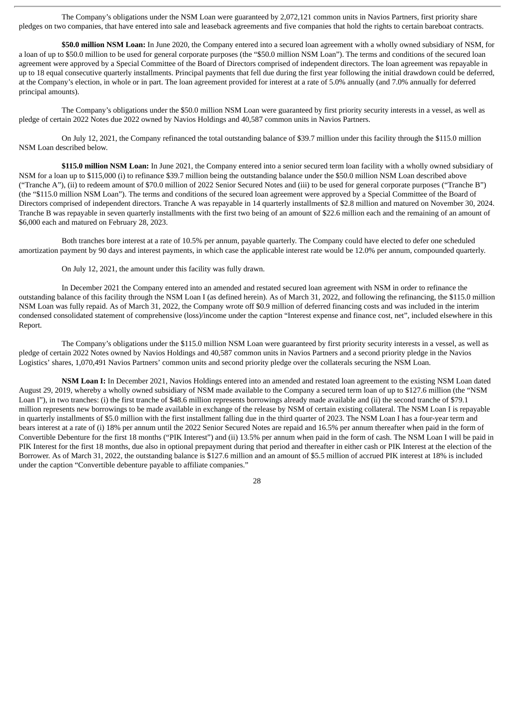The Company's obligations under the NSM Loan were guaranteed by 2,072,121 common units in Navios Partners, first priority share pledges on two companies, that have entered into sale and leaseback agreements and five companies that hold the rights to certain bareboat contracts.

**\$50.0 million NSM Loan:** In June 2020, the Company entered into a secured loan agreement with a wholly owned subsidiary of NSM, for a loan of up to \$50.0 million to be used for general corporate purposes (the "\$50.0 million NSM Loan"). The terms and conditions of the secured loan agreement were approved by a Special Committee of the Board of Directors comprised of independent directors. The loan agreement was repayable in up to 18 equal consecutive quarterly installments. Principal payments that fell due during the first year following the initial drawdown could be deferred, at the Company's election, in whole or in part. The loan agreement provided for interest at a rate of 5.0% annually (and 7.0% annually for deferred principal amounts).

The Company's obligations under the \$50.0 million NSM Loan were guaranteed by first priority security interests in a vessel, as well as pledge of certain 2022 Notes due 2022 owned by Navios Holdings and 40,587 common units in Navios Partners.

On July 12, 2021, the Company refinanced the total outstanding balance of \$39.7 million under this facility through the \$115.0 million NSM Loan described below.

**\$115.0 million NSM Loan:** In June 2021, the Company entered into a senior secured term loan facility with a wholly owned subsidiary of NSM for a loan up to \$115,000 (i) to refinance \$39.7 million being the outstanding balance under the \$50.0 million NSM Loan described above ("Tranche A"), (ii) to redeem amount of \$70.0 million of 2022 Senior Secured Notes and (iii) to be used for general corporate purposes ("Tranche B") (the "\$115.0 million NSM Loan"). The terms and conditions of the secured loan agreement were approved by a Special Committee of the Board of Directors comprised of independent directors. Tranche A was repayable in 14 quarterly installments of \$2.8 million and matured on November 30, 2024. Tranche B was repayable in seven quarterly installments with the first two being of an amount of \$22.6 million each and the remaining of an amount of \$6,000 each and matured on February 28, 2023.

Both tranches bore interest at a rate of 10.5% per annum, payable quarterly. The Company could have elected to defer one scheduled amortization payment by 90 days and interest payments, in which case the applicable interest rate would be 12.0% per annum, compounded quarterly.

On July 12, 2021, the amount under this facility was fully drawn.

In December 2021 the Company entered into an amended and restated secured loan agreement with NSM in order to refinance the outstanding balance of this facility through the NSM Loan I (as defined herein). As of March 31, 2022, and following the refinancing, the \$115.0 million NSM Loan was fully repaid. As of March 31, 2022, the Company wrote off \$0.9 million of deferred financing costs and was included in the interim condensed consolidated statement of comprehensive (loss)/income under the caption "Interest expense and finance cost, net", included elsewhere in this Report.

The Company's obligations under the \$115.0 million NSM Loan were guaranteed by first priority security interests in a vessel, as well as pledge of certain 2022 Notes owned by Navios Holdings and 40,587 common units in Navios Partners and a second priority pledge in the Navios Logistics' shares, 1,070,491 Navios Partners' common units and second priority pledge over the collaterals securing the NSM Loan.

**NSM Loan I:** In December 2021, Navios Holdings entered into an amended and restated loan agreement to the existing NSM Loan dated August 29, 2019, whereby a wholly owned subsidiary of NSM made available to the Company a secured term loan of up to \$127.6 million (the "NSM Loan I"), in two tranches: (i) the first tranche of \$48.6 million represents borrowings already made available and (ii) the second tranche of \$79.1 million represents new borrowings to be made available in exchange of the release by NSM of certain existing collateral. The NSM Loan I is repayable in quarterly installments of \$5.0 million with the first installment falling due in the third quarter of 2023. The NSM Loan I has a four-year term and bears interest at a rate of (i) 18% per annum until the 2022 Senior Secured Notes are repaid and 16.5% per annum thereafter when paid in the form of Convertible Debenture for the first 18 months ("PIK Interest") and (ii) 13.5% per annum when paid in the form of cash. The NSM Loan I will be paid in PIK Interest for the first 18 months, due also in optional prepayment during that period and thereafter in either cash or PIK Interest at the election of the Borrower. As of March 31, 2022, the outstanding balance is \$127.6 million and an amount of \$5.5 million of accrued PIK interest at 18% is included under the caption "Convertible debenture payable to affiliate companies."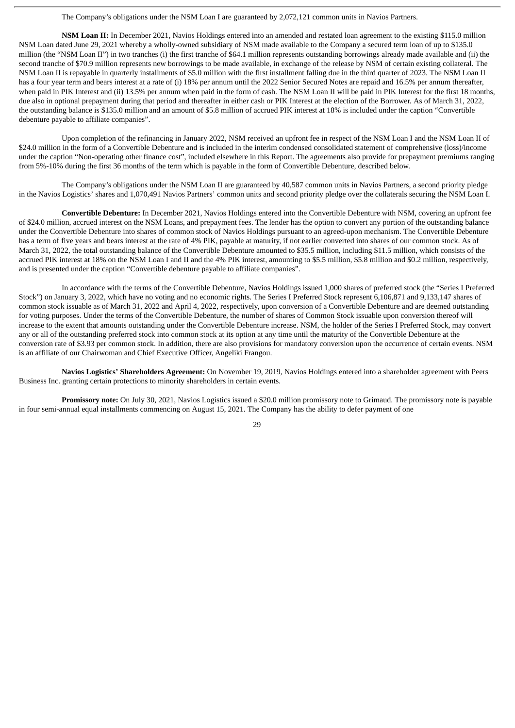The Company's obligations under the NSM Loan I are guaranteed by 2,072,121 common units in Navios Partners.

**NSM Loan II:** In December 2021, Navios Holdings entered into an amended and restated loan agreement to the existing \$115.0 million NSM Loan dated June 29, 2021 whereby a wholly-owned subsidiary of NSM made available to the Company a secured term loan of up to \$135.0 million (the "NSM Loan II") in two tranches (i) the first tranche of \$64.1 million represents outstanding borrowings already made available and (ii) the second tranche of \$70.9 million represents new borrowings to be made available, in exchange of the release by NSM of certain existing collateral. The NSM Loan II is repayable in quarterly installments of \$5.0 million with the first installment falling due in the third quarter of 2023. The NSM Loan II has a four year term and bears interest at a rate of (i) 18% per annum until the 2022 Senior Secured Notes are repaid and 16.5% per annum thereafter, when paid in PIK Interest and (ii) 13.5% per annum when paid in the form of cash. The NSM Loan II will be paid in PIK Interest for the first 18 months, due also in optional prepayment during that period and thereafter in either cash or PIK Interest at the election of the Borrower. As of March 31, 2022, the outstanding balance is \$135.0 million and an amount of \$5.8 million of accrued PIK interest at 18% is included under the caption "Convertible debenture payable to affiliate companies".

Upon completion of the refinancing in January 2022, NSM received an upfront fee in respect of the NSM Loan I and the NSM Loan II of \$24.0 million in the form of a Convertible Debenture and is included in the interim condensed consolidated statement of comprehensive (loss)/income under the caption "Non-operating other finance cost", included elsewhere in this Report. The agreements also provide for prepayment premiums ranging from 5%-10% during the first 36 months of the term which is payable in the form of Convertible Debenture, described below.

The Company's obligations under the NSM Loan II are guaranteed by 40,587 common units in Navios Partners, a second priority pledge in the Navios Logistics' shares and 1,070,491 Navios Partners' common units and second priority pledge over the collaterals securing the NSM Loan I.

**Convertible Debenture:** In December 2021, Navios Holdings entered into the Convertible Debenture with NSM, covering an upfront fee of \$24.0 million, accrued interest on the NSM Loans, and prepayment fees. The lender has the option to convert any portion of the outstanding balance under the Convertible Debenture into shares of common stock of Navios Holdings pursuant to an agreed-upon mechanism. The Convertible Debenture has a term of five years and bears interest at the rate of 4% PIK, payable at maturity, if not earlier converted into shares of our common stock. As of March 31, 2022, the total outstanding balance of the Convertible Debenture amounted to \$35.5 million, including \$11.5 million, which consists of the accrued PIK interest at 18% on the NSM Loan I and II and the 4% PIK interest, amounting to \$5.5 million, \$5.8 million and \$0.2 million, respectively, and is presented under the caption "Convertible debenture payable to affiliate companies".

In accordance with the terms of the Convertible Debenture, Navios Holdings issued 1,000 shares of preferred stock (the "Series I Preferred Stock") on January 3, 2022, which have no voting and no economic rights. The Series I Preferred Stock represent 6,106,871 and 9,133,147 shares of common stock issuable as of March 31, 2022 and April 4, 2022, respectively, upon conversion of a Convertible Debenture and are deemed outstanding for voting purposes. Under the terms of the Convertible Debenture, the number of shares of Common Stock issuable upon conversion thereof will increase to the extent that amounts outstanding under the Convertible Debenture increase. NSM, the holder of the Series I Preferred Stock, may convert any or all of the outstanding preferred stock into common stock at its option at any time until the maturity of the Convertible Debenture at the conversion rate of \$3.93 per common stock. In addition, there are also provisions for mandatory conversion upon the occurrence of certain events. NSM is an affiliate of our Chairwoman and Chief Executive Officer, Angeliki Frangou.

**Navios Logistics' Shareholders Agreement:** On November 19, 2019, Navios Holdings entered into a shareholder agreement with Peers Business Inc. granting certain protections to minority shareholders in certain events.

**Promissory note:** On July 30, 2021, Navios Logistics issued a \$20.0 million promissory note to Grimaud. The promissory note is payable in four semi-annual equal installments commencing on August 15, 2021. The Company has the ability to defer payment of one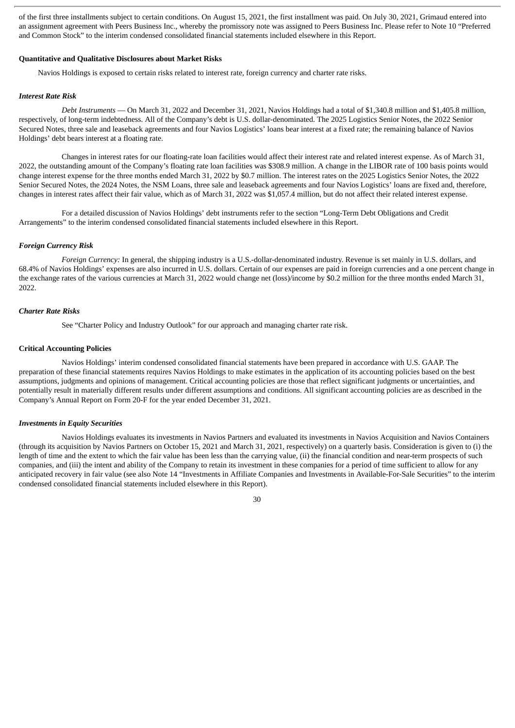of the first three installments subject to certain conditions. On August 15, 2021, the first installment was paid. On July 30, 2021, Grimaud entered into an assignment agreement with Peers Business Inc., whereby the promissory note was assigned to Peers Business Inc. Please refer to Note 10 "Preferred and Common Stock" to the interim condensed consolidated financial statements included elsewhere in this Report.

## **Quantitative and Qualitative Disclosures about Market Risks**

Navios Holdings is exposed to certain risks related to interest rate, foreign currency and charter rate risks.

# *Interest Rate Risk*

*Debt Instruments* — On March 31, 2022 and December 31, 2021, Navios Holdings had a total of \$1,340.8 million and \$1,405.8 million, respectively, of long-term indebtedness. All of the Company's debt is U.S. dollar-denominated. The 2025 Logistics Senior Notes, the 2022 Senior Secured Notes, three sale and leaseback agreements and four Navios Logistics' loans bear interest at a fixed rate; the remaining balance of Navios Holdings' debt bears interest at a floating rate.

Changes in interest rates for our floating-rate loan facilities would affect their interest rate and related interest expense. As of March 31, 2022, the outstanding amount of the Company's floating rate loan facilities was \$308.9 million. A change in the LIBOR rate of 100 basis points would change interest expense for the three months ended March 31, 2022 by \$0.7 million. The interest rates on the 2025 Logistics Senior Notes, the 2022 Senior Secured Notes, the 2024 Notes, the NSM Loans, three sale and leaseback agreements and four Navios Logistics' loans are fixed and, therefore, changes in interest rates affect their fair value, which as of March 31, 2022 was \$1,057.4 million, but do not affect their related interest expense.

For a detailed discussion of Navios Holdings' debt instruments refer to the section "Long-Term Debt Obligations and Credit Arrangements" to the interim condensed consolidated financial statements included elsewhere in this Report.

#### *Foreign Currency Risk*

*Foreign Currency:* In general, the shipping industry is a U.S.-dollar-denominated industry. Revenue is set mainly in U.S. dollars, and 68.4% of Navios Holdings' expenses are also incurred in U.S. dollars. Certain of our expenses are paid in foreign currencies and a one percent change in the exchange rates of the various currencies at March 31, 2022 would change net (loss)/income by \$0.2 million for the three months ended March 31, 2022.

#### *Charter Rate Risks*

See "Charter Policy and Industry Outlook" for our approach and managing charter rate risk.

#### **Critical Accounting Policies**

Navios Holdings' interim condensed consolidated financial statements have been prepared in accordance with U.S. GAAP. The preparation of these financial statements requires Navios Holdings to make estimates in the application of its accounting policies based on the best assumptions, judgments and opinions of management. Critical accounting policies are those that reflect significant judgments or uncertainties, and potentially result in materially different results under different assumptions and conditions. All significant accounting policies are as described in the Company's Annual Report on Form 20-F for the year ended December 31, 2021.

#### *Investments in Equity Securities*

Navios Holdings evaluates its investments in Navios Partners and evaluated its investments in Navios Acquisition and Navios Containers (through its acquisition by Navios Partners on October 15, 2021 and March 31, 2021, respectively) on a quarterly basis. Consideration is given to (i) the length of time and the extent to which the fair value has been less than the carrying value, (ii) the financial condition and near-term prospects of such companies, and (iii) the intent and ability of the Company to retain its investment in these companies for a period of time sufficient to allow for any anticipated recovery in fair value (see also Note 14 "Investments in Affiliate Companies and Investments in Available-For-Sale Securities" to the interim condensed consolidated financial statements included elsewhere in this Report).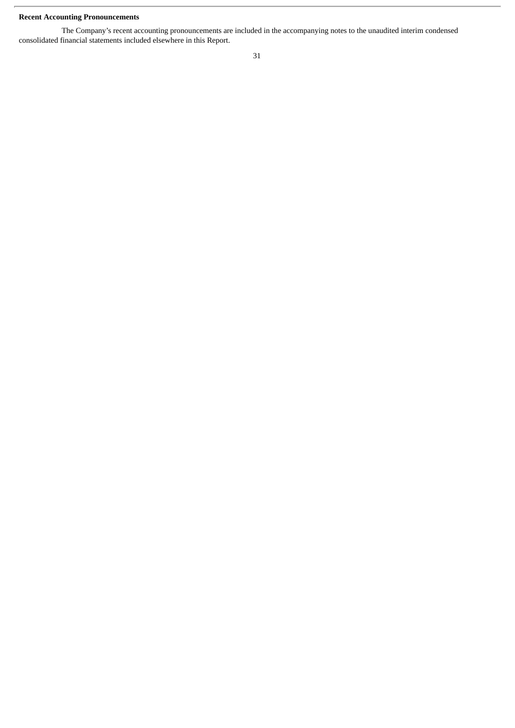# **Recent Accounting Pronouncements**

The Company's recent accounting pronouncements are included in the accompanying notes to the unaudited interim condensed consolidated financial statements included elsewhere in this Report.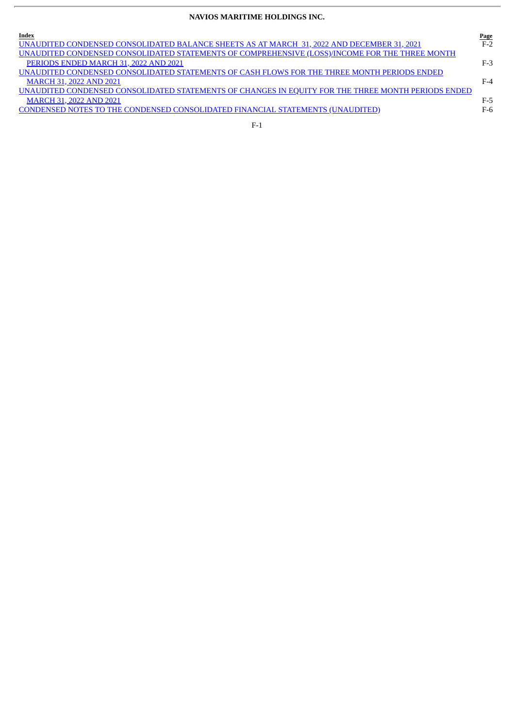# **NAVIOS MARITIME HOLDINGS INC.**

| Index                                                                                              | Page  |
|----------------------------------------------------------------------------------------------------|-------|
| UNAUDITED CONDENSED CONSOLIDATED BALANCE SHEETS AS AT MARCH 31, 2022 AND DECEMBER 31, 2021         | $F-2$ |
| UNAUDITED CONDENSED CONSOLIDATED STATEMENTS OF COMPREHENSIVE (LOSS)/INCOME FOR THE THREE MONTH     |       |
| PERIODS ENDED MARCH 31, 2022 AND 2021                                                              | $F-3$ |
| UNAUDITED CONDENSED CONSOLIDATED STATEMENTS OF CASH FLOWS FOR THE THREE MONTH PERIODS ENDED        |       |
| <b>MARCH 31, 2022 AND 2021</b>                                                                     | $F-4$ |
| UNAUDITED CONDENSED CONSOLIDATED STATEMENTS OF CHANGES IN EQUITY FOR THE THREE MONTH PERIODS ENDED |       |
| <b>MARCH 31, 2022 AND 2021</b>                                                                     | F-5   |
| CONDENSED NOTES TO THE CONDENSED CONSOLIDATED FINANCIAL STATEMENTS (UNAUDITED)                     | F-6   |
|                                                                                                    |       |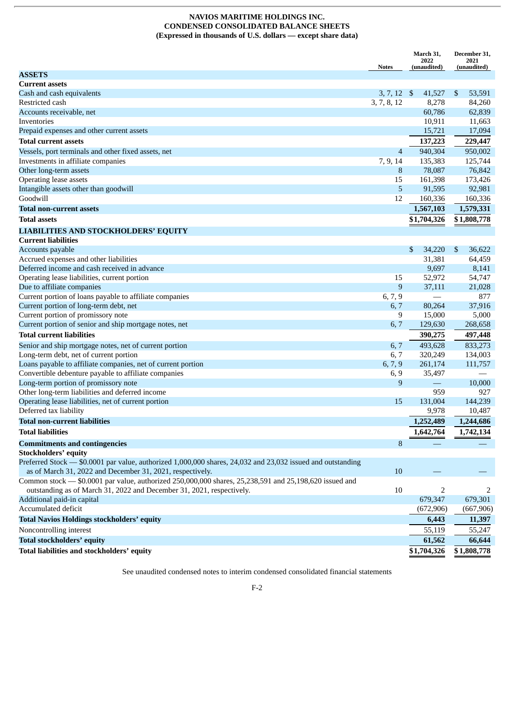# **NAVIOS MARITIME HOLDINGS INC. CONDENSED CONSOLIDATED BALANCE SHEETS (Expressed in thousands of U.S. dollars — except share data)**

<span id="page-32-0"></span>

|                                                                                                             |                | March 31,<br>2022        | December 31,<br>2021 |
|-------------------------------------------------------------------------------------------------------------|----------------|--------------------------|----------------------|
|                                                                                                             | <b>Notes</b>   | (unaudited)              | (unaudited)          |
| <b>ASSETS</b>                                                                                               |                |                          |                      |
| <b>Current assets</b>                                                                                       |                |                          |                      |
| Cash and cash equivalents                                                                                   | $3, 7, 12$ \$  | 41,527                   | \$<br>53,591         |
| Restricted cash                                                                                             | 3, 7, 8, 12    | 8,278                    | 84,260               |
| Accounts receivable, net                                                                                    |                | 60,786                   | 62,839               |
| Inventories                                                                                                 |                | 10,911                   | 11,663               |
| Prepaid expenses and other current assets                                                                   |                | 15,721                   | 17,094               |
| Total current assets                                                                                        |                | 137,223                  | 229,447              |
| Vessels, port terminals and other fixed assets, net                                                         | $\overline{4}$ | 940,304                  | 950,002              |
| Investments in affiliate companies                                                                          | 7, 9, 14       | 135,383                  | 125,744              |
| Other long-term assets                                                                                      | 8              | 78,087                   | 76,842               |
| <b>Operating lease assets</b>                                                                               | 15             | 161,398                  | 173,426              |
| Intangible assets other than goodwill                                                                       | 5              | 91,595                   | 92,981               |
| Goodwill                                                                                                    | 12             | 160,336                  | 160,336              |
| Total non-current assets                                                                                    |                | 1,567,103                | 1,579,331            |
| Total assets                                                                                                |                | \$1,704,326              | \$1,808,778          |
| <b>LIABILITIES AND STOCKHOLDERS' EQUITY</b>                                                                 |                |                          |                      |
| <b>Current liabilities</b>                                                                                  |                |                          |                      |
| Accounts payable                                                                                            |                | \$<br>34,220             | \$<br>36,622         |
| Accrued expenses and other liabilities                                                                      |                | 31,381                   | 64,459               |
| Deferred income and cash received in advance                                                                |                | 9,697                    | 8,141                |
| Operating lease liabilities, current portion                                                                | 15             | 52,972                   | 54,747               |
| Due to affiliate companies                                                                                  | 9              | 37,111                   | 21,028               |
| Current portion of loans payable to affiliate companies                                                     | 6, 7, 9        |                          | 877                  |
| Current portion of long-term debt, net                                                                      | 6, 7           | 80,264                   | 37,916               |
| Current portion of promissory note                                                                          | 9              | 15,000                   | 5,000                |
| Current portion of senior and ship mortgage notes, net                                                      | 6, 7           | 129,630                  | 268,658              |
| <b>Total current liabilities</b>                                                                            |                | 390,275                  | 497,448              |
| Senior and ship mortgage notes, net of current portion                                                      | 6, 7           | 493,628                  | 833,273              |
| Long-term debt, net of current portion                                                                      | 6, 7           | 320,249                  | 134,003              |
| Loans payable to affiliate companies, net of current portion                                                | 6, 7, 9        | 261,174                  | 111,757              |
| Convertible debenture payable to affiliate companies                                                        | 6, 9           | 35,497                   |                      |
| Long-term portion of promissory note                                                                        | 9              | $\overline{\phantom{0}}$ | 10,000               |
| Other long-term liabilities and deferred income                                                             |                | 959                      | 927                  |
| Operating lease liabilities, net of current portion                                                         | 15             | 131,004                  | 144,239              |
| Deferred tax liability                                                                                      |                | 9,978                    | 10,487               |
| <b>Total non-current liabilities</b>                                                                        |                | 1,252,489                | 1,244,686            |
| <b>Total liabilities</b>                                                                                    |                | 1,642,764                | 1,742,134            |
| <b>Commitments and contingencies</b>                                                                        | 8              |                          |                      |
| <b>Stockholders' equity</b>                                                                                 |                |                          |                      |
| Preferred Stock - \$0.0001 par value, authorized 1,000,000 shares, 24,032 and 23,032 issued and outstanding |                |                          |                      |
| as of March 31, 2022 and December 31, 2021, respectively.                                                   | 10             |                          |                      |
| Common stock - \$0.0001 par value, authorized 250,000,000 shares, 25,238,591 and 25,198,620 issued and      |                |                          |                      |
| outstanding as of March 31, 2022 and December 31, 2021, respectively.                                       | 10             | 2                        | 2                    |
| Additional paid-in capital                                                                                  |                | 679,347                  | 679,301              |
| Accumulated deficit                                                                                         |                | (672, 906)               | (667, 906)           |
| <b>Total Navios Holdings stockholders' equity</b>                                                           |                | 6,443                    | 11,397               |
| Noncontrolling interest                                                                                     |                | 55,119                   | 55,247               |
| <b>Total stockholders' equity</b>                                                                           |                | 61,562                   | 66,644               |
| Total liabilities and stockholders' equity                                                                  |                | \$1,704,326              | \$1,808,778          |
|                                                                                                             |                |                          |                      |

See unaudited condensed notes to interim condensed consolidated financial statements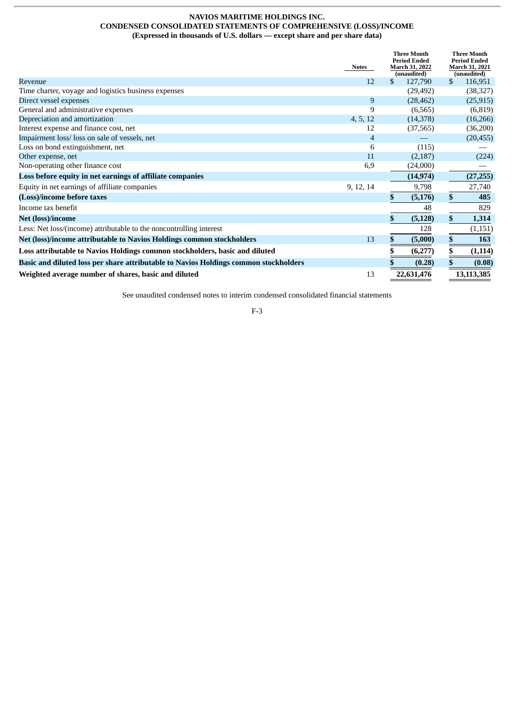# **NAVIOS MARITIME HOLDINGS INC. CONDENSED CONSOLIDATED STATEMENTS OF COMPREHENSIVE (LOSS)/INCOME (Expressed in thousands of U.S. dollars — except share and per share data)**

<span id="page-33-0"></span>

|                                                                                      | <b>Notes</b> |     | <b>Three Month</b><br><b>Period Ended</b><br>March 31, 2022<br>(unaudited) |         | <b>Three Month</b><br><b>Period Ended</b><br><b>March 31, 2021</b><br>(unaudited) |
|--------------------------------------------------------------------------------------|--------------|-----|----------------------------------------------------------------------------|---------|-----------------------------------------------------------------------------------|
| Revenue                                                                              | 12           | \$. | 127,790                                                                    | \$      | 116,951                                                                           |
| Time charter, voyage and logistics business expenses                                 |              |     | (29, 492)                                                                  |         | (38, 327)                                                                         |
| Direct vessel expenses                                                               | 9            |     | (28, 462)                                                                  |         | (25, 915)                                                                         |
| General and administrative expenses                                                  | 9            |     | (6,565)                                                                    |         | (6, 819)                                                                          |
| Depreciation and amortization                                                        | 4, 5, 12     |     | (14, 378)                                                                  |         | (16, 266)                                                                         |
| Interest expense and finance cost, net                                               | 12           |     | (37, 565)                                                                  |         | (36,200)                                                                          |
| Impairment loss/ loss on sale of vessels, net                                        | 4            |     |                                                                            |         | (20, 455)                                                                         |
| Loss on bond extinguishment, net                                                     | 6            |     | (115)                                                                      |         |                                                                                   |
| Other expense, net                                                                   | 11           |     | (2,187)                                                                    |         | (224)                                                                             |
| Non-operating other finance cost                                                     | 6,9          |     | (24,000)                                                                   |         |                                                                                   |
| Loss before equity in net earnings of affiliate companies                            |              |     | (14, 974)                                                                  |         | (27, 255)                                                                         |
| Equity in net earnings of affiliate companies                                        | 9, 12, 14    |     | 9,798                                                                      |         | 27,740                                                                            |
| (Loss)/income before taxes                                                           |              | S.  | (5, 176)                                                                   | \$      | 485                                                                               |
| Income tax benefit                                                                   |              |     | 48                                                                         |         | 829                                                                               |
| <b>Net (loss)/income</b>                                                             |              |     | (5, 128)                                                                   | \$      | 1,314                                                                             |
| Less: Net loss/(income) attributable to the noncontrolling interest                  |              |     | 128                                                                        |         | (1,151)                                                                           |
| Net (loss)/income attributable to Navios Holdings common stockholders                | 13           |     | (5,000)                                                                    | \$<br>÷ | 163                                                                               |
| Loss attributable to Navios Holdings common stockholders, basic and diluted          |              |     | (6,277)                                                                    | \$      | (1, 114)                                                                          |
| Basic and diluted loss per share attributable to Navios Holdings common stockholders |              |     | (0.28)                                                                     | \$      | (0.08)                                                                            |
| Weighted average number of shares, basic and diluted                                 | 13           |     | 22,631,476                                                                 |         | 13,113,385                                                                        |

See unaudited condensed notes to interim condensed consolidated financial statements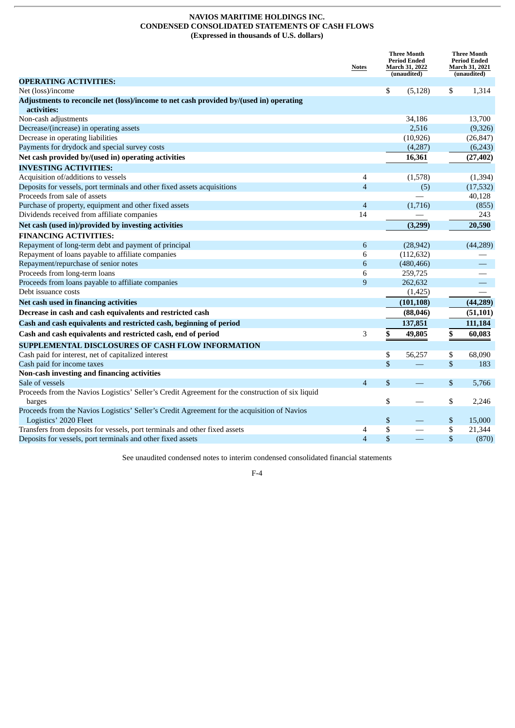# **NAVIOS MARITIME HOLDINGS INC. CONDENSED CONSOLIDATED STATEMENTS OF CASH FLOWS (Expressed in thousands of U.S. dollars)**

<span id="page-34-0"></span>

|                                                                                                  | <b>Notes</b>   | <b>Three Month</b><br><b>Period Ended</b><br>March 31, 2022<br>(unaudited) | <b>Three Month</b><br><b>Period Ended</b><br>March 31, 2021<br>(unaudited) |
|--------------------------------------------------------------------------------------------------|----------------|----------------------------------------------------------------------------|----------------------------------------------------------------------------|
| <b>OPERATING ACTIVITIES:</b>                                                                     |                |                                                                            |                                                                            |
| Net (loss)/income                                                                                |                | \$<br>(5, 128)                                                             | \$<br>1,314                                                                |
| Adjustments to reconcile net (loss)/income to net cash provided by/(used in) operating           |                |                                                                            |                                                                            |
| activities:                                                                                      |                |                                                                            |                                                                            |
| Non-cash adjustments                                                                             |                | 34,186                                                                     | 13,700                                                                     |
| Decrease/(increase) in operating assets                                                          |                | 2,516                                                                      | (9,326)                                                                    |
| Decrease in operating liabilities                                                                |                | (10, 926)                                                                  | (26, 847)                                                                  |
| Payments for drydock and special survey costs                                                    |                | (4,287)                                                                    | (6,243)                                                                    |
| Net cash provided by/(used in) operating activities                                              |                | 16,361                                                                     | (27, 402)                                                                  |
| <b>INVESTING ACTIVITIES:</b>                                                                     |                |                                                                            |                                                                            |
| Acquisition of/additions to vessels                                                              | 4              | (1,578)                                                                    | (1, 394)                                                                   |
| Deposits for vessels, port terminals and other fixed assets acquisitions                         | $\overline{4}$ | (5)                                                                        | (17, 532)                                                                  |
| Proceeds from sale of assets                                                                     |                |                                                                            | 40,128                                                                     |
| Purchase of property, equipment and other fixed assets                                           | $\overline{4}$ | (1,716)                                                                    | (855)                                                                      |
| Dividends received from affiliate companies                                                      | 14             |                                                                            | 243                                                                        |
| Net cash (used in)/provided by investing activities                                              |                | (3,299)                                                                    | 20,590                                                                     |
| <b>FINANCING ACTIVITIES:</b>                                                                     |                |                                                                            |                                                                            |
| Repayment of long-term debt and payment of principal                                             | 6              | (28, 942)                                                                  | (44, 289)                                                                  |
| Repayment of loans payable to affiliate companies                                                | 6              | (112, 632)                                                                 |                                                                            |
| Repayment/repurchase of senior notes                                                             | 6              | (480, 466)                                                                 |                                                                            |
| Proceeds from long-term loans                                                                    | 6              | 259,725                                                                    |                                                                            |
| Proceeds from loans payable to affiliate companies                                               | 9              | 262,632                                                                    |                                                                            |
| Debt issuance costs                                                                              |                | (1, 425)                                                                   | $\equiv$                                                                   |
| Net cash used in financing activities                                                            |                | (101, 108)                                                                 | (44, 289)                                                                  |
| Decrease in cash and cash equivalents and restricted cash                                        |                | (88, 046)                                                                  | (51, 101)                                                                  |
| Cash and cash equivalents and restricted cash, beginning of period                               |                | 137,851                                                                    | 111,184                                                                    |
| Cash and cash equivalents and restricted cash, end of period                                     | 3              | \$<br>49,805                                                               | \$<br>60,083                                                               |
| SUPPLEMENTAL DISCLOSURES OF CASH FLOW INFORMATION                                                |                |                                                                            |                                                                            |
| Cash paid for interest, net of capitalized interest                                              |                | \$<br>56,257                                                               | \$<br>68,090                                                               |
| Cash paid for income taxes                                                                       |                | \$                                                                         | \$<br>183                                                                  |
| Non-cash investing and financing activities                                                      |                |                                                                            |                                                                            |
| Sale of vessels                                                                                  | $\overline{4}$ | \$                                                                         | \$<br>5,766                                                                |
| Proceeds from the Navios Logistics' Seller's Credit Agreement for the construction of six liquid |                |                                                                            |                                                                            |
| barges                                                                                           |                | \$                                                                         | \$<br>2,246                                                                |
| Proceeds from the Navios Logistics' Seller's Credit Agreement for the acquisition of Navios      |                |                                                                            |                                                                            |
| Logistics' 2020 Fleet                                                                            |                | \$                                                                         | \$<br>15,000                                                               |
| Transfers from deposits for vessels, port terminals and other fixed assets                       | 4              | \$                                                                         | \$<br>21,344                                                               |
| Deposits for vessels, port terminals and other fixed assets                                      | $\overline{4}$ | \$                                                                         | \$<br>(870)                                                                |
|                                                                                                  |                |                                                                            |                                                                            |

See unaudited condensed notes to interim condensed consolidated financial statements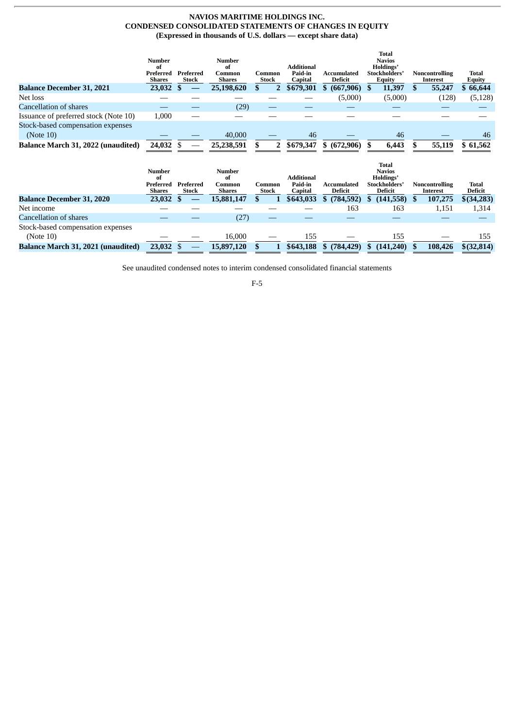# **NAVIOS MARITIME HOLDINGS INC. CONDENSED CONSOLIDATED STATEMENTS OF CHANGES IN EQUITY (Expressed in thousands of U.S. dollars — except share data)**

<span id="page-35-0"></span>

|                                       | <b>Number</b>             |                           | <b>Number</b>          |                 |                                         |                        | Total<br><b>Navios</b>               |                                   |                        |
|---------------------------------------|---------------------------|---------------------------|------------------------|-----------------|-----------------------------------------|------------------------|--------------------------------------|-----------------------------------|------------------------|
|                                       | of<br>Preferred<br>Shares | Preferred<br><b>Stock</b> | оf<br>Common<br>Shares | Common<br>Stock | <b>Additional</b><br>Paid-in<br>Capital | Accumulated<br>Deficit | Holdings'<br>Stockholders'<br>Equity | <b>Noncontrolling</b><br>Interest | <b>Total</b><br>Equity |
| <b>Balance December 31, 2021</b>      | 23,032                    |                           | 25,198,620             |                 | \$679,301                               | (667,906)              | 11,397                               | 55,247                            | \$66,644               |
| Net loss                              |                           |                           |                        |                 |                                         | (5,000)                | (5,000)                              | (128)                             | (5, 128)               |
| Cancellation of shares                |                           |                           | (29)                   |                 |                                         |                        |                                      |                                   |                        |
| Issuance of preferred stock (Note 10) | 1,000                     |                           |                        |                 |                                         |                        |                                      |                                   |                        |
| Stock-based compensation expenses     |                           |                           |                        |                 |                                         |                        |                                      |                                   |                        |
| (Note 10)                             |                           |                           | 40,000                 |                 | 46                                      |                        | 46                                   |                                   | 46                     |
| Balance March 31, 2022 (unaudited)    | 24,032                    |                           | 25,238,591             |                 | \$679,347                               | \$ (672.906)           | 6.443                                | 55,119                            | \$61,562               |

|                                    | Number                           |                           | <b>Number</b>                 |                 |                                  |                               | <b>Total</b><br><b>Navios</b>         |                                   |                         |
|------------------------------------|----------------------------------|---------------------------|-------------------------------|-----------------|----------------------------------|-------------------------------|---------------------------------------|-----------------------------------|-------------------------|
|                                    | of<br>Preferred<br><b>Shares</b> | Preferred<br><b>Stock</b> | of<br>Common<br><b>Shares</b> | Common<br>Stock | Additional<br>Paid-in<br>Capital | Accumulated<br><b>Deficit</b> | Holdings'<br>Stockholders'<br>Deficit | <b>Noncontrolling</b><br>Interest | <b>Total</b><br>Deficit |
| <b>Balance December 31, 2020</b>   | 23,032                           |                           | 15,881,147                    |                 | \$643,033                        | (784, 592)                    | (141, 558)<br>S.                      | 107,275<br>S.                     | $$$ (34,283)            |
| Net income                         |                                  |                           |                               |                 |                                  | 163                           | 163                                   | 1,151                             | 1,314                   |
| Cancellation of shares             |                                  |                           | (27)                          |                 |                                  |                               |                                       |                                   |                         |
| Stock-based compensation expenses  |                                  |                           |                               |                 |                                  |                               |                                       |                                   |                         |
| (Note 10)                          |                                  |                           | 16.000                        |                 | 155                              |                               | 155                                   |                                   | 155                     |
| Balance March 31, 2021 (unaudited) | 23,032                           |                           | 15,897,120                    |                 | \$643,188                        | (784, 429)                    | (141,240)                             | 108,426                           | $$$ (32,814)            |

See unaudited condensed notes to interim condensed consolidated financial statements

F-5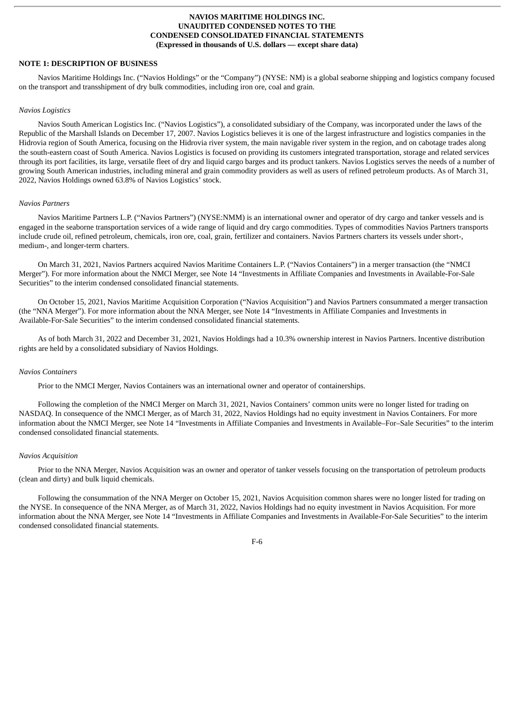# <span id="page-36-0"></span>**NOTE 1: DESCRIPTION OF BUSINESS**

Navios Maritime Holdings Inc. ("Navios Holdings" or the "Company") (NYSE: NM) is a global seaborne shipping and logistics company focused on the transport and transshipment of dry bulk commodities, including iron ore, coal and grain.

#### *Navios Logistics*

Navios South American Logistics Inc. ("Navios Logistics"), a consolidated subsidiary of the Company, was incorporated under the laws of the Republic of the Marshall Islands on December 17, 2007. Navios Logistics believes it is one of the largest infrastructure and logistics companies in the Hidrovia region of South America, focusing on the Hidrovia river system, the main navigable river system in the region, and on cabotage trades along the south-eastern coast of South America. Navios Logistics is focused on providing its customers integrated transportation, storage and related services through its port facilities, its large, versatile fleet of dry and liquid cargo barges and its product tankers. Navios Logistics serves the needs of a number of growing South American industries, including mineral and grain commodity providers as well as users of refined petroleum products. As of March 31, 2022, Navios Holdings owned 63.8% of Navios Logistics' stock.

# *Navios Partners*

Navios Maritime Partners L.P. ("Navios Partners") (NYSE:NMM) is an international owner and operator of dry cargo and tanker vessels and is engaged in the seaborne transportation services of a wide range of liquid and dry cargo commodities. Types of commodities Navios Partners transports include crude oil, refined petroleum, chemicals, iron ore, coal, grain, fertilizer and containers. Navios Partners charters its vessels under short-, medium-, and longer-term charters.

On March 31, 2021, Navios Partners acquired Navios Maritime Containers L.P. ("Navios Containers") in a merger transaction (the "NMCI Merger"). For more information about the NMCI Merger, see Note 14 "Investments in Affiliate Companies and Investments in Available-For-Sale Securities" to the interim condensed consolidated financial statements.

On October 15, 2021, Navios Maritime Acquisition Corporation ("Navios Acquisition") and Navios Partners consummated a merger transaction (the "NNA Merger"). For more information about the NNA Merger, see Note 14 "Investments in Affiliate Companies and Investments in Available-For-Sale Securities" to the interim condensed consolidated financial statements.

As of both March 31, 2022 and December 31, 2021, Navios Holdings had a 10.3% ownership interest in Navios Partners. Incentive distribution rights are held by a consolidated subsidiary of Navios Holdings.

#### *Navios Containers*

Prior to the NMCI Merger, Navios Containers was an international owner and operator of containerships.

Following the completion of the NMCI Merger on March 31, 2021, Navios Containers' common units were no longer listed for trading on NASDAQ. In consequence of the NMCI Merger, as of March 31, 2022, Navios Holdings had no equity investment in Navios Containers. For more information about the NMCI Merger, see Note 14 "Investments in Affiliate Companies and Investments in Available–For–Sale Securities" to the interim condensed consolidated financial statements.

#### *Navios Acquisition*

Prior to the NNA Merger, Navios Acquisition was an owner and operator of tanker vessels focusing on the transportation of petroleum products (clean and dirty) and bulk liquid chemicals.

Following the consummation of the NNA Merger on October 15, 2021, Navios Acquisition common shares were no longer listed for trading on the NYSE. In consequence of the NNA Merger, as of March 31, 2022, Navios Holdings had no equity investment in Navios Acquisition. For more information about the NNA Merger, see Note 14 "Investments in Affiliate Companies and Investments in Available-For-Sale Securities" to the interim condensed consolidated financial statements.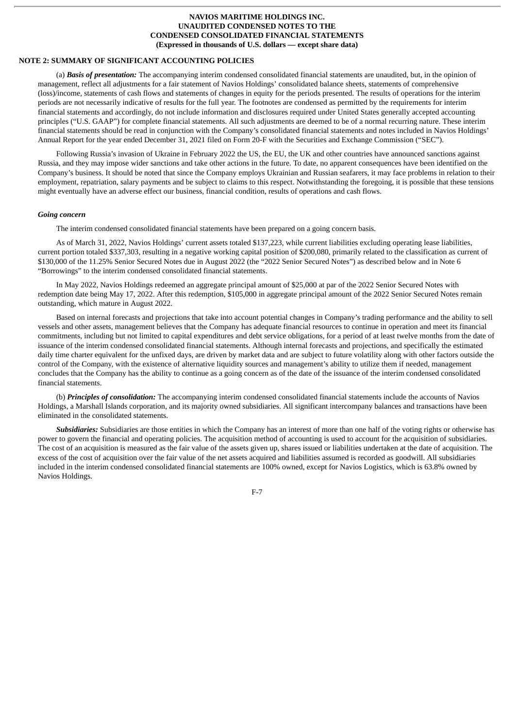# **NOTE 2: SUMMARY OF SIGNIFICANT ACCOUNTING POLICIES**

(a) *Basis of presentation:* The accompanying interim condensed consolidated financial statements are unaudited, but, in the opinion of management, reflect all adjustments for a fair statement of Navios Holdings' consolidated balance sheets, statements of comprehensive (loss)/income, statements of cash flows and statements of changes in equity for the periods presented. The results of operations for the interim periods are not necessarily indicative of results for the full year. The footnotes are condensed as permitted by the requirements for interim financial statements and accordingly, do not include information and disclosures required under United States generally accepted accounting principles ("U.S. GAAP") for complete financial statements. All such adjustments are deemed to be of a normal recurring nature. These interim financial statements should be read in conjunction with the Company's consolidated financial statements and notes included in Navios Holdings' Annual Report for the year ended December 31, 2021 filed on Form 20-F with the Securities and Exchange Commission ("SEC").

Following Russia's invasion of Ukraine in February 2022 the US, the EU, the UK and other countries have announced sanctions against Russia, and they may impose wider sanctions and take other actions in the future. To date, no apparent consequences have been identified on the Company's business. It should be noted that since the Company employs Ukrainian and Russian seafarers, it may face problems in relation to their employment, repatriation, salary payments and be subject to claims to this respect. Notwithstanding the foregoing, it is possible that these tensions might eventually have an adverse effect our business, financial condition, results of operations and cash flows.

#### *Going concern*

The interim condensed consolidated financial statements have been prepared on a going concern basis.

As of March 31, 2022, Navios Holdings' current assets totaled \$137,223, while current liabilities excluding operating lease liabilities, current portion totaled \$337,303, resulting in a negative working capital position of \$200,080, primarily related to the classification as current of \$130,000 of the 11.25% Senior Secured Notes due in August 2022 (the "2022 Senior Secured Notes") as described below and in Note 6 "Borrowings" to the interim condensed consolidated financial statements.

In May 2022, Navios Holdings redeemed an aggregate principal amount of \$25,000 at par of the 2022 Senior Secured Notes with redemption date being May 17, 2022. After this redemption, \$105,000 in aggregate principal amount of the 2022 Senior Secured Notes remain outstanding, which mature in August 2022.

Based on internal forecasts and projections that take into account potential changes in Company's trading performance and the ability to sell vessels and other assets, management believes that the Company has adequate financial resources to continue in operation and meet its financial commitments, including but not limited to capital expenditures and debt service obligations, for a period of at least twelve months from the date of issuance of the interim condensed consolidated financial statements. Although internal forecasts and projections, and specifically the estimated daily time charter equivalent for the unfixed days, are driven by market data and are subject to future volatility along with other factors outside the control of the Company, with the existence of alternative liquidity sources and management's ability to utilize them if needed, management concludes that the Company has the ability to continue as a going concern as of the date of the issuance of the interim condensed consolidated financial statements.

(b) *Principles of consolidation:* The accompanying interim condensed consolidated financial statements include the accounts of Navios Holdings, a Marshall Islands corporation, and its majority owned subsidiaries. All significant intercompany balances and transactions have been eliminated in the consolidated statements.

*Subsidiaries:* Subsidiaries are those entities in which the Company has an interest of more than one half of the voting rights or otherwise has power to govern the financial and operating policies. The acquisition method of accounting is used to account for the acquisition of subsidiaries. The cost of an acquisition is measured as the fair value of the assets given up, shares issued or liabilities undertaken at the date of acquisition. The excess of the cost of acquisition over the fair value of the net assets acquired and liabilities assumed is recorded as goodwill. All subsidiaries included in the interim condensed consolidated financial statements are 100% owned, except for Navios Logistics, which is 63.8% owned by Navios Holdings.

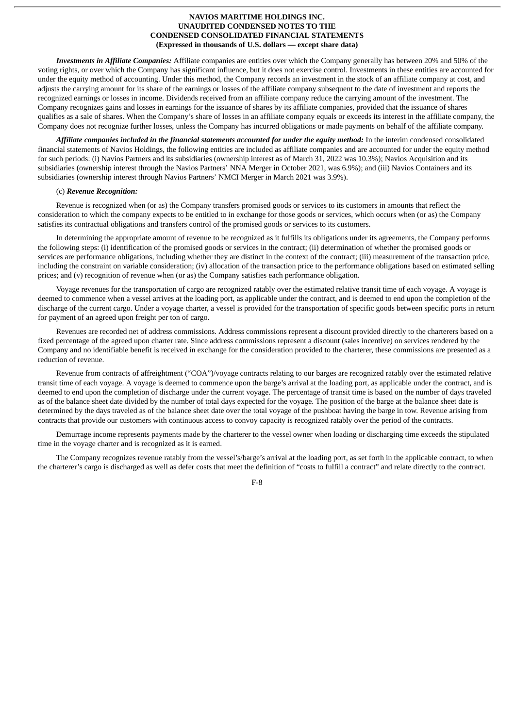*Investments in Affiliate Companies:* Affiliate companies are entities over which the Company generally has between 20% and 50% of the voting rights, or over which the Company has significant influence, but it does not exercise control. Investments in these entities are accounted for under the equity method of accounting. Under this method, the Company records an investment in the stock of an affiliate company at cost, and adjusts the carrying amount for its share of the earnings or losses of the affiliate company subsequent to the date of investment and reports the recognized earnings or losses in income. Dividends received from an affiliate company reduce the carrying amount of the investment. The Company recognizes gains and losses in earnings for the issuance of shares by its affiliate companies, provided that the issuance of shares qualifies as a sale of shares. When the Company's share of losses in an affiliate company equals or exceeds its interest in the affiliate company, the Company does not recognize further losses, unless the Company has incurred obligations or made payments on behalf of the affiliate company.

*Affiliate companies included in the financial statements accounted for under the equity method:* In the interim condensed consolidated financial statements of Navios Holdings, the following entities are included as affiliate companies and are accounted for under the equity method for such periods: (i) Navios Partners and its subsidiaries (ownership interest as of March 31, 2022 was 10.3%); Navios Acquisition and its subsidiaries (ownership interest through the Navios Partners' NNA Merger in October 2021, was 6.9%); and (iii) Navios Containers and its subsidiaries (ownership interest through Navios Partners' NMCI Merger in March 2021 was 3.9%).

#### (c) *Revenue Recognition:*

Revenue is recognized when (or as) the Company transfers promised goods or services to its customers in amounts that reflect the consideration to which the company expects to be entitled to in exchange for those goods or services, which occurs when (or as) the Company satisfies its contractual obligations and transfers control of the promised goods or services to its customers.

In determining the appropriate amount of revenue to be recognized as it fulfills its obligations under its agreements, the Company performs the following steps: (i) identification of the promised goods or services in the contract; (ii) determination of whether the promised goods or services are performance obligations, including whether they are distinct in the context of the contract; (iii) measurement of the transaction price, including the constraint on variable consideration; (iv) allocation of the transaction price to the performance obligations based on estimated selling prices; and (v) recognition of revenue when (or as) the Company satisfies each performance obligation.

Voyage revenues for the transportation of cargo are recognized ratably over the estimated relative transit time of each voyage. A voyage is deemed to commence when a vessel arrives at the loading port, as applicable under the contract, and is deemed to end upon the completion of the discharge of the current cargo. Under a voyage charter, a vessel is provided for the transportation of specific goods between specific ports in return for payment of an agreed upon freight per ton of cargo.

Revenues are recorded net of address commissions. Address commissions represent a discount provided directly to the charterers based on a fixed percentage of the agreed upon charter rate. Since address commissions represent a discount (sales incentive) on services rendered by the Company and no identifiable benefit is received in exchange for the consideration provided to the charterer, these commissions are presented as a reduction of revenue.

Revenue from contracts of affreightment ("COA")/voyage contracts relating to our barges are recognized ratably over the estimated relative transit time of each voyage. A voyage is deemed to commence upon the barge's arrival at the loading port, as applicable under the contract, and is deemed to end upon the completion of discharge under the current voyage. The percentage of transit time is based on the number of days traveled as of the balance sheet date divided by the number of total days expected for the voyage. The position of the barge at the balance sheet date is determined by the days traveled as of the balance sheet date over the total voyage of the pushboat having the barge in tow. Revenue arising from contracts that provide our customers with continuous access to convoy capacity is recognized ratably over the period of the contracts.

Demurrage income represents payments made by the charterer to the vessel owner when loading or discharging time exceeds the stipulated time in the voyage charter and is recognized as it is earned.

The Company recognizes revenue ratably from the vessel's/barge's arrival at the loading port, as set forth in the applicable contract, to when the charterer's cargo is discharged as well as defer costs that meet the definition of "costs to fulfill a contract" and relate directly to the contract.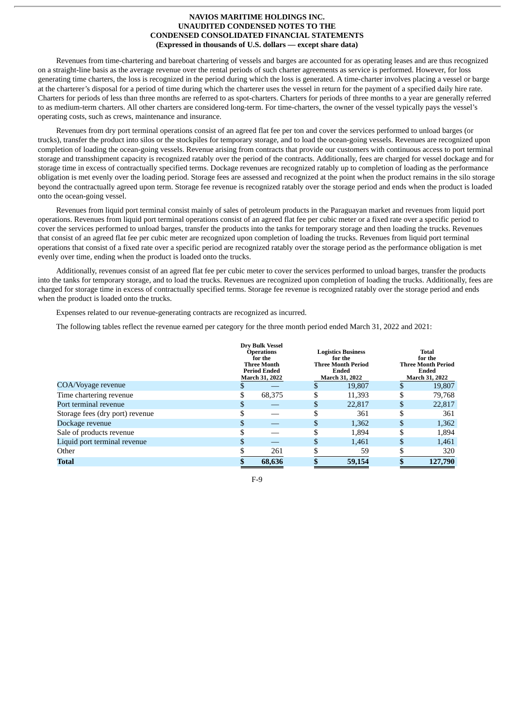Revenues from time-chartering and bareboat chartering of vessels and barges are accounted for as operating leases and are thus recognized on a straight-line basis as the average revenue over the rental periods of such charter agreements as service is performed. However, for loss generating time charters, the loss is recognized in the period during which the loss is generated. A time-charter involves placing a vessel or barge at the charterer's disposal for a period of time during which the charterer uses the vessel in return for the payment of a specified daily hire rate. Charters for periods of less than three months are referred to as spot-charters. Charters for periods of three months to a year are generally referred to as medium-term charters. All other charters are considered long-term. For time-charters, the owner of the vessel typically pays the vessel's operating costs, such as crews, maintenance and insurance.

Revenues from dry port terminal operations consist of an agreed flat fee per ton and cover the services performed to unload barges (or trucks), transfer the product into silos or the stockpiles for temporary storage, and to load the ocean-going vessels. Revenues are recognized upon completion of loading the ocean-going vessels. Revenue arising from contracts that provide our customers with continuous access to port terminal storage and transshipment capacity is recognized ratably over the period of the contracts. Additionally, fees are charged for vessel dockage and for storage time in excess of contractually specified terms. Dockage revenues are recognized ratably up to completion of loading as the performance obligation is met evenly over the loading period. Storage fees are assessed and recognized at the point when the product remains in the silo storage beyond the contractually agreed upon term. Storage fee revenue is recognized ratably over the storage period and ends when the product is loaded onto the ocean-going vessel.

Revenues from liquid port terminal consist mainly of sales of petroleum products in the Paraguayan market and revenues from liquid port operations. Revenues from liquid port terminal operations consist of an agreed flat fee per cubic meter or a fixed rate over a specific period to cover the services performed to unload barges, transfer the products into the tanks for temporary storage and then loading the trucks. Revenues that consist of an agreed flat fee per cubic meter are recognized upon completion of loading the trucks. Revenues from liquid port terminal operations that consist of a fixed rate over a specific period are recognized ratably over the storage period as the performance obligation is met evenly over time, ending when the product is loaded onto the trucks.

Additionally, revenues consist of an agreed flat fee per cubic meter to cover the services performed to unload barges, transfer the products into the tanks for temporary storage, and to load the trucks. Revenues are recognized upon completion of loading the trucks. Additionally, fees are charged for storage time in excess of contractually specified terms. Storage fee revenue is recognized ratably over the storage period and ends when the product is loaded onto the trucks.

Expenses related to our revenue-generating contracts are recognized as incurred.

The following tables reflect the revenue earned per category for the three month period ended March 31, 2022 and 2021:

|                                 |     | <b>Drv Bulk Vessel</b><br><b>Operations</b><br>for the<br><b>Three Month</b><br><b>Period Ended</b><br>March 31, 2022 |    | <b>Logistics Business</b><br>for the<br><b>Three Month Period</b><br>Ended<br><b>March 31, 2022</b> |    | Total<br>for the<br><b>Three Month Period</b><br>Ended<br>March 31, 2022 |
|---------------------------------|-----|-----------------------------------------------------------------------------------------------------------------------|----|-----------------------------------------------------------------------------------------------------|----|--------------------------------------------------------------------------|
| COA/Voyage revenue              |     |                                                                                                                       | S  | 19,807                                                                                              |    | 19,807                                                                   |
| Time chartering revenue         | S   | 68,375                                                                                                                | S  | 11,393                                                                                              | S  | 79,768                                                                   |
| Port terminal revenue           | \$. |                                                                                                                       | \$ | 22,817                                                                                              | S. | 22,817                                                                   |
| Storage fees (dry port) revenue |     |                                                                                                                       | \$ | 361                                                                                                 |    | 361                                                                      |
| Dockage revenue                 |     |                                                                                                                       | \$ | 1,362                                                                                               | S  | 1,362                                                                    |
| Sale of products revenue        |     |                                                                                                                       | \$ | 1,894                                                                                               | S  | 1,894                                                                    |
| Liquid port terminal revenue    | \$. |                                                                                                                       | \$ | 1,461                                                                                               | \$ | 1,461                                                                    |
| Other                           |     | 261                                                                                                                   |    | 59                                                                                                  |    | 320                                                                      |
| Total                           |     | 68,636                                                                                                                |    | 59,154                                                                                              |    | 127,790                                                                  |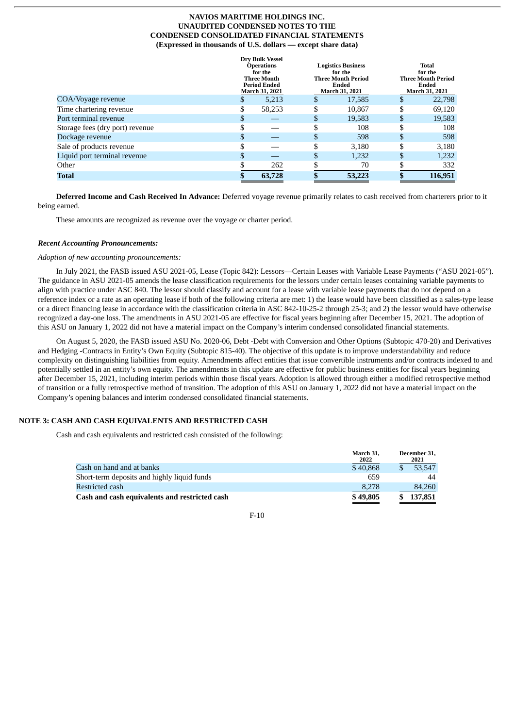|                                 |    | <b>Dry Bulk Vessel</b><br><b>Operations</b><br>for the<br><b>Three Month</b><br><b>Period Ended</b><br><b>March 31, 2021</b> |    | <b>Logistics Business</b><br>for the<br><b>Three Month Period</b><br>Ended<br>March 31, 2021 | <b>Total</b><br>for the<br><b>Three Month Period</b><br>Ended<br>March 31, 2021 |         |  |
|---------------------------------|----|------------------------------------------------------------------------------------------------------------------------------|----|----------------------------------------------------------------------------------------------|---------------------------------------------------------------------------------|---------|--|
| COA/Voyage revenue              | S  | 5,213                                                                                                                        | S  | 17,585                                                                                       | S                                                                               | 22,798  |  |
| Time chartering revenue         |    | 58,253                                                                                                                       | \$ | 10.867                                                                                       | \$                                                                              | 69,120  |  |
| Port terminal revenue           | S  |                                                                                                                              | \$ | 19,583                                                                                       | \$                                                                              | 19,583  |  |
| Storage fees (dry port) revenue | \$ |                                                                                                                              | \$ | 108                                                                                          | \$                                                                              | 108     |  |
| Dockage revenue                 | \$ |                                                                                                                              | \$ | 598                                                                                          | \$                                                                              | 598     |  |
| Sale of products revenue        |    |                                                                                                                              | \$ | 3,180                                                                                        | \$                                                                              | 3,180   |  |
| Liquid port terminal revenue    |    |                                                                                                                              | \$ | 1.232                                                                                        | \$                                                                              | 1,232   |  |
| Other                           |    | 262                                                                                                                          |    | 70                                                                                           |                                                                                 | 332     |  |
| <b>Total</b>                    |    | 63,728                                                                                                                       |    | 53,223                                                                                       |                                                                                 | 116,951 |  |

**Deferred Income and Cash Received In Advance:** Deferred voyage revenue primarily relates to cash received from charterers prior to it being earned.

These amounts are recognized as revenue over the voyage or charter period.

#### *Recent Accounting Pronouncements:*

#### *Adoption of new accounting pronouncements:*

In July 2021, the FASB issued ASU 2021-05, Lease (Topic 842): Lessors—Certain Leases with Variable Lease Payments ("ASU 2021-05"). The guidance in ASU 2021-05 amends the lease classification requirements for the lessors under certain leases containing variable payments to align with practice under ASC 840. The lessor should classify and account for a lease with variable lease payments that do not depend on a reference index or a rate as an operating lease if both of the following criteria are met: 1) the lease would have been classified as a sales-type lease or a direct financing lease in accordance with the classification criteria in ASC 842-10-25-2 through 25-3; and 2) the lessor would have otherwise recognized a day-one loss. The amendments in ASU 2021-05 are effective for fiscal years beginning after December 15, 2021. The adoption of this ASU on January 1, 2022 did not have a material impact on the Company's interim condensed consolidated financial statements.

On August 5, 2020, the FASB issued ASU No. 2020-06, Debt -Debt with Conversion and Other Options (Subtopic 470-20) and Derivatives and Hedging -Contracts in Entity's Own Equity (Subtopic 815-40). The objective of this update is to improve understandability and reduce complexity on distinguishing liabilities from equity. Amendments affect entities that issue convertible instruments and/or contracts indexed to and potentially settled in an entity's own equity. The amendments in this update are effective for public business entities for fiscal years beginning after December 15, 2021, including interim periods within those fiscal years. Adoption is allowed through either a modified retrospective method of transition or a fully retrospective method of transition. The adoption of this ASU on January 1, 2022 did not have a material impact on the Company's opening balances and interim condensed consolidated financial statements.

# **NOTE 3: CASH AND CASH EQUIVALENTS AND RESTRICTED CASH**

Cash and cash equivalents and restricted cash consisted of the following:

|                                               | March 31.<br>2022 | December 31,<br>2021 |
|-----------------------------------------------|-------------------|----------------------|
| Cash on hand and at banks                     | \$40,868          | 53.547               |
| Short-term deposits and highly liquid funds   | 659               | 44                   |
| Restricted cash                               | 8.278             | 84,260               |
| Cash and cash equivalents and restricted cash | \$49,805          | 137,851              |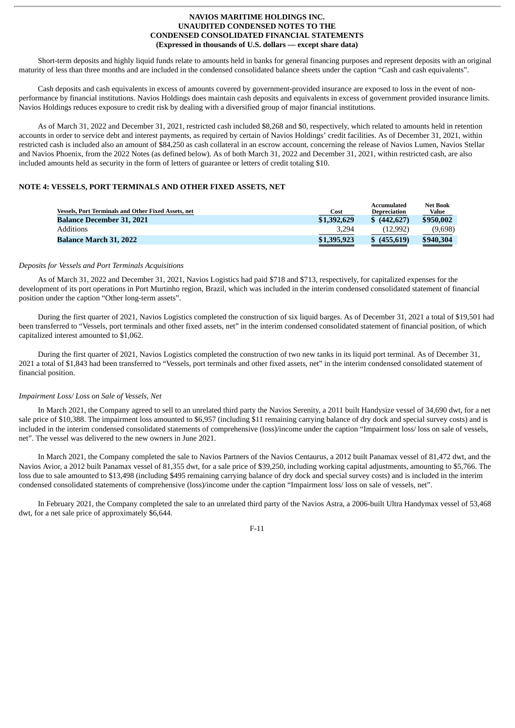Short-term deposits and highly liquid funds relate to amounts held in banks for general financing purposes and represent deposits with an original maturity of less than three months and are included in the condensed consolidated balance sheets under the caption "Cash and cash equivalents".

Cash deposits and cash equivalents in excess of amounts covered by government-provided insurance are exposed to loss in the event of nonperformance by financial institutions. Navios Holdings does maintain cash deposits and equivalents in excess of government provided insurance limits. Navios Holdings reduces exposure to credit risk by dealing with a diversified group of major financial institutions.

As of March 31, 2022 and December 31, 2021, restricted cash included \$8,268 and \$0, respectively, which related to amounts held in retention accounts in order to service debt and interest payments, as required by certain of Navios Holdings' credit facilities. As of December 31, 2021, within restricted cash is included also an amount of \$84,250 as cash collateral in an escrow account, concerning the release of Navios Lumen, Navios Stellar and Navios Phoenix, from the 2022 Notes (as defined below). As of both March 31, 2022 and December 31, 2021, within restricted cash, are also included amounts held as security in the form of letters of guarantee or letters of credit totaling \$10.

# **NOTE 4: VESSELS, PORT TERMINALS AND OTHER FIXED ASSETS, NET**

| <b>Vessels, Port Terminals and Other Fixed Assets, net</b> | Cost        | Accumulated<br>Depreciation | <b>Net Book</b><br>Value |
|------------------------------------------------------------|-------------|-----------------------------|--------------------------|
| <b>Balance December 31, 2021</b>                           | \$1,392,629 | \$(442,627)                 | \$950,002                |
| Additions                                                  | 3.294       | (12.992)                    | (9,698)                  |
| <b>Balance March 31, 2022</b>                              | \$1,395,923 | \$(455,619)                 | \$940,304                |

#### *Deposits for Vessels and Port Terminals Acquisitions*

As of March 31, 2022 and December 31, 2021, Navios Logistics had paid \$718 and \$713, respectively, for capitalized expenses for the development of its port operations in Port Murtinho region, Brazil, which was included in the interim condensed consolidated statement of financial position under the caption "Other long-term assets".

During the first quarter of 2021, Navios Logistics completed the construction of six liquid barges. As of December 31, 2021 a total of \$19,501 had been transferred to "Vessels, port terminals and other fixed assets, net" in the interim condensed consolidated statement of financial position, of which capitalized interest amounted to \$1,062.

During the first quarter of 2021, Navios Logistics completed the construction of two new tanks in its liquid port terminal. As of December 31, 2021 a total of \$1,843 had been transferred to "Vessels, port terminals and other fixed assets, net" in the interim condensed consolidated statement of financial position.

# *Impairment Loss/ Loss on Sale of Vessels, Net*

In March 2021, the Company agreed to sell to an unrelated third party the Navios Serenity, a 2011 built Handysize vessel of 34,690 dwt, for a net sale price of \$10,388. The impairment loss amounted to \$6,957 (including \$11 remaining carrying balance of dry dock and special survey costs) and is included in the interim condensed consolidated statements of comprehensive (loss)/income under the caption "Impairment loss/ loss on sale of vessels, net". The vessel was delivered to the new owners in June 2021.

In March 2021, the Company completed the sale to Navios Partners of the Navios Centaurus, a 2012 built Panamax vessel of 81,472 dwt, and the Navios Avior, a 2012 built Panamax vessel of 81,355 dwt, for a sale price of \$39,250, including working capital adjustments, amounting to \$5,766. The loss due to sale amounted to \$13,498 (including \$495 remaining carrying balance of dry dock and special survey costs) and is included in the interim condensed consolidated statements of comprehensive (loss)/income under the caption "Impairment loss/ loss on sale of vessels, net".

In February 2021, the Company completed the sale to an unrelated third party of the Navios Astra, a 2006-built Ultra Handymax vessel of 53,468 dwt, for a net sale price of approximately \$6,644.

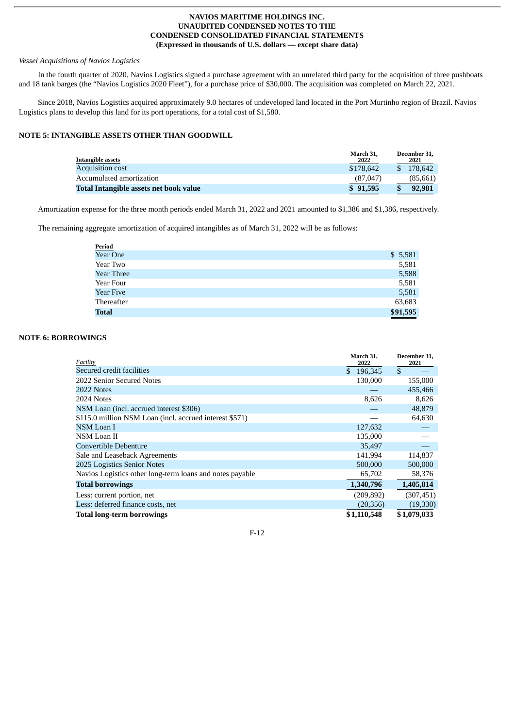# *Vessel Acquisitions of Navios Logistics*

In the fourth quarter of 2020, Navios Logistics signed a purchase agreement with an unrelated third party for the acquisition of three pushboats and 18 tank barges (the "Navios Logistics 2020 Fleet"), for a purchase price of \$30,000. The acquisition was completed on March 22, 2021.

Since 2018, Navios Logistics acquired approximately 9.0 hectares of undeveloped land located in the Port Murtinho region of Brazil. Navios Logistics plans to develop this land for its port operations, for a total cost of \$1,580.

# **NOTE 5: INTANGIBLE ASSETS OTHER THAN GOODWILL**

| Intangible assets                      | March 31.<br>2022 | December 31.<br>2021 |
|----------------------------------------|-------------------|----------------------|
| <b>Acquisition cost</b>                | \$178,642         | 178.642              |
| Accumulated amortization               | (87,047)          | (85,661)             |
| Total Intangible assets net book value | \$91,595          | 92,981               |
|                                        |                   |                      |

Amortization expense for the three month periods ended March 31, 2022 and 2021 amounted to \$1,386 and \$1,386, respectively.

The remaining aggregate amortization of acquired intangibles as of March 31, 2022 will be as follows:

| <b>Period</b>     |          |
|-------------------|----------|
| <b>Year One</b>   | \$5,581  |
| Year Two          | 5,581    |
| <b>Year Three</b> | 5,588    |
| Year Four         | 5,581    |
| Year Five         | 5,581    |
| Thereafter        | 63,683   |
| <b>Total</b>      | \$91,595 |

# **NOTE 6: BORROWINGS**

| Facility                                                 | March 31,<br>2022 | December 31,<br>2021 |
|----------------------------------------------------------|-------------------|----------------------|
| Secured credit facilities                                | 196,345           | $\mathbf{s}$         |
| 2022 Senior Secured Notes                                | 130,000           | 155,000              |
| 2022 Notes                                               |                   | 455,466              |
| 2024 Notes                                               | 8,626             | 8,626                |
| NSM Loan (incl. accrued interest \$306)                  |                   | 48,879               |
| \$115.0 million NSM Loan (incl. accrued interest \$571)  |                   | 64,630               |
| <b>NSM Loan I</b>                                        | 127,632           |                      |
| NSM Loan II                                              | 135,000           |                      |
| Convertible Debenture                                    | 35,497            |                      |
| Sale and Leaseback Agreements                            | 141,994           | 114,837              |
| 2025 Logistics Senior Notes                              | 500,000           | 500,000              |
| Navios Logistics other long-term loans and notes payable | 65,702            | 58,376               |
| <b>Total borrowings</b>                                  | 1,340,796         | 1,405,814            |
| Less: current portion, net                               | (209, 892)        | (307, 451)           |
| Less: deferred finance costs, net                        | (20, 356)         | (19,330)             |
| <b>Total long-term borrowings</b>                        | \$1,110,548       | \$1,079,033          |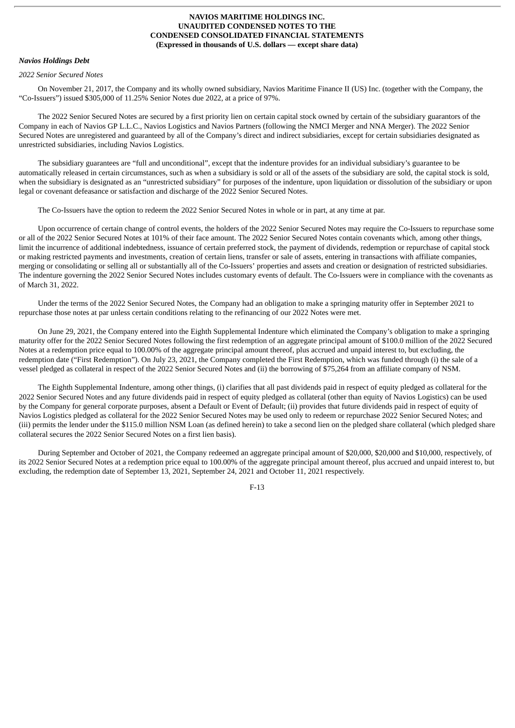#### *Navios Holdings Debt*

#### *2022 Senior Secured Notes*

On November 21, 2017, the Company and its wholly owned subsidiary, Navios Maritime Finance II (US) Inc. (together with the Company, the "Co-Issuers") issued \$305,000 of 11.25% Senior Notes due 2022, at a price of 97%.

The 2022 Senior Secured Notes are secured by a first priority lien on certain capital stock owned by certain of the subsidiary guarantors of the Company in each of Navios GP L.L.C., Navios Logistics and Navios Partners (following the NMCI Merger and NNA Merger). The 2022 Senior Secured Notes are unregistered and guaranteed by all of the Company's direct and indirect subsidiaries, except for certain subsidiaries designated as unrestricted subsidiaries, including Navios Logistics.

The subsidiary guarantees are "full and unconditional", except that the indenture provides for an individual subsidiary's guarantee to be automatically released in certain circumstances, such as when a subsidiary is sold or all of the assets of the subsidiary are sold, the capital stock is sold, when the subsidiary is designated as an "unrestricted subsidiary" for purposes of the indenture, upon liquidation or dissolution of the subsidiary or upon legal or covenant defeasance or satisfaction and discharge of the 2022 Senior Secured Notes.

The Co-Issuers have the option to redeem the 2022 Senior Secured Notes in whole or in part, at any time at par.

Upon occurrence of certain change of control events, the holders of the 2022 Senior Secured Notes may require the Co-Issuers to repurchase some or all of the 2022 Senior Secured Notes at 101% of their face amount. The 2022 Senior Secured Notes contain covenants which, among other things, limit the incurrence of additional indebtedness, issuance of certain preferred stock, the payment of dividends, redemption or repurchase of capital stock or making restricted payments and investments, creation of certain liens, transfer or sale of assets, entering in transactions with affiliate companies, merging or consolidating or selling all or substantially all of the Co-Issuers' properties and assets and creation or designation of restricted subsidiaries. The indenture governing the 2022 Senior Secured Notes includes customary events of default. The Co-Issuers were in compliance with the covenants as of March 31, 2022.

Under the terms of the 2022 Senior Secured Notes, the Company had an obligation to make a springing maturity offer in September 2021 to repurchase those notes at par unless certain conditions relating to the refinancing of our 2022 Notes were met.

On June 29, 2021, the Company entered into the Eighth Supplemental Indenture which eliminated the Company's obligation to make a springing maturity offer for the 2022 Senior Secured Notes following the first redemption of an aggregate principal amount of \$100.0 million of the 2022 Secured Notes at a redemption price equal to 100.00% of the aggregate principal amount thereof, plus accrued and unpaid interest to, but excluding, the redemption date ("First Redemption"). On July 23, 2021, the Company completed the First Redemption, which was funded through (i) the sale of a vessel pledged as collateral in respect of the 2022 Senior Secured Notes and (ii) the borrowing of \$75,264 from an affiliate company of NSM.

The Eighth Supplemental Indenture, among other things, (i) clarifies that all past dividends paid in respect of equity pledged as collateral for the 2022 Senior Secured Notes and any future dividends paid in respect of equity pledged as collateral (other than equity of Navios Logistics) can be used by the Company for general corporate purposes, absent a Default or Event of Default; (ii) provides that future dividends paid in respect of equity of Navios Logistics pledged as collateral for the 2022 Senior Secured Notes may be used only to redeem or repurchase 2022 Senior Secured Notes; and (iii) permits the lender under the \$115.0 million NSM Loan (as defined herein) to take a second lien on the pledged share collateral (which pledged share collateral secures the 2022 Senior Secured Notes on a first lien basis).

During September and October of 2021, the Company redeemed an aggregate principal amount of \$20,000, \$20,000 and \$10,000, respectively, of its 2022 Senior Secured Notes at a redemption price equal to 100.00% of the aggregate principal amount thereof, plus accrued and unpaid interest to, but excluding, the redemption date of September 13, 2021, September 24, 2021 and October 11, 2021 respectively.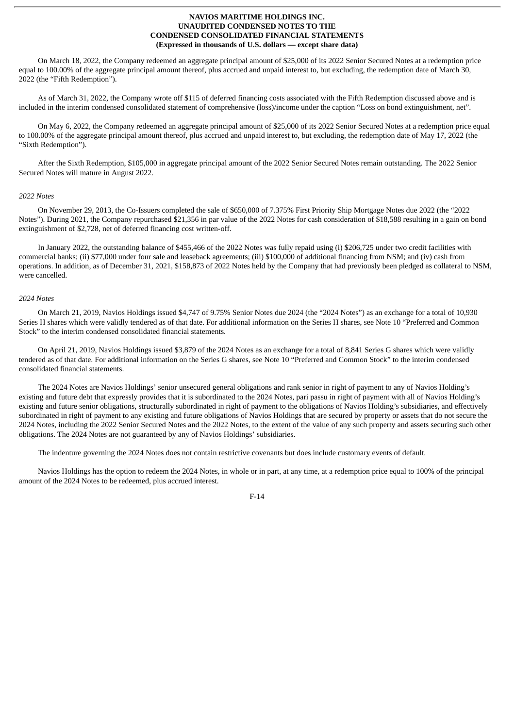On March 18, 2022, the Company redeemed an aggregate principal amount of \$25,000 of its 2022 Senior Secured Notes at a redemption price equal to 100.00% of the aggregate principal amount thereof, plus accrued and unpaid interest to, but excluding, the redemption date of March 30, 2022 (the "Fifth Redemption").

As of March 31, 2022, the Company wrote off \$115 of deferred financing costs associated with the Fifth Redemption discussed above and is included in the interim condensed consolidated statement of comprehensive (loss)/income under the caption "Loss on bond extinguishment, net".

On May 6, 2022, the Company redeemed an aggregate principal amount of \$25,000 of its 2022 Senior Secured Notes at a redemption price equal to 100.00% of the aggregate principal amount thereof, plus accrued and unpaid interest to, but excluding, the redemption date of May 17, 2022 (the "Sixth Redemption").

After the Sixth Redemption, \$105,000 in aggregate principal amount of the 2022 Senior Secured Notes remain outstanding. The 2022 Senior Secured Notes will mature in August 2022.

#### *2022 Notes*

On November 29, 2013, the Co-Issuers completed the sale of \$650,000 of 7.375% First Priority Ship Mortgage Notes due 2022 (the "2022 Notes"). During 2021, the Company repurchased \$21,356 in par value of the 2022 Notes for cash consideration of \$18,588 resulting in a gain on bond extinguishment of \$2,728, net of deferred financing cost written-off.

In January 2022, the outstanding balance of \$455,466 of the 2022 Notes was fully repaid using (i) \$206,725 under two credit facilities with commercial banks; (ii) \$77,000 under four sale and leaseback agreements; (iii) \$100,000 of additional financing from NSM; and (iv) cash from operations. In addition, as of December 31, 2021, \$158,873 of 2022 Notes held by the Company that had previously been pledged as collateral to NSM, were cancelled.

# *2024 Notes*

On March 21, 2019, Navios Holdings issued \$4,747 of 9.75% Senior Notes due 2024 (the "2024 Notes") as an exchange for a total of 10,930 Series H shares which were validly tendered as of that date. For additional information on the Series H shares, see Note 10 "Preferred and Common Stock" to the interim condensed consolidated financial statements.

On April 21, 2019, Navios Holdings issued \$3,879 of the 2024 Notes as an exchange for a total of 8,841 Series G shares which were validly tendered as of that date. For additional information on the Series G shares, see Note 10 "Preferred and Common Stock" to the interim condensed consolidated financial statements.

The 2024 Notes are Navios Holdings' senior unsecured general obligations and rank senior in right of payment to any of Navios Holding's existing and future debt that expressly provides that it is subordinated to the 2024 Notes, pari passu in right of payment with all of Navios Holding's existing and future senior obligations, structurally subordinated in right of payment to the obligations of Navios Holding's subsidiaries, and effectively subordinated in right of payment to any existing and future obligations of Navios Holdings that are secured by property or assets that do not secure the 2024 Notes, including the 2022 Senior Secured Notes and the 2022 Notes, to the extent of the value of any such property and assets securing such other obligations. The 2024 Notes are not guaranteed by any of Navios Holdings' subsidiaries.

The indenture governing the 2024 Notes does not contain restrictive covenants but does include customary events of default.

Navios Holdings has the option to redeem the 2024 Notes, in whole or in part, at any time, at a redemption price equal to 100% of the principal amount of the 2024 Notes to be redeemed, plus accrued interest.

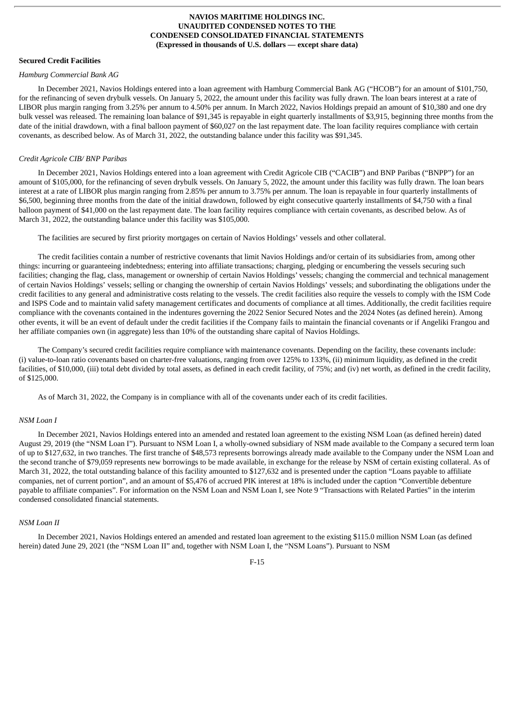#### **Secured Credit Facilities**

#### *Hamburg Commercial Bank AG*

In December 2021, Navios Holdings entered into a loan agreement with Hamburg Commercial Bank AG ("HCOB") for an amount of \$101,750, for the refinancing of seven drybulk vessels. On January 5, 2022, the amount under this facility was fully drawn. The loan bears interest at a rate of LIBOR plus margin ranging from 3.25% per annum to 4.50% per annum. In March 2022, Navios Holdings prepaid an amount of \$10,380 and one dry bulk vessel was released. The remaining loan balance of \$91,345 is repayable in eight quarterly installments of \$3,915, beginning three months from the date of the initial drawdown, with a final balloon payment of \$60,027 on the last repayment date. The loan facility requires compliance with certain covenants, as described below. As of March 31, 2022, the outstanding balance under this facility was \$91,345.

#### *Credit Agricole CIB/ BNP Paribas*

In December 2021, Navios Holdings entered into a loan agreement with Credit Agricole CIB ("CACIB") and BNP Paribas ("BNPP") for an amount of \$105,000, for the refinancing of seven drybulk vessels. On January 5, 2022, the amount under this facility was fully drawn. The loan bears interest at a rate of LIBOR plus margin ranging from 2.85% per annum to 3.75% per annum. The loan is repayable in four quarterly installments of \$6,500, beginning three months from the date of the initial drawdown, followed by eight consecutive quarterly installments of \$4,750 with a final balloon payment of \$41,000 on the last repayment date. The loan facility requires compliance with certain covenants, as described below. As of March 31, 2022, the outstanding balance under this facility was \$105,000.

The facilities are secured by first priority mortgages on certain of Navios Holdings' vessels and other collateral.

The credit facilities contain a number of restrictive covenants that limit Navios Holdings and/or certain of its subsidiaries from, among other things: incurring or guaranteeing indebtedness; entering into affiliate transactions; charging, pledging or encumbering the vessels securing such facilities; changing the flag, class, management or ownership of certain Navios Holdings' vessels; changing the commercial and technical management of certain Navios Holdings' vessels; selling or changing the ownership of certain Navios Holdings' vessels; and subordinating the obligations under the credit facilities to any general and administrative costs relating to the vessels. The credit facilities also require the vessels to comply with the ISM Code and ISPS Code and to maintain valid safety management certificates and documents of compliance at all times. Additionally, the credit facilities require compliance with the covenants contained in the indentures governing the 2022 Senior Secured Notes and the 2024 Notes (as defined herein). Among other events, it will be an event of default under the credit facilities if the Company fails to maintain the financial covenants or if Angeliki Frangou and her affiliate companies own (in aggregate) less than 10% of the outstanding share capital of Navios Holdings.

The Company's secured credit facilities require compliance with maintenance covenants. Depending on the facility, these covenants include: (i) value-to-loan ratio covenants based on charter-free valuations, ranging from over 125% to 133%, (ii) minimum liquidity, as defined in the credit facilities, of \$10,000, (iii) total debt divided by total assets, as defined in each credit facility, of 75%; and (iv) net worth, as defined in the credit facility, of \$125,000.

As of March 31, 2022, the Company is in compliance with all of the covenants under each of its credit facilities.

## *NSM Loan I*

In December 2021, Navios Holdings entered into an amended and restated loan agreement to the existing NSM Loan (as defined herein) dated August 29, 2019 (the "NSM Loan I"). Pursuant to NSM Loan I, a wholly-owned subsidiary of NSM made available to the Company a secured term loan of up to \$127,632, in two tranches. The first tranche of \$48,573 represents borrowings already made available to the Company under the NSM Loan and the second tranche of \$79,059 represents new borrowings to be made available, in exchange for the release by NSM of certain existing collateral. As of March 31, 2022, the total outstanding balance of this facility amounted to \$127,632 and is presented under the caption "Loans payable to affiliate companies, net of current portion", and an amount of \$5,476 of accrued PIK interest at 18% is included under the caption "Convertible debenture payable to affiliate companies". For information on the NSM Loan and NSM Loan I, see Note 9 "Transactions with Related Parties" in the interim condensed consolidated financial statements.

#### *NSM Loan II*

In December 2021, Navios Holdings entered an amended and restated loan agreement to the existing \$115.0 million NSM Loan (as defined herein) dated June 29, 2021 (the "NSM Loan II" and, together with NSM Loan I, the "NSM Loans"). Pursuant to NSM

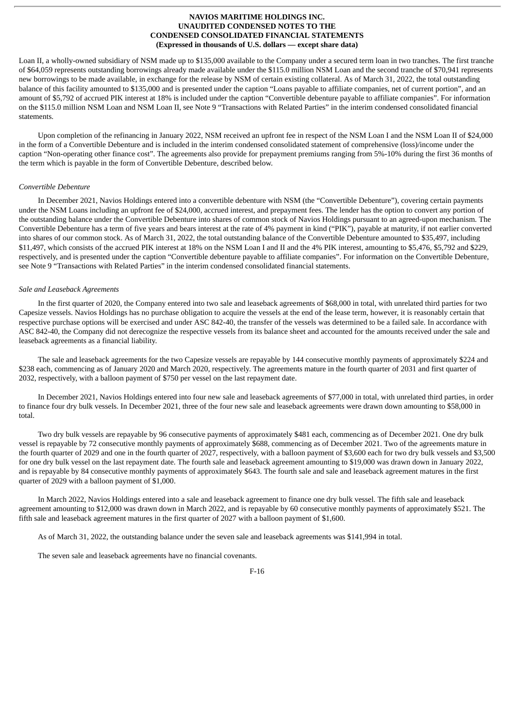Loan II, a wholly-owned subsidiary of NSM made up to \$135,000 available to the Company under a secured term loan in two tranches. The first tranche of \$64,059 represents outstanding borrowings already made available under the \$115.0 million NSM Loan and the second tranche of \$70,941 represents new borrowings to be made available, in exchange for the release by NSM of certain existing collateral. As of March 31, 2022, the total outstanding balance of this facility amounted to \$135,000 and is presented under the caption "Loans payable to affiliate companies, net of current portion", and an amount of \$5,792 of accrued PIK interest at 18% is included under the caption "Convertible debenture payable to affiliate companies". For information on the \$115.0 million NSM Loan and NSM Loan II, see Note 9 "Transactions with Related Parties" in the interim condensed consolidated financial statements.

Upon completion of the refinancing in January 2022, NSM received an upfront fee in respect of the NSM Loan I and the NSM Loan II of \$24,000 in the form of a Convertible Debenture and is included in the interim condensed consolidated statement of comprehensive (loss)/income under the caption "Non-operating other finance cost". The agreements also provide for prepayment premiums ranging from 5%-10% during the first 36 months of the term which is payable in the form of Convertible Debenture, described below.

## *Convertible Debenture*

In December 2021, Navios Holdings entered into a convertible debenture with NSM (the "Convertible Debenture"), covering certain payments under the NSM Loans including an upfront fee of \$24,000, accrued interest, and prepayment fees. The lender has the option to convert any portion of the outstanding balance under the Convertible Debenture into shares of common stock of Navios Holdings pursuant to an agreed-upon mechanism. The Convertible Debenture has a term of five years and bears interest at the rate of 4% payment in kind ("PIK"), payable at maturity, if not earlier converted into shares of our common stock. As of March 31, 2022, the total outstanding balance of the Convertible Debenture amounted to \$35,497, including \$11,497, which consists of the accrued PIK interest at 18% on the NSM Loan I and II and the 4% PIK interest, amounting to \$5,476, \$5,792 and \$229, respectively, and is presented under the caption "Convertible debenture payable to affiliate companies". For information on the Convertible Debenture, see Note 9 "Transactions with Related Parties" in the interim condensed consolidated financial statements.

## *Sale and Leaseback Agreements*

In the first quarter of 2020, the Company entered into two sale and leaseback agreements of \$68,000 in total, with unrelated third parties for two Capesize vessels. Navios Holdings has no purchase obligation to acquire the vessels at the end of the lease term, however, it is reasonably certain that respective purchase options will be exercised and under ASC 842-40, the transfer of the vessels was determined to be a failed sale. In accordance with ASC 842-40, the Company did not derecognize the respective vessels from its balance sheet and accounted for the amounts received under the sale and leaseback agreements as a financial liability.

The sale and leaseback agreements for the two Capesize vessels are repayable by 144 consecutive monthly payments of approximately \$224 and \$238 each, commencing as of January 2020 and March 2020, respectively. The agreements mature in the fourth quarter of 2031 and first quarter of 2032, respectively, with a balloon payment of \$750 per vessel on the last repayment date.

In December 2021, Navios Holdings entered into four new sale and leaseback agreements of \$77,000 in total, with unrelated third parties, in order to finance four dry bulk vessels. In December 2021, three of the four new sale and leaseback agreements were drawn down amounting to \$58,000 in total.

Two dry bulk vessels are repayable by 96 consecutive payments of approximately \$481 each, commencing as of December 2021. One dry bulk vessel is repayable by 72 consecutive monthly payments of approximately \$688, commencing as of December 2021. Two of the agreements mature in the fourth quarter of 2029 and one in the fourth quarter of 2027, respectively, with a balloon payment of \$3,600 each for two dry bulk vessels and \$3,500 for one dry bulk vessel on the last repayment date. The fourth sale and leaseback agreement amounting to \$19,000 was drawn down in January 2022, and is repayable by 84 consecutive monthly payments of approximately \$643. The fourth sale and sale and leaseback agreement matures in the first quarter of 2029 with a balloon payment of \$1,000.

In March 2022, Navios Holdings entered into a sale and leaseback agreement to finance one dry bulk vessel. The fifth sale and leaseback agreement amounting to \$12,000 was drawn down in March 2022, and is repayable by 60 consecutive monthly payments of approximately \$521. The fifth sale and leaseback agreement matures in the first quarter of 2027 with a balloon payment of \$1,600.

As of March 31, 2022, the outstanding balance under the seven sale and leaseback agreements was \$141,994 in total.

The seven sale and leaseback agreements have no financial covenants.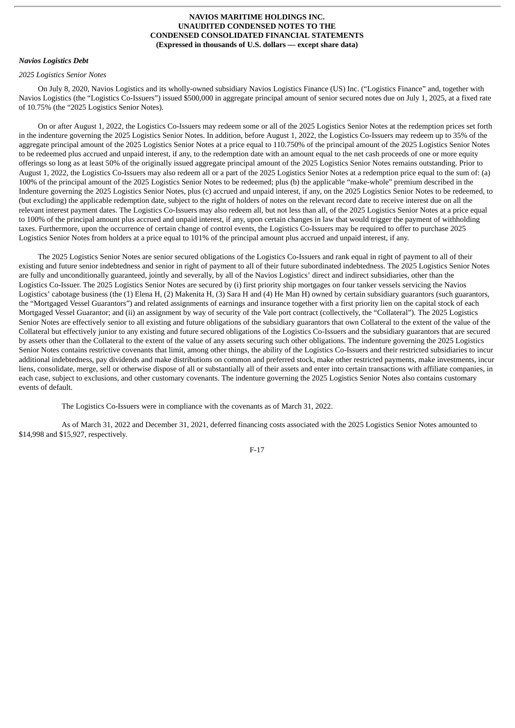#### *Navios Logistics Debt*

#### *2025 Logistics Senior Notes*

On July 8, 2020, Navios Logistics and its wholly-owned subsidiary Navios Logistics Finance (US) Inc. ("Logistics Finance" and, together with Navios Logistics (the "Logistics Co-Issuers") issued \$500,000 in aggregate principal amount of senior secured notes due on July 1, 2025, at a fixed rate of 10.75% (the "2025 Logistics Senior Notes).

On or after August 1, 2022, the Logistics Co-Issuers may redeem some or all of the 2025 Logistics Senior Notes at the redemption prices set forth in the indenture governing the 2025 Logistics Senior Notes. In addition, before August 1, 2022, the Logistics Co-Issuers may redeem up to 35% of the aggregate principal amount of the 2025 Logistics Senior Notes at a price equal to 110.750% of the principal amount of the 2025 Logistics Senior Notes to be redeemed plus accrued and unpaid interest, if any, to the redemption date with an amount equal to the net cash proceeds of one or more equity offerings so long as at least 50% of the originally issued aggregate principal amount of the 2025 Logistics Senior Notes remains outstanding. Prior to August 1, 2022, the Logistics Co-Issuers may also redeem all or a part of the 2025 Logistics Senior Notes at a redemption price equal to the sum of: (a) 100% of the principal amount of the 2025 Logistics Senior Notes to be redeemed; plus (b) the applicable "make-whole" premium described in the Indenture governing the 2025 Logistics Senior Notes, plus (c) accrued and unpaid interest, if any, on the 2025 Logistics Senior Notes to be redeemed, to (but excluding) the applicable redemption date, subject to the right of holders of notes on the relevant record date to receive interest due on all the relevant interest payment dates. The Logistics Co-Issuers may also redeem all, but not less than all, of the 2025 Logistics Senior Notes at a price equal to 100% of the principal amount plus accrued and unpaid interest, if any, upon certain changes in law that would trigger the payment of withholding taxes. Furthermore, upon the occurrence of certain change of control events, the Logistics Co-Issuers may be required to offer to purchase 2025 Logistics Senior Notes from holders at a price equal to 101% of the principal amount plus accrued and unpaid interest, if any.

The 2025 Logistics Senior Notes are senior secured obligations of the Logistics Co-Issuers and rank equal in right of payment to all of their existing and future senior indebtedness and senior in right of payment to all of their future subordinated indebtedness. The 2025 Logistics Senior Notes are fully and unconditionally guaranteed, jointly and severally, by all of the Navios Logistics' direct and indirect subsidiaries, other than the Logistics Co-Issuer. The 2025 Logistics Senior Notes are secured by (i) first priority ship mortgages on four tanker vessels servicing the Navios Logistics' cabotage business (the (1) Elena H, (2) Makenita H, (3) Sara H and (4) He Man H) owned by certain subsidiary guarantors (such guarantors, the "Mortgaged Vessel Guarantors") and related assignments of earnings and insurance together with a first priority lien on the capital stock of each Mortgaged Vessel Guarantor; and (ii) an assignment by way of security of the Vale port contract (collectively, the "Collateral"). The 2025 Logistics Senior Notes are effectively senior to all existing and future obligations of the subsidiary guarantors that own Collateral to the extent of the value of the Collateral but effectively junior to any existing and future secured obligations of the Logistics Co-Issuers and the subsidiary guarantors that are secured by assets other than the Collateral to the extent of the value of any assets securing such other obligations. The indenture governing the 2025 Logistics Senior Notes contains restrictive covenants that limit, among other things, the ability of the Logistics Co-Issuers and their restricted subsidiaries to incur additional indebtedness, pay dividends and make distributions on common and preferred stock, make other restricted payments, make investments, incur liens, consolidate, merge, sell or otherwise dispose of all or substantially all of their assets and enter into certain transactions with affiliate companies, in each case, subject to exclusions, and other customary covenants. The indenture governing the 2025 Logistics Senior Notes also contains customary events of default.

The Logistics Co-Issuers were in compliance with the covenants as of March 31, 2022.

As of March 31, 2022 and December 31, 2021, deferred financing costs associated with the 2025 Logistics Senior Notes amounted to \$14,998 and \$15,927, respectively.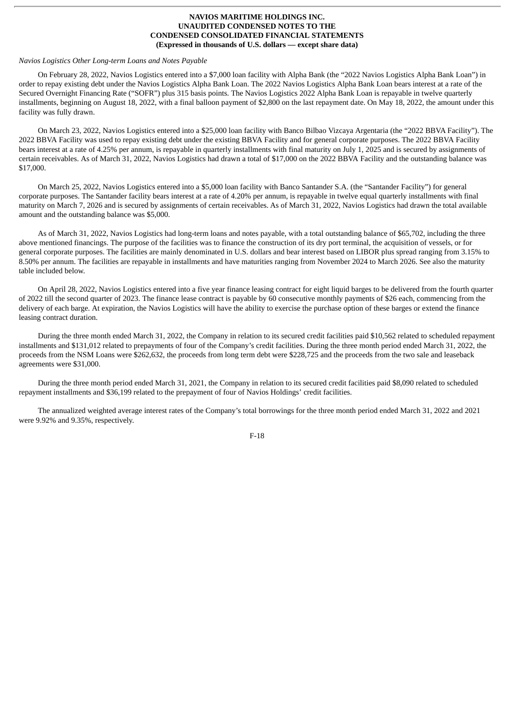#### *Navios Logistics Other Long-term Loans and Notes Payable*

On February 28, 2022, Navios Logistics entered into a \$7,000 loan facility with Alpha Bank (the "2022 Navios Logistics Alpha Bank Loan") in order to repay existing debt under the Navios Logistics Alpha Bank Loan. The 2022 Navios Logistics Alpha Bank Loan bears interest at a rate of the Secured Overnight Financing Rate ("SOFR") plus 315 basis points. The Navios Logistics 2022 Alpha Bank Loan is repayable in twelve quarterly installments, beginning on August 18, 2022, with a final balloon payment of \$2,800 on the last repayment date. On May 18, 2022, the amount under this facility was fully drawn.

On March 23, 2022, Navios Logistics entered into a \$25,000 loan facility with Banco Bilbao Vizcaya Argentaria (the "2022 BBVA Facility"). The 2022 BBVA Facility was used to repay existing debt under the existing BBVA Facility and for general corporate purposes. The 2022 BBVA Facility bears interest at a rate of 4.25% per annum, is repayable in quarterly installments with final maturity on July 1, 2025 and is secured by assignments of certain receivables. As of March 31, 2022, Navios Logistics had drawn a total of \$17,000 on the 2022 BBVA Facility and the outstanding balance was \$17,000.

On March 25, 2022, Navios Logistics entered into a \$5,000 loan facility with Banco Santander S.A. (the "Santander Facility") for general corporate purposes. The Santander facility bears interest at a rate of 4.20% per annum, is repayable in twelve equal quarterly installments with final maturity on March 7, 2026 and is secured by assignments of certain receivables. As of March 31, 2022, Navios Logistics had drawn the total available amount and the outstanding balance was \$5,000.

As of March 31, 2022, Navios Logistics had long-term loans and notes payable, with a total outstanding balance of \$65,702, including the three above mentioned financings. The purpose of the facilities was to finance the construction of its dry port terminal, the acquisition of vessels, or for general corporate purposes. The facilities are mainly denominated in U.S. dollars and bear interest based on LIBOR plus spread ranging from 3.15% to 8.50% per annum. The facilities are repayable in installments and have maturities ranging from November 2024 to March 2026. See also the maturity table included below.

On April 28, 2022, Navios Logistics entered into a five year finance leasing contract for eight liquid barges to be delivered from the fourth quarter of 2022 till the second quarter of 2023. The finance lease contract is payable by 60 consecutive monthly payments of \$26 each, commencing from the delivery of each barge. At expiration, the Navios Logistics will have the ability to exercise the purchase option of these barges or extend the finance leasing contract duration.

During the three month ended March 31, 2022, the Company in relation to its secured credit facilities paid \$10,562 related to scheduled repayment installments and \$131,012 related to prepayments of four of the Company's credit facilities. During the three month period ended March 31, 2022, the proceeds from the NSM Loans were \$262,632, the proceeds from long term debt were \$228,725 and the proceeds from the two sale and leaseback agreements were \$31,000.

During the three month period ended March 31, 2021, the Company in relation to its secured credit facilities paid \$8,090 related to scheduled repayment installments and \$36,199 related to the prepayment of four of Navios Holdings' credit facilities.

The annualized weighted average interest rates of the Company's total borrowings for the three month period ended March 31, 2022 and 2021 were 9.92% and 9.35%, respectively.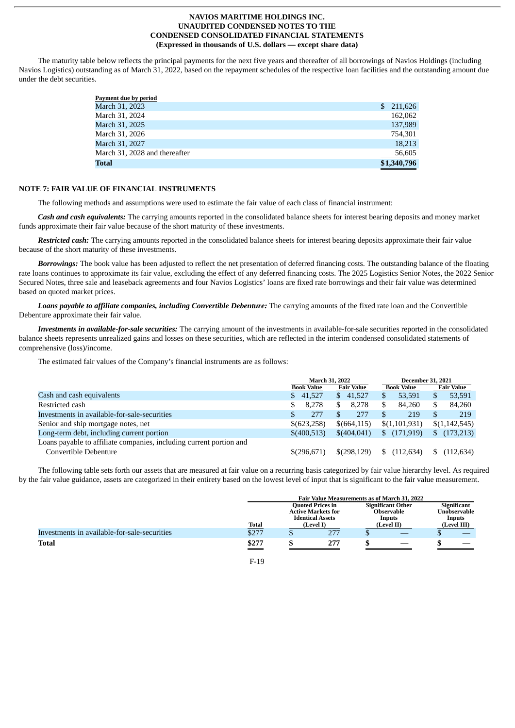The maturity table below reflects the principal payments for the next five years and thereafter of all borrowings of Navios Holdings (including Navios Logistics) outstanding as of March 31, 2022, based on the repayment schedules of the respective loan facilities and the outstanding amount due under the debt securities.

| S. | 211,626     |
|----|-------------|
|    | 162,062     |
|    | 137,989     |
|    | 754,301     |
|    | 18,213      |
|    | 56,605      |
|    | \$1,340,796 |
|    |             |

## **NOTE 7: FAIR VALUE OF FINANCIAL INSTRUMENTS**

The following methods and assumptions were used to estimate the fair value of each class of financial instrument:

*Cash and cash equivalents:* The carrying amounts reported in the consolidated balance sheets for interest bearing deposits and money market funds approximate their fair value because of the short maturity of these investments.

*Restricted cash:* The carrying amounts reported in the consolidated balance sheets for interest bearing deposits approximate their fair value because of the short maturity of these investments.

*Borrowings:* The book value has been adjusted to reflect the net presentation of deferred financing costs. The outstanding balance of the floating rate loans continues to approximate its fair value, excluding the effect of any deferred financing costs. The 2025 Logistics Senior Notes, the 2022 Senior Secured Notes, three sale and leaseback agreements and four Navios Logistics' loans are fixed rate borrowings and their fair value was determined based on quoted market prices.

*Loans payable to affiliate companies, including Convertible Debenture:* The carrying amounts of the fixed rate loan and the Convertible Debenture approximate their fair value.

*Investments in available-for-sale securities:* The carrying amount of the investments in available-for-sale securities reported in the consolidated balance sheets represents unrealized gains and losses on these securities, which are reflected in the interim condensed consolidated statements of comprehensive (loss)/income.

The estimated fair values of the Company's financial instruments are as follows:

|                                                                     | <b>March 31, 2022</b> |                                              | <b>December 31, 2021</b> |                   |
|---------------------------------------------------------------------|-----------------------|----------------------------------------------|--------------------------|-------------------|
|                                                                     | <b>Book Value</b>     | <b>Fair Value</b>                            | <b>Book Value</b>        | <b>Fair Value</b> |
| Cash and cash equivalents                                           | \$ 41,527             | 41.527<br>S.                                 | 53.591                   | 53,591<br>S       |
| Restricted cash                                                     | 8.278                 | 8.278<br>\$.                                 | 84.260                   | S<br>84,260       |
| Investments in available-for-sale-securities                        | 277<br>S              | 277                                          | 219                      | 219               |
| Senior and ship mortgage notes, net                                 | \$(623,258)           | \$(664, 115)                                 | \$(1,101,931)            | \$(1,142,545)     |
| Long-term debt, including current portion                           | \$(400,513)           | (171, 919)<br>\$(404, 041)<br>$\mathbb{S}^-$ |                          | (173,213)         |
| Loans payable to affiliate companies, including current portion and |                       |                                              |                          |                   |
| Convertible Debenture                                               | \$(296, 671)          | \$(298,129)                                  | (112, 634)               | (112,634)         |

The following table sets forth our assets that are measured at fair value on a recurring basis categorized by fair value hierarchy level. As required by the fair value guidance, assets are categorized in their entirety based on the lowest level of input that is significant to the fair value measurement.

|                                              | <b>Fair Value Measurements as of March 31, 2022</b> |  |                                                      |  |                                               |  |                                    |
|----------------------------------------------|-----------------------------------------------------|--|------------------------------------------------------|--|-----------------------------------------------|--|------------------------------------|
|                                              |                                                     |  | <b>Quoted Prices in</b><br><b>Active Markets for</b> |  | <b>Significant Other</b><br><b>Observable</b> |  | <b>Significant</b><br>Unobservable |
|                                              | Total                                               |  | <b>Identical Assets</b><br>(Level I)                 |  | <b>Inputs</b><br>(Level II)                   |  | <b>Inputs</b><br>(Level III)       |
| Investments in available-for-sale-securities | \$277                                               |  | 277                                                  |  |                                               |  |                                    |
| <b>Total</b>                                 | \$277                                               |  | 277                                                  |  |                                               |  |                                    |
|                                              |                                                     |  |                                                      |  |                                               |  |                                    |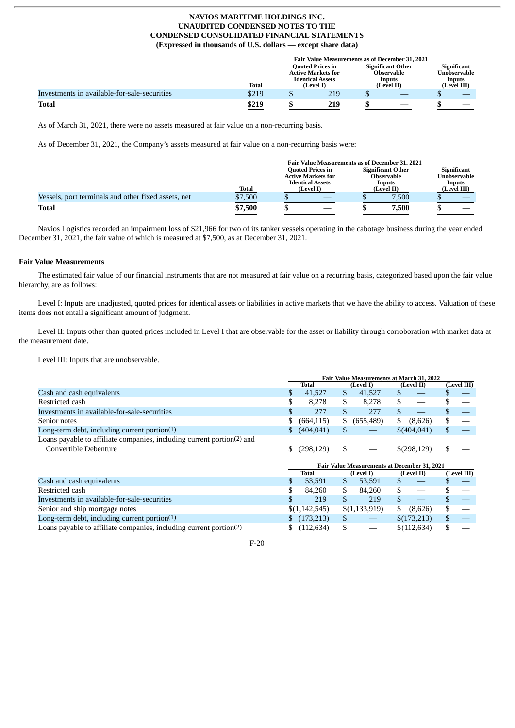|                                              |       | <b>Fair Value Measurements as of December 31, 2021</b>                          |           |                                                         |            |  |                                       |
|----------------------------------------------|-------|---------------------------------------------------------------------------------|-----------|---------------------------------------------------------|------------|--|---------------------------------------|
|                                              |       | <b>Ouoted Prices in</b><br><b>Active Markets for</b><br><b>Identical Assets</b> |           | <b>Significant Other</b><br><b>Observable</b><br>Inputs |            |  | Significant<br>Unobservable<br>Inputs |
|                                              | Total |                                                                                 | (Level I) |                                                         | (Level II) |  | (Level III)                           |
| Investments in available-for-sale-securities | \$219 |                                                                                 | 219       |                                                         |            |  |                                       |
| Total                                        | \$219 |                                                                                 | 219       |                                                         |            |  |                                       |

As of March 31, 2021, there were no assets measured at fair value on a non-recurring basis.

As of December 31, 2021, the Company's assets measured at fair value on a non-recurring basis were:

|                                                     |         | <b>Fair Value Measurements as of December 31, 2021</b>                          |                                                         |                                       |  |  |  |  |
|-----------------------------------------------------|---------|---------------------------------------------------------------------------------|---------------------------------------------------------|---------------------------------------|--|--|--|--|
|                                                     |         | <b>Ouoted Prices in</b><br><b>Active Markets for</b><br><b>Identical Assets</b> | <b>Significant Other</b><br><b>Observable</b><br>Inputs | Significant<br>Unobservable<br>Inputs |  |  |  |  |
|                                                     | Total   | (Level I)                                                                       | (Level II)                                              | (Level III)                           |  |  |  |  |
| Vessels, port terminals and other fixed assets, net | \$7,500 |                                                                                 | 7.500                                                   |                                       |  |  |  |  |
| <b>Total</b>                                        | \$7,500 |                                                                                 | 7,500                                                   |                                       |  |  |  |  |

Navios Logistics recorded an impairment loss of \$21,966 for two of its tanker vessels operating in the cabotage business during the year ended December 31, 2021, the fair value of which is measured at \$7,500, as at December 31, 2021.

## **Fair Value Measurements**

The estimated fair value of our financial instruments that are not measured at fair value on a recurring basis, categorized based upon the fair value hierarchy, are as follows:

Level I: Inputs are unadjusted, quoted prices for identical assets or liabilities in active markets that we have the ability to access. Valuation of these items does not entail a significant amount of judgment.

Level II: Inputs other than quoted prices included in Level I that are observable for the asset or liability through corroboration with market data at the measurement date.

Level III: Inputs that are unobservable.

|                                                                                    |    | Fair Value Measurements at March 31, 2022 |                |                                                     |                |              |            |             |             |  |
|------------------------------------------------------------------------------------|----|-------------------------------------------|----------------|-----------------------------------------------------|----------------|--------------|------------|-------------|-------------|--|
|                                                                                    |    | Total                                     |                |                                                     |                | (Level I)    | (Level II) |             | (Level III) |  |
| Cash and cash equivalents                                                          |    | 41,527                                    | \$             | 41,527                                              | \$             |              |            |             |             |  |
| Restricted cash                                                                    |    | 8.278                                     | \$             | 8,278                                               | \$             |              |            |             |             |  |
| Investments in available-for-sale-securities                                       |    | 277                                       | $\mathfrak{S}$ | 277                                                 | \$             |              | \$         |             |             |  |
| Senior notes                                                                       | \$ | (664, 115)                                |                | \$ (655,489)                                        | \$             | (8,626)      | \$         |             |             |  |
| Long-term debt, including current portion $(1)$                                    | S. | (404, 041)                                | \$             |                                                     |                | \$(404,041)  | \$         |             |             |  |
| Loans payable to affiliate companies, including current portion <sup>(2)</sup> and |    |                                           |                |                                                     |                |              |            |             |             |  |
| Convertible Debenture                                                              | \$ | (298, 129)                                | \$             |                                                     |                | \$(298,129)  | \$         |             |             |  |
|                                                                                    |    |                                           |                | <b>Fair Value Measurements at December 31, 2021</b> |                |              |            |             |             |  |
|                                                                                    |    | Total                                     |                | (Level I)                                           |                | (Level II)   |            | (Level III) |             |  |
| Cash and cash equivalents                                                          |    | 53,591                                    | \$             | 53,591                                              |                |              |            |             |             |  |
| Restricted cash                                                                    |    | 84,260                                    | \$             | 84,260                                              | \$             |              |            |             |             |  |
| Investments in available-for-sale-securities                                       | \$ | 219                                       | \$             | 219                                                 | $\mathfrak{L}$ |              |            |             |             |  |
| Senior and ship mortgage notes                                                     |    | \$(1,142,545)                             |                | \$(1,133,919)                                       | S              | (8,626)      | \$         |             |             |  |
| Long-term debt, including current portion $(1)$                                    |    | (173,213)                                 | \$             |                                                     |                | \$(173,213)  | \$         |             |             |  |
| Loans payable to affiliate companies, including current portion $(2)$              | S  | (112, 634)                                | \$             |                                                     |                | \$(112, 634) | \$         |             |             |  |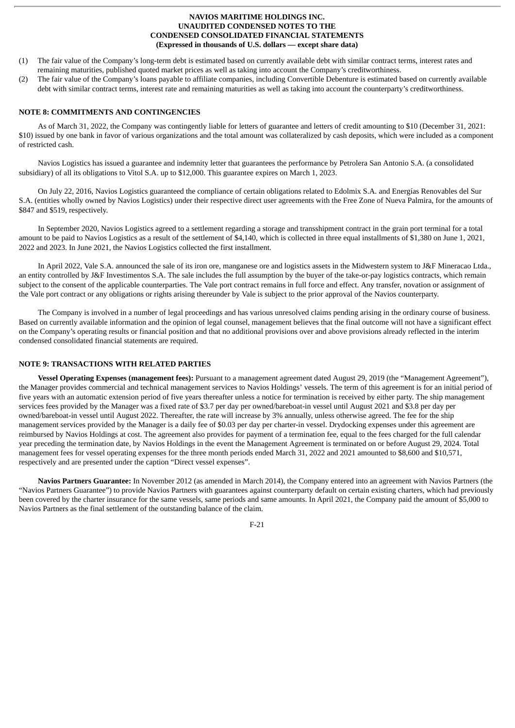- (1) The fair value of the Company's long-term debt is estimated based on currently available debt with similar contract terms, interest rates and remaining maturities, published quoted market prices as well as taking into account the Company's creditworthiness.
- (2) The fair value of the Company's loans payable to affiliate companies, including Convertible Debenture is estimated based on currently available debt with similar contract terms, interest rate and remaining maturities as well as taking into account the counterparty's creditworthiness.

# **NOTE 8: COMMITMENTS AND CONTINGENCIES**

As of March 31, 2022, the Company was contingently liable for letters of guarantee and letters of credit amounting to \$10 (December 31, 2021: \$10) issued by one bank in favor of various organizations and the total amount was collateralized by cash deposits, which were included as a component of restricted cash.

Navios Logistics has issued a guarantee and indemnity letter that guarantees the performance by Petrolera San Antonio S.A. (a consolidated subsidiary) of all its obligations to Vitol S.A. up to \$12,000. This guarantee expires on March 1, 2023.

On July 22, 2016, Navios Logistics guaranteed the compliance of certain obligations related to Edolmix S.A. and Energías Renovables del Sur S.A. (entities wholly owned by Navios Logistics) under their respective direct user agreements with the Free Zone of Nueva Palmira, for the amounts of \$847 and \$519, respectively.

In September 2020, Navios Logistics agreed to a settlement regarding a storage and transshipment contract in the grain port terminal for a total amount to be paid to Navios Logistics as a result of the settlement of \$4,140, which is collected in three equal installments of \$1,380 on June 1, 2021, 2022 and 2023. In June 2021, the Navios Logistics collected the first installment.

In April 2022, Vale S.A. announced the sale of its iron ore, manganese ore and logistics assets in the Midwestern system to J&F Mineracao Ltda., an entity controlled by J&F Investimentos S.A. The sale includes the full assumption by the buyer of the take-or-pay logistics contracts, which remain subject to the consent of the applicable counterparties. The Vale port contract remains in full force and effect. Any transfer, novation or assignment of the Vale port contract or any obligations or rights arising thereunder by Vale is subject to the prior approval of the Navios counterparty.

The Company is involved in a number of legal proceedings and has various unresolved claims pending arising in the ordinary course of business. Based on currently available information and the opinion of legal counsel, management believes that the final outcome will not have a significant effect on the Company's operating results or financial position and that no additional provisions over and above provisions already reflected in the interim condensed consolidated financial statements are required.

# **NOTE 9: TRANSACTIONS WITH RELATED PARTIES**

**Vessel Operating Expenses (management fees):** Pursuant to a management agreement dated August 29, 2019 (the "Management Agreement"), the Manager provides commercial and technical management services to Navios Holdings' vessels. The term of this agreement is for an initial period of five years with an automatic extension period of five years thereafter unless a notice for termination is received by either party. The ship management services fees provided by the Manager was a fixed rate of \$3.7 per day per owned/bareboat-in vessel until August 2021 and \$3.8 per day per owned/bareboat-in vessel until August 2022. Thereafter, the rate will increase by 3% annually, unless otherwise agreed. The fee for the ship management services provided by the Manager is a daily fee of \$0.03 per day per charter-in vessel. Drydocking expenses under this agreement are reimbursed by Navios Holdings at cost. The agreement also provides for payment of a termination fee, equal to the fees charged for the full calendar year preceding the termination date, by Navios Holdings in the event the Management Agreement is terminated on or before August 29, 2024. Total management fees for vessel operating expenses for the three month periods ended March 31, 2022 and 2021 amounted to \$8,600 and \$10,571, respectively and are presented under the caption "Direct vessel expenses".

**Navios Partners Guarantee:** In November 2012 (as amended in March 2014), the Company entered into an agreement with Navios Partners (the "Navios Partners Guarantee") to provide Navios Partners with guarantees against counterparty default on certain existing charters, which had previously been covered by the charter insurance for the same vessels, same periods and same amounts. In April 2021, the Company paid the amount of \$5,000 to Navios Partners as the final settlement of the outstanding balance of the claim.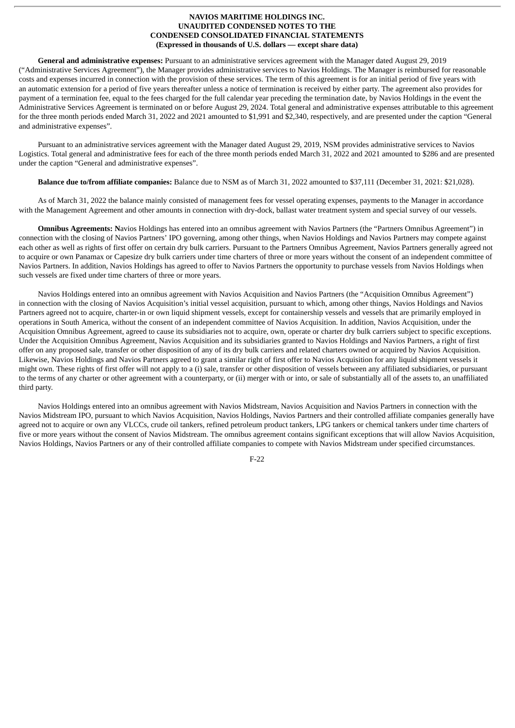**General and administrative expenses:** Pursuant to an administrative services agreement with the Manager dated August 29, 2019 ("Administrative Services Agreement"), the Manager provides administrative services to Navios Holdings. The Manager is reimbursed for reasonable costs and expenses incurred in connection with the provision of these services. The term of this agreement is for an initial period of five years with an automatic extension for a period of five years thereafter unless a notice of termination is received by either party. The agreement also provides for payment of a termination fee, equal to the fees charged for the full calendar year preceding the termination date, by Navios Holdings in the event the Administrative Services Agreement is terminated on or before August 29, 2024. Total general and administrative expenses attributable to this agreement for the three month periods ended March 31, 2022 and 2021 amounted to \$1,991 and \$2,340, respectively, and are presented under the caption "General and administrative expenses".

Pursuant to an administrative services agreement with the Manager dated August 29, 2019, NSM provides administrative services to Navios Logistics. Total general and administrative fees for each of the three month periods ended March 31, 2022 and 2021 amounted to \$286 and are presented under the caption "General and administrative expenses".

#### **Balance due to/from affiliate companies:** Balance due to NSM as of March 31, 2022 amounted to \$37,111 (December 31, 2021: \$21,028).

As of March 31, 2022 the balance mainly consisted of management fees for vessel operating expenses, payments to the Manager in accordance with the Management Agreement and other amounts in connection with dry-dock, ballast water treatment system and special survey of our vessels.

**Omnibus Agreements: N**avios Holdings has entered into an omnibus agreement with Navios Partners (the "Partners Omnibus Agreement") in connection with the closing of Navios Partners' IPO governing, among other things, when Navios Holdings and Navios Partners may compete against each other as well as rights of first offer on certain dry bulk carriers. Pursuant to the Partners Omnibus Agreement, Navios Partners generally agreed not to acquire or own Panamax or Capesize dry bulk carriers under time charters of three or more years without the consent of an independent committee of Navios Partners. In addition, Navios Holdings has agreed to offer to Navios Partners the opportunity to purchase vessels from Navios Holdings when such vessels are fixed under time charters of three or more years.

Navios Holdings entered into an omnibus agreement with Navios Acquisition and Navios Partners (the "Acquisition Omnibus Agreement") in connection with the closing of Navios Acquisition's initial vessel acquisition, pursuant to which, among other things, Navios Holdings and Navios Partners agreed not to acquire, charter-in or own liquid shipment vessels, except for containership vessels and vessels that are primarily employed in operations in South America, without the consent of an independent committee of Navios Acquisition. In addition, Navios Acquisition, under the Acquisition Omnibus Agreement, agreed to cause its subsidiaries not to acquire, own, operate or charter dry bulk carriers subject to specific exceptions. Under the Acquisition Omnibus Agreement, Navios Acquisition and its subsidiaries granted to Navios Holdings and Navios Partners, a right of first offer on any proposed sale, transfer or other disposition of any of its dry bulk carriers and related charters owned or acquired by Navios Acquisition. Likewise, Navios Holdings and Navios Partners agreed to grant a similar right of first offer to Navios Acquisition for any liquid shipment vessels it might own. These rights of first offer will not apply to a (i) sale, transfer or other disposition of vessels between any affiliated subsidiaries, or pursuant to the terms of any charter or other agreement with a counterparty, or (ii) merger with or into, or sale of substantially all of the assets to, an unaffiliated third party.

Navios Holdings entered into an omnibus agreement with Navios Midstream, Navios Acquisition and Navios Partners in connection with the Navios Midstream IPO, pursuant to which Navios Acquisition, Navios Holdings, Navios Partners and their controlled affiliate companies generally have agreed not to acquire or own any VLCCs, crude oil tankers, refined petroleum product tankers, LPG tankers or chemical tankers under time charters of five or more years without the consent of Navios Midstream. The omnibus agreement contains significant exceptions that will allow Navios Acquisition, Navios Holdings, Navios Partners or any of their controlled affiliate companies to compete with Navios Midstream under specified circumstances.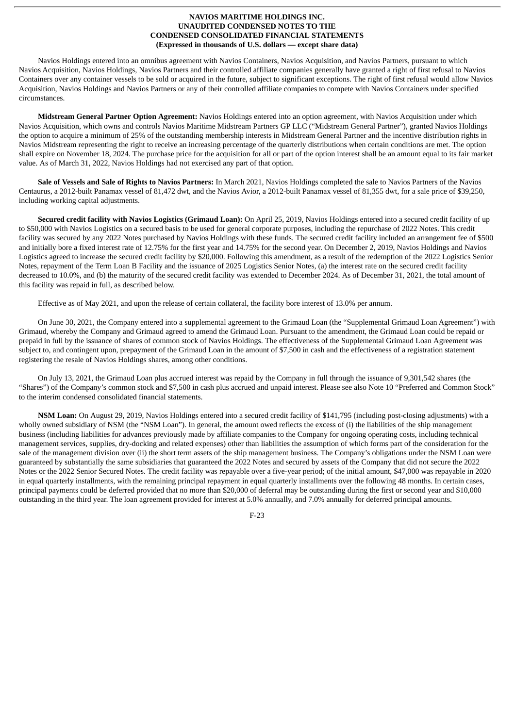Navios Holdings entered into an omnibus agreement with Navios Containers, Navios Acquisition, and Navios Partners, pursuant to which Navios Acquisition, Navios Holdings, Navios Partners and their controlled affiliate companies generally have granted a right of first refusal to Navios Containers over any container vessels to be sold or acquired in the future, subject to significant exceptions. The right of first refusal would allow Navios Acquisition, Navios Holdings and Navios Partners or any of their controlled affiliate companies to compete with Navios Containers under specified circumstances.

**Midstream General Partner Option Agreement:** Navios Holdings entered into an option agreement, with Navios Acquisition under which Navios Acquisition, which owns and controls Navios Maritime Midstream Partners GP LLC ("Midstream General Partner"), granted Navios Holdings the option to acquire a minimum of 25% of the outstanding membership interests in Midstream General Partner and the incentive distribution rights in Navios Midstream representing the right to receive an increasing percentage of the quarterly distributions when certain conditions are met. The option shall expire on November 18, 2024. The purchase price for the acquisition for all or part of the option interest shall be an amount equal to its fair market value. As of March 31, 2022, Navios Holdings had not exercised any part of that option.

**Sale of Vessels and Sale of Rights to Navios Partners:** In March 2021, Navios Holdings completed the sale to Navios Partners of the Navios Centaurus, a 2012-built Panamax vessel of 81,472 dwt, and the Navios Avior, a 2012-built Panamax vessel of 81,355 dwt, for a sale price of \$39,250, including working capital adjustments.

**Secured credit facility with Navios Logistics (Grimaud Loan):** On April 25, 2019, Navios Holdings entered into a secured credit facility of up to \$50,000 with Navios Logistics on a secured basis to be used for general corporate purposes, including the repurchase of 2022 Notes. This credit facility was secured by any 2022 Notes purchased by Navios Holdings with these funds. The secured credit facility included an arrangement fee of \$500 and initially bore a fixed interest rate of 12.75% for the first year and 14.75% for the second year. On December 2, 2019, Navios Holdings and Navios Logistics agreed to increase the secured credit facility by \$20,000. Following this amendment, as a result of the redemption of the 2022 Logistics Senior Notes, repayment of the Term Loan B Facility and the issuance of 2025 Logistics Senior Notes, (a) the interest rate on the secured credit facility decreased to 10.0%, and (b) the maturity of the secured credit facility was extended to December 2024. As of December 31, 2021, the total amount of this facility was repaid in full, as described below.

Effective as of May 2021, and upon the release of certain collateral, the facility bore interest of 13.0% per annum.

On June 30, 2021, the Company entered into a supplemental agreement to the Grimaud Loan (the "Supplemental Grimaud Loan Agreement") with Grimaud, whereby the Company and Grimaud agreed to amend the Grimaud Loan. Pursuant to the amendment, the Grimaud Loan could be repaid or prepaid in full by the issuance of shares of common stock of Navios Holdings. The effectiveness of the Supplemental Grimaud Loan Agreement was subject to, and contingent upon, prepayment of the Grimaud Loan in the amount of \$7,500 in cash and the effectiveness of a registration statement registering the resale of Navios Holdings shares, among other conditions.

On July 13, 2021, the Grimaud Loan plus accrued interest was repaid by the Company in full through the issuance of 9,301,542 shares (the "Shares") of the Company's common stock and \$7,500 in cash plus accrued and unpaid interest. Please see also Note 10 "Preferred and Common Stock" to the interim condensed consolidated financial statements.

**NSM Loan:** On August 29, 2019, Navios Holdings entered into a secured credit facility of \$141,795 (including post-closing adjustments) with a wholly owned subsidiary of NSM (the "NSM Loan"). In general, the amount owed reflects the excess of (i) the liabilities of the ship management business (including liabilities for advances previously made by affiliate companies to the Company for ongoing operating costs, including technical management services, supplies, dry-docking and related expenses) other than liabilities the assumption of which forms part of the consideration for the sale of the management division over (ii) the short term assets of the ship management business. The Company's obligations under the NSM Loan were guaranteed by substantially the same subsidiaries that guaranteed the 2022 Notes and secured by assets of the Company that did not secure the 2022 Notes or the 2022 Senior Secured Notes. The credit facility was repayable over a five-year period; of the initial amount, \$47,000 was repayable in 2020 in equal quarterly installments, with the remaining principal repayment in equal quarterly installments over the following 48 months. In certain cases, principal payments could be deferred provided that no more than \$20,000 of deferral may be outstanding during the first or second year and \$10,000 outstanding in the third year. The loan agreement provided for interest at 5.0% annually, and 7.0% annually for deferred principal amounts.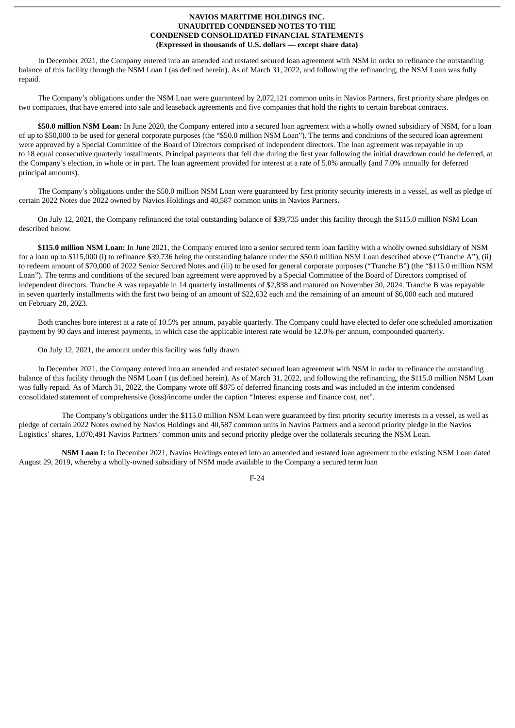In December 2021, the Company entered into an amended and restated secured loan agreement with NSM in order to refinance the outstanding balance of this facility through the NSM Loan I (as defined herein). As of March 31, 2022, and following the refinancing, the NSM Loan was fully repaid.

The Company's obligations under the NSM Loan were guaranteed by 2,072,121 common units in Navios Partners, first priority share pledges on two companies, that have entered into sale and leaseback agreements and five companies that hold the rights to certain bareboat contracts.

**\$50.0 million NSM Loan:** In June 2020, the Company entered into a secured loan agreement with a wholly owned subsidiary of NSM, for a loan of up to \$50,000 to be used for general corporate purposes (the "\$50.0 million NSM Loan"). The terms and conditions of the secured loan agreement were approved by a Special Committee of the Board of Directors comprised of independent directors. The loan agreement was repayable in up to 18 equal consecutive quarterly installments. Principal payments that fell due during the first year following the initial drawdown could be deferred, at the Company's election, in whole or in part. The loan agreement provided for interest at a rate of 5.0% annually (and 7.0% annually for deferred principal amounts).

The Company's obligations under the \$50.0 million NSM Loan were guaranteed by first priority security interests in a vessel, as well as pledge of certain 2022 Notes due 2022 owned by Navios Holdings and 40,587 common units in Navios Partners.

On July 12, 2021, the Company refinanced the total outstanding balance of \$39,735 under this facility through the \$115.0 million NSM Loan described below.

**\$115.0 million NSM Loan:** In June 2021, the Company entered into a senior secured term loan facility with a wholly owned subsidiary of NSM for a loan up to \$115,000 (i) to refinance \$39,736 being the outstanding balance under the \$50.0 million NSM Loan described above ("Tranche A"), (ii) to redeem amount of \$70,000 of 2022 Senior Secured Notes and (iii) to be used for general corporate purposes ("Tranche B") (the "\$115.0 million NSM Loan"). The terms and conditions of the secured loan agreement were approved by a Special Committee of the Board of Directors comprised of independent directors. Tranche A was repayable in 14 quarterly installments of \$2,838 and matured on November 30, 2024. Tranche B was repayable in seven quarterly installments with the first two being of an amount of \$22,632 each and the remaining of an amount of \$6,000 each and matured on February 28, 2023.

Both tranches bore interest at a rate of 10.5% per annum, payable quarterly. The Company could have elected to defer one scheduled amortization payment by 90 days and interest payments, in which case the applicable interest rate would be 12.0% per annum, compounded quarterly.

On July 12, 2021, the amount under this facility was fully drawn.

In December 2021, the Company entered into an amended and restated secured loan agreement with NSM in order to refinance the outstanding balance of this facility through the NSM Loan I (as defined herein). As of March 31, 2022, and following the refinancing, the \$115.0 million NSM Loan was fully repaid. As of March 31, 2022, the Company wrote off \$875 of deferred financing costs and was included in the interim condensed consolidated statement of comprehensive (loss)/income under the caption "Interest expense and finance cost, net".

The Company's obligations under the \$115.0 million NSM Loan were guaranteed by first priority security interests in a vessel, as well as pledge of certain 2022 Notes owned by Navios Holdings and 40,587 common units in Navios Partners and a second priority pledge in the Navios Logistics' shares, 1,070,491 Navios Partners' common units and second priority pledge over the collaterals securing the NSM Loan.

**NSM Loan I:** In December 2021, Navios Holdings entered into an amended and restated loan agreement to the existing NSM Loan dated August 29, 2019, whereby a wholly-owned subsidiary of NSM made available to the Company a secured term loan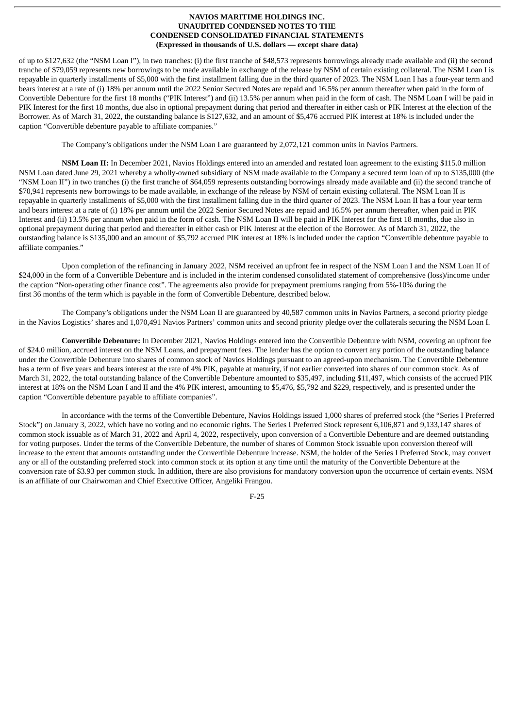of up to \$127,632 (the "NSM Loan I"), in two tranches: (i) the first tranche of \$48,573 represents borrowings already made available and (ii) the second tranche of \$79,059 represents new borrowings to be made available in exchange of the release by NSM of certain existing collateral. The NSM Loan I is repayable in quarterly installments of \$5,000 with the first installment falling due in the third quarter of 2023. The NSM Loan I has a four-year term and bears interest at a rate of (i) 18% per annum until the 2022 Senior Secured Notes are repaid and 16.5% per annum thereafter when paid in the form of Convertible Debenture for the first 18 months ("PIK Interest") and (ii) 13.5% per annum when paid in the form of cash. The NSM Loan I will be paid in PIK Interest for the first 18 months, due also in optional prepayment during that period and thereafter in either cash or PIK Interest at the election of the Borrower. As of March 31, 2022, the outstanding balance is \$127,632, and an amount of \$5,476 accrued PIK interest at 18% is included under the caption "Convertible debenture payable to affiliate companies."

The Company's obligations under the NSM Loan I are guaranteed by 2,072,121 common units in Navios Partners.

**NSM Loan II:** In December 2021, Navios Holdings entered into an amended and restated loan agreement to the existing \$115.0 million NSM Loan dated June 29, 2021 whereby a wholly-owned subsidiary of NSM made available to the Company a secured term loan of up to \$135,000 (the "NSM Loan II") in two tranches (i) the first tranche of \$64,059 represents outstanding borrowings already made available and (ii) the second tranche of \$70,941 represents new borrowings to be made available, in exchange of the release by NSM of certain existing collateral. The NSM Loan II is repayable in quarterly installments of \$5,000 with the first installment falling due in the third quarter of 2023. The NSM Loan II has a four year term and bears interest at a rate of (i) 18% per annum until the 2022 Senior Secured Notes are repaid and 16.5% per annum thereafter, when paid in PIK Interest and (ii) 13.5% per annum when paid in the form of cash. The NSM Loan II will be paid in PIK Interest for the first 18 months, due also in optional prepayment during that period and thereafter in either cash or PIK Interest at the election of the Borrower. As of March 31, 2022, the outstanding balance is \$135,000 and an amount of \$5,792 accrued PIK interest at 18% is included under the caption "Convertible debenture payable to affiliate companies."

Upon completion of the refinancing in January 2022, NSM received an upfront fee in respect of the NSM Loan I and the NSM Loan II of \$24,000 in the form of a Convertible Debenture and is included in the interim condensed consolidated statement of comprehensive (loss)/income under the caption "Non-operating other finance cost". The agreements also provide for prepayment premiums ranging from 5%-10% during the first 36 months of the term which is payable in the form of Convertible Debenture, described below.

The Company's obligations under the NSM Loan II are guaranteed by 40,587 common units in Navios Partners, a second priority pledge in the Navios Logistics' shares and 1,070,491 Navios Partners' common units and second priority pledge over the collaterals securing the NSM Loan I.

**Convertible Debenture:** In December 2021, Navios Holdings entered into the Convertible Debenture with NSM, covering an upfront fee of \$24.0 million, accrued interest on the NSM Loans, and prepayment fees. The lender has the option to convert any portion of the outstanding balance under the Convertible Debenture into shares of common stock of Navios Holdings pursuant to an agreed-upon mechanism. The Convertible Debenture has a term of five years and bears interest at the rate of 4% PIK, payable at maturity, if not earlier converted into shares of our common stock. As of March 31, 2022, the total outstanding balance of the Convertible Debenture amounted to \$35,497, including \$11,497, which consists of the accrued PIK interest at 18% on the NSM Loan I and II and the 4% PIK interest, amounting to \$5,476, \$5,792 and \$229, respectively, and is presented under the caption "Convertible debenture payable to affiliate companies".

In accordance with the terms of the Convertible Debenture, Navios Holdings issued 1,000 shares of preferred stock (the "Series I Preferred Stock") on January 3, 2022, which have no voting and no economic rights. The Series I Preferred Stock represent 6,106,871 and 9,133,147 shares of common stock issuable as of March 31, 2022 and April 4, 2022, respectively, upon conversion of a Convertible Debenture and are deemed outstanding for voting purposes. Under the terms of the Convertible Debenture, the number of shares of Common Stock issuable upon conversion thereof will increase to the extent that amounts outstanding under the Convertible Debenture increase. NSM, the holder of the Series I Preferred Stock, may convert any or all of the outstanding preferred stock into common stock at its option at any time until the maturity of the Convertible Debenture at the conversion rate of \$3.93 per common stock. In addition, there are also provisions for mandatory conversion upon the occurrence of certain events. NSM is an affiliate of our Chairwoman and Chief Executive Officer, Angeliki Frangou.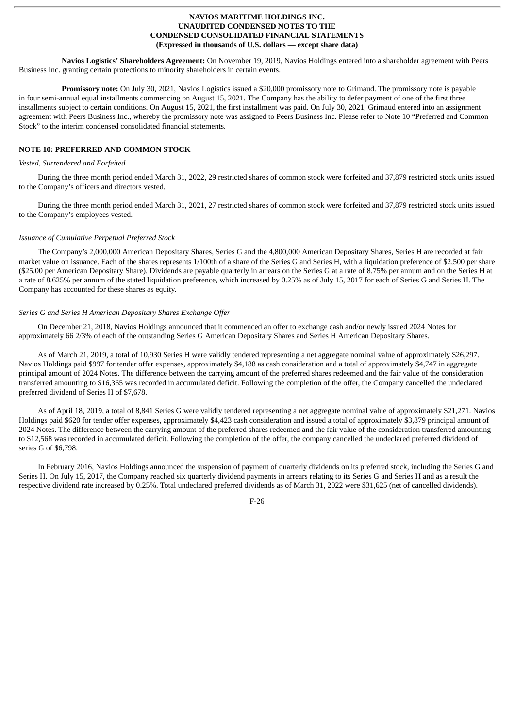**Navios Logistics' Shareholders Agreement:** On November 19, 2019, Navios Holdings entered into a shareholder agreement with Peers Business Inc. granting certain protections to minority shareholders in certain events.

**Promissory note:** On July 30, 2021, Navios Logistics issued a \$20,000 promissory note to Grimaud. The promissory note is payable in four semi-annual equal installments commencing on August 15, 2021. The Company has the ability to defer payment of one of the first three installments subject to certain conditions. On August 15, 2021, the first installment was paid. On July 30, 2021, Grimaud entered into an assignment agreement with Peers Business Inc., whereby the promissory note was assigned to Peers Business Inc. Please refer to Note 10 "Preferred and Common Stock" to the interim condensed consolidated financial statements.

# **NOTE 10: PREFERRED AND COMMON STOCK**

#### *Vested, Surrendered and Forfeited*

During the three month period ended March 31, 2022, 29 restricted shares of common stock were forfeited and 37,879 restricted stock units issued to the Company's officers and directors vested.

During the three month period ended March 31, 2021, 27 restricted shares of common stock were forfeited and 37,879 restricted stock units issued to the Company's employees vested.

#### *Issuance of Cumulative Perpetual Preferred Stock*

The Company's 2,000,000 American Depositary Shares, Series G and the 4,800,000 American Depositary Shares, Series H are recorded at fair market value on issuance. Each of the shares represents 1/100th of a share of the Series G and Series H, with a liquidation preference of \$2,500 per share (\$25.00 per American Depositary Share). Dividends are payable quarterly in arrears on the Series G at a rate of 8.75% per annum and on the Series H at a rate of 8.625% per annum of the stated liquidation preference, which increased by 0.25% as of July 15, 2017 for each of Series G and Series H. The Company has accounted for these shares as equity.

#### *Series G and Series H American Depositary Shares Exchange Offer*

On December 21, 2018, Navios Holdings announced that it commenced an offer to exchange cash and/or newly issued 2024 Notes for approximately 66 2/3% of each of the outstanding Series G American Depositary Shares and Series H American Depositary Shares.

As of March 21, 2019, a total of 10,930 Series H were validly tendered representing a net aggregate nominal value of approximately \$26,297. Navios Holdings paid \$997 for tender offer expenses, approximately \$4,188 as cash consideration and a total of approximately \$4,747 in aggregate principal amount of 2024 Notes. The difference between the carrying amount of the preferred shares redeemed and the fair value of the consideration transferred amounting to \$16,365 was recorded in accumulated deficit. Following the completion of the offer, the Company cancelled the undeclared preferred dividend of Series H of \$7,678.

As of April 18, 2019, a total of 8,841 Series G were validly tendered representing a net aggregate nominal value of approximately \$21,271. Navios Holdings paid \$620 for tender offer expenses, approximately \$4,423 cash consideration and issued a total of approximately \$3,879 principal amount of 2024 Notes. The difference between the carrying amount of the preferred shares redeemed and the fair value of the consideration transferred amounting to \$12,568 was recorded in accumulated deficit. Following the completion of the offer, the company cancelled the undeclared preferred dividend of series G of \$6,798.

In February 2016, Navios Holdings announced the suspension of payment of quarterly dividends on its preferred stock, including the Series G and Series H. On July 15, 2017, the Company reached six quarterly dividend payments in arrears relating to its Series G and Series H and as a result the respective dividend rate increased by 0.25%. Total undeclared preferred dividends as of March 31, 2022 were \$31,625 (net of cancelled dividends).

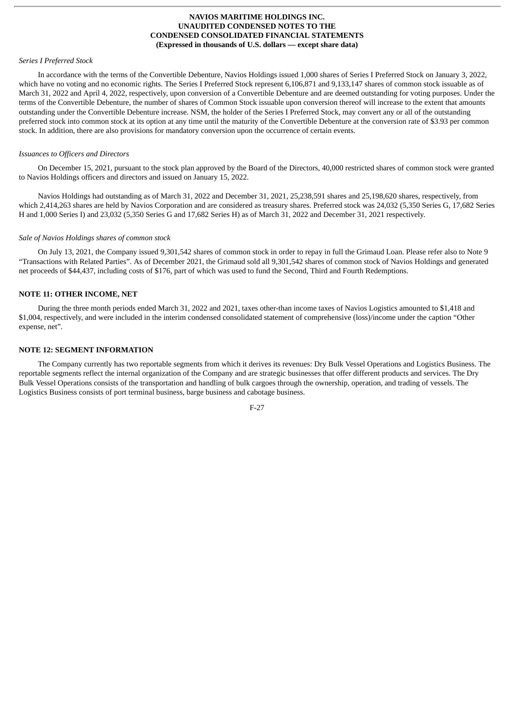### *Series I Preferred Stock*

In accordance with the terms of the Convertible Debenture, Navios Holdings issued 1,000 shares of Series I Preferred Stock on January 3, 2022, which have no voting and no economic rights. The Series I Preferred Stock represent 6,106,871 and 9,133,147 shares of common stock issuable as of March 31, 2022 and April 4, 2022, respectively, upon conversion of a Convertible Debenture and are deemed outstanding for voting purposes. Under the terms of the Convertible Debenture, the number of shares of Common Stock issuable upon conversion thereof will increase to the extent that amounts outstanding under the Convertible Debenture increase. NSM, the holder of the Series I Preferred Stock, may convert any or all of the outstanding preferred stock into common stock at its option at any time until the maturity of the Convertible Debenture at the conversion rate of \$3.93 per common stock. In addition, there are also provisions for mandatory conversion upon the occurrence of certain events.

#### *Issuances to Officers and Directors*

On December 15, 2021, pursuant to the stock plan approved by the Board of the Directors, 40,000 restricted shares of common stock were granted to Navios Holdings officers and directors and issued on January 15, 2022.

Navios Holdings had outstanding as of March 31, 2022 and December 31, 2021, 25,238,591 shares and 25,198,620 shares, respectively, from which 2,414,263 shares are held by Navios Corporation and are considered as treasury shares. Preferred stock was 24,032 (5,350 Series G, 17,682 Series H and 1,000 Series I) and 23,032 (5,350 Series G and 17,682 Series H) as of March 31, 2022 and December 31, 2021 respectively.

#### *Sale of Navios Holdings shares of common stock*

On July 13, 2021, the Company issued 9,301,542 shares of common stock in order to repay in full the Grimaud Loan. Please refer also to Note 9 "Transactions with Related Parties". As of December 2021, the Grimaud sold all 9,301,542 shares of common stock of Navios Holdings and generated net proceeds of \$44,437, including costs of \$176, part of which was used to fund the Second, Third and Fourth Redemptions.

#### **NOTE 11: OTHER INCOME, NET**

During the three month periods ended March 31, 2022 and 2021, taxes other-than income taxes of Navios Logistics amounted to \$1,418 and \$1,004, respectively, and were included in the interim condensed consolidated statement of comprehensive (loss)/income under the caption "Other expense, net".

#### **NOTE 12: SEGMENT INFORMATION**

The Company currently has two reportable segments from which it derives its revenues: Dry Bulk Vessel Operations and Logistics Business. The reportable segments reflect the internal organization of the Company and are strategic businesses that offer different products and services. The Dry Bulk Vessel Operations consists of the transportation and handling of bulk cargoes through the ownership, operation, and trading of vessels. The Logistics Business consists of port terminal business, barge business and cabotage business.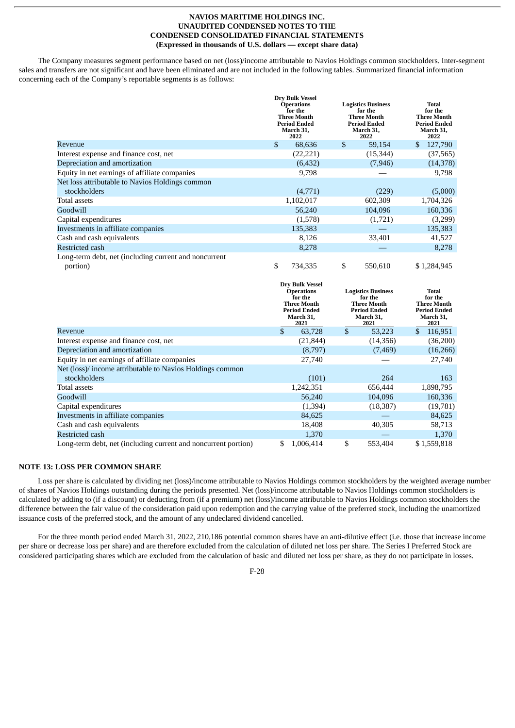The Company measures segment performance based on net (loss)/income attributable to Navios Holdings common stockholders. Inter-segment sales and transfers are not significant and have been eliminated and are not included in the following tables. Summarized financial information concerning each of the Company's reportable segments is as follows:

|                                                                   |              | <b>Dry Bulk Vessel</b><br><b>Operations</b><br>for the<br><b>Three Month</b><br><b>Period Ended</b><br>March 31,<br>2022 |    | <b>Logistics Business</b><br>for the<br><b>Three Month</b><br><b>Period Ended</b><br>March 31,<br>2022 | <b>Total</b><br>for the<br><b>Three Month</b><br><b>Period Ended</b><br>March 31,<br>2022 |
|-------------------------------------------------------------------|--------------|--------------------------------------------------------------------------------------------------------------------------|----|--------------------------------------------------------------------------------------------------------|-------------------------------------------------------------------------------------------|
| Revenue                                                           | $\mathbb{S}$ | 68,636                                                                                                                   | \$ | 59,154                                                                                                 | \$<br>127,790                                                                             |
| Interest expense and finance cost, net                            |              | (22, 221)                                                                                                                |    | (15, 344)                                                                                              | (37, 565)                                                                                 |
| Depreciation and amortization                                     |              | (6, 432)                                                                                                                 |    | (7, 946)                                                                                               | (14, 378)                                                                                 |
| Equity in net earnings of affiliate companies                     |              | 9,798                                                                                                                    |    |                                                                                                        | 9,798                                                                                     |
| Net loss attributable to Navios Holdings common                   |              |                                                                                                                          |    |                                                                                                        |                                                                                           |
| stockholders                                                      |              | (4,771)                                                                                                                  |    | (229)                                                                                                  | (5,000)                                                                                   |
| <b>Total assets</b>                                               |              | 1,102,017                                                                                                                |    | 602,309                                                                                                | 1,704,326                                                                                 |
| Goodwill                                                          |              | 56,240                                                                                                                   |    | 104,096                                                                                                | 160,336                                                                                   |
| Capital expenditures                                              |              | (1,578)                                                                                                                  |    | (1,721)                                                                                                | (3,299)                                                                                   |
| Investments in affiliate companies                                |              | 135,383                                                                                                                  |    |                                                                                                        | 135,383                                                                                   |
| Cash and cash equivalents                                         |              | 8,126                                                                                                                    |    | 33,401                                                                                                 | 41,527                                                                                    |
| <b>Restricted cash</b>                                            |              | 8,278                                                                                                                    |    |                                                                                                        | 8,278                                                                                     |
| Long-term debt, net (including current and noncurrent<br>portion) | \$           | 734,335                                                                                                                  | \$ | 550,610                                                                                                | \$1,284,945                                                                               |
|                                                                   |              | <b>Dry Bulk Vessel</b><br><b>Operations</b><br>for the<br><b>Three Month</b><br><b>Period Ended</b><br>March 31,<br>2021 |    | <b>Logistics Business</b><br>for the<br><b>Three Month</b><br><b>Period Ended</b><br>March 31,<br>2021 | <b>Total</b><br>for the<br><b>Three Month</b><br><b>Period Ended</b><br>March 31,<br>2021 |
| Revenue                                                           | $\mathbb{S}$ | 63,728                                                                                                                   | \$ | 53,223                                                                                                 | \$<br>116,951                                                                             |
| Interest expense and finance cost, net                            |              | (21, 844)                                                                                                                |    | (14,356)                                                                                               | (36,200)                                                                                  |
| Depreciation and amortization                                     |              | (8,797)                                                                                                                  |    | (7, 469)                                                                                               | (16, 266)                                                                                 |
| Equity in net earnings of affiliate companies                     |              | 27,740                                                                                                                   |    |                                                                                                        | 27,740                                                                                    |

| Equity in net earnings of affiliate companies                  | 27,740         |               | 27,740      |
|----------------------------------------------------------------|----------------|---------------|-------------|
| Net (loss)/ income attributable to Navios Holdings common      |                |               |             |
| stockholders                                                   | (101)          | 264           | 163         |
| Total assets                                                   | 1,242,351      | 656,444       | 1,898,795   |
| Goodwill                                                       | 56,240         | 104,096       | 160,336     |
| Capital expenditures                                           | (1,394)        | (18, 387)     | (19,781)    |
| Investments in affiliate companies                             | 84,625         |               | 84,625      |
| Cash and cash equivalents                                      | 18.408         | 40,305        | 58.713      |
| Restricted cash                                                | 1,370          |               | 1,370       |
| Long-term debt, net (including current and noncurrent portion) | S<br>1.006.414 | \$<br>553,404 | \$1,559,818 |

#### **NOTE 13: LOSS PER COMMON SHARE**

Loss per share is calculated by dividing net (loss)/income attributable to Navios Holdings common stockholders by the weighted average number of shares of Navios Holdings outstanding during the periods presented. Net (loss)/income attributable to Navios Holdings common stockholders is calculated by adding to (if a discount) or deducting from (if a premium) net (loss)/income attributable to Navios Holdings common stockholders the difference between the fair value of the consideration paid upon redemption and the carrying value of the preferred stock, including the unamortized issuance costs of the preferred stock, and the amount of any undeclared dividend cancelled.

For the three month period ended March 31, 2022, 210,186 potential common shares have an anti-dilutive effect (i.e. those that increase income per share or decrease loss per share) and are therefore excluded from the calculation of diluted net loss per share. The Series I Preferred Stock are considered participating shares which are excluded from the calculation of basic and diluted net loss per share, as they do not participate in losses.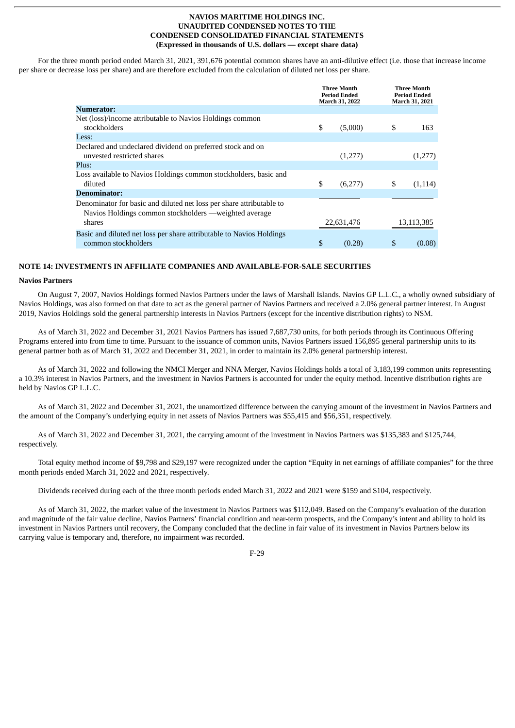For the three month period ended March 31, 2021, 391,676 potential common shares have an anti-dilutive effect (i.e. those that increase income per share or decrease loss per share) and are therefore excluded from the calculation of diluted net loss per share.

|                                                                                                                                          |    | <b>Three Month</b><br><b>Period Ended</b><br>March 31, 2022 |    | <b>Three Month</b><br><b>Period Ended</b><br>March 31, 2021 |
|------------------------------------------------------------------------------------------------------------------------------------------|----|-------------------------------------------------------------|----|-------------------------------------------------------------|
| <b>Numerator:</b>                                                                                                                        |    |                                                             |    |                                                             |
| Net (loss)/income attributable to Navios Holdings common<br>stockholders                                                                 | \$ | (5,000)                                                     | \$ | 163.                                                        |
| Less:                                                                                                                                    |    |                                                             |    |                                                             |
| Declared and undeclared dividend on preferred stock and on<br>unvested restricted shares                                                 |    | (1,277)                                                     |    | (1,277)                                                     |
| Plus:                                                                                                                                    |    |                                                             |    |                                                             |
| Loss available to Navios Holdings common stockholders, basic and<br>diluted                                                              | \$ | (6,277)                                                     | S  | (1,114)                                                     |
| <b>Denominator:</b>                                                                                                                      |    |                                                             |    |                                                             |
| Denominator for basic and diluted net loss per share attributable to<br>Navios Holdings common stockholders — weighted average<br>shares |    | 22,631,476                                                  |    | 13,113,385                                                  |
| Basic and diluted net loss per share attributable to Navios Holdings<br>common stockholders                                              | \$ | (0.28)                                                      | \$ | (0.08)                                                      |

#### **NOTE 14: INVESTMENTS IN AFFILIATE COMPANIES AND AVAILABLE-FOR-SALE SECURITIES**

#### **Navios Partners**

On August 7, 2007, Navios Holdings formed Navios Partners under the laws of Marshall Islands. Navios GP L.L.C., a wholly owned subsidiary of Navios Holdings, was also formed on that date to act as the general partner of Navios Partners and received a 2.0% general partner interest. In August 2019, Navios Holdings sold the general partnership interests in Navios Partners (except for the incentive distribution rights) to NSM.

As of March 31, 2022 and December 31, 2021 Navios Partners has issued 7,687,730 units, for both periods through its Continuous Offering Programs entered into from time to time. Pursuant to the issuance of common units, Navios Partners issued 156,895 general partnership units to its general partner both as of March 31, 2022 and December 31, 2021, in order to maintain its 2.0% general partnership interest.

As of March 31, 2022 and following the NMCI Merger and NNA Merger, Navios Holdings holds a total of 3,183,199 common units representing a 10.3% interest in Navios Partners, and the investment in Navios Partners is accounted for under the equity method. Incentive distribution rights are held by Navios GP L.L.C.

As of March 31, 2022 and December 31, 2021, the unamortized difference between the carrying amount of the investment in Navios Partners and the amount of the Company's underlying equity in net assets of Navios Partners was \$55,415 and \$56,351, respectively.

As of March 31, 2022 and December 31, 2021, the carrying amount of the investment in Navios Partners was \$135,383 and \$125,744, respectively.

Total equity method income of \$9,798 and \$29,197 were recognized under the caption "Equity in net earnings of affiliate companies" for the three month periods ended March 31, 2022 and 2021, respectively.

Dividends received during each of the three month periods ended March 31, 2022 and 2021 were \$159 and \$104, respectively.

As of March 31, 2022, the market value of the investment in Navios Partners was \$112,049. Based on the Company's evaluation of the duration and magnitude of the fair value decline, Navios Partners' financial condition and near-term prospects, and the Company's intent and ability to hold its investment in Navios Partners until recovery, the Company concluded that the decline in fair value of its investment in Navios Partners below its carrying value is temporary and, therefore, no impairment was recorded.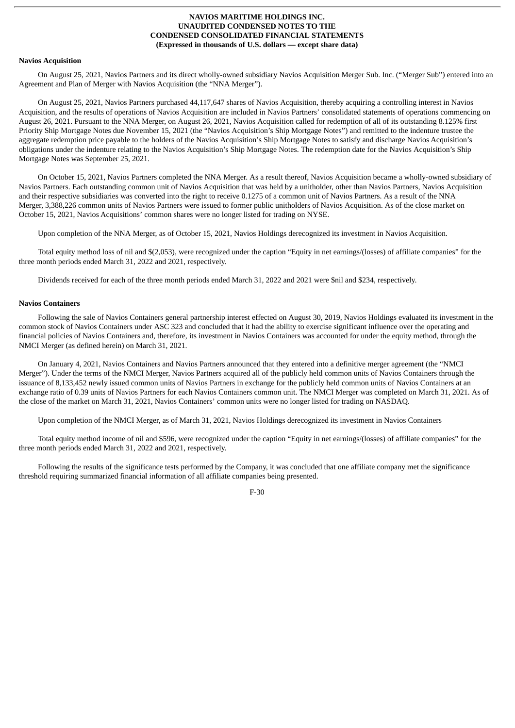# **Navios Acquisition**

On August 25, 2021, Navios Partners and its direct wholly-owned subsidiary Navios Acquisition Merger Sub. Inc. ("Merger Sub") entered into an Agreement and Plan of Merger with Navios Acquisition (the "NNA Merger").

On August 25, 2021, Navios Partners purchased 44,117,647 shares of Navios Acquisition, thereby acquiring a controlling interest in Navios Acquisition, and the results of operations of Navios Acquisition are included in Navios Partners' consolidated statements of operations commencing on August 26, 2021. Pursuant to the NNA Merger, on August 26, 2021, Navios Acquisition called for redemption of all of its outstanding 8.125% first Priority Ship Mortgage Notes due November 15, 2021 (the "Navios Acquisition's Ship Mortgage Notes") and remitted to the indenture trustee the aggregate redemption price payable to the holders of the Navios Acquisition's Ship Mortgage Notes to satisfy and discharge Navios Acquisition's obligations under the indenture relating to the Navios Acquisition's Ship Mortgage Notes. The redemption date for the Navios Acquisition's Ship Mortgage Notes was September 25, 2021.

On October 15, 2021, Navios Partners completed the NNA Merger. As a result thereof, Navios Acquisition became a wholly-owned subsidiary of Navios Partners. Each outstanding common unit of Navios Acquisition that was held by a unitholder, other than Navios Partners, Navios Acquisition and their respective subsidiaries was converted into the right to receive 0.1275 of a common unit of Navios Partners. As a result of the NNA Merger, 3,388,226 common units of Navios Partners were issued to former public unitholders of Navios Acquisition. As of the close market on October 15, 2021, Navios Acquisitions' common shares were no longer listed for trading on NYSE.

Upon completion of the NNA Merger, as of October 15, 2021, Navios Holdings derecognized its investment in Navios Acquisition.

Total equity method loss of nil and \$(2,053), were recognized under the caption "Equity in net earnings/(losses) of affiliate companies" for the three month periods ended March 31, 2022 and 2021, respectively.

Dividends received for each of the three month periods ended March 31, 2022 and 2021 were \$nil and \$234, respectively.

# **Navios Containers**

Following the sale of Navios Containers general partnership interest effected on August 30, 2019, Navios Holdings evaluated its investment in the common stock of Navios Containers under ASC 323 and concluded that it had the ability to exercise significant influence over the operating and financial policies of Navios Containers and, therefore, its investment in Navios Containers was accounted for under the equity method, through the NMCI Merger (as defined herein) on March 31, 2021.

On January 4, 2021, Navios Containers and Navios Partners announced that they entered into a definitive merger agreement (the "NMCI Merger"). Under the terms of the NMCI Merger, Navios Partners acquired all of the publicly held common units of Navios Containers through the issuance of 8,133,452 newly issued common units of Navios Partners in exchange for the publicly held common units of Navios Containers at an exchange ratio of 0.39 units of Navios Partners for each Navios Containers common unit. The NMCI Merger was completed on March 31, 2021. As of the close of the market on March 31, 2021, Navios Containers' common units were no longer listed for trading on NASDAQ.

Upon completion of the NMCI Merger, as of March 31, 2021, Navios Holdings derecognized its investment in Navios Containers

Total equity method income of nil and \$596, were recognized under the caption "Equity in net earnings/(losses) of affiliate companies" for the three month periods ended March 31, 2022 and 2021, respectively.

Following the results of the significance tests performed by the Company, it was concluded that one affiliate company met the significance threshold requiring summarized financial information of all affiliate companies being presented.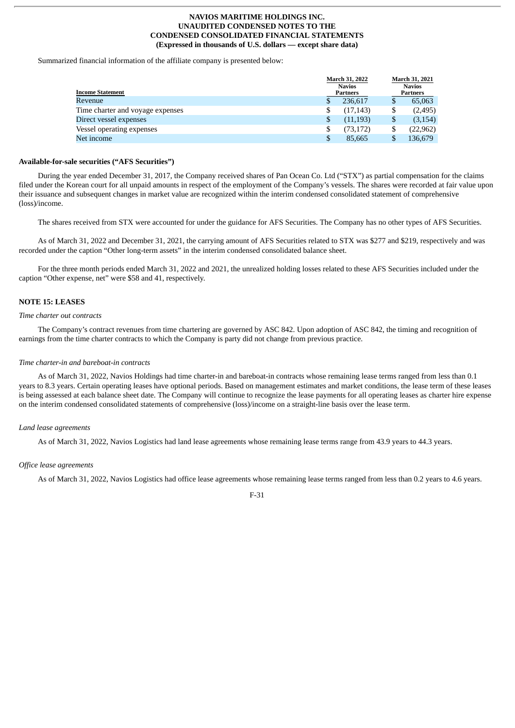Summarized financial information of the affiliate company is presented below:

| <b>Income Statement</b>          | March 31, 2022<br><b>Navios</b><br>Partners | March 31, 2021<br><b>Navios</b><br>Partners |
|----------------------------------|---------------------------------------------|---------------------------------------------|
| Revenue                          | \$<br>236.617                               | \$<br>65,063                                |
| Time charter and voyage expenses | \$<br>(17, 143)                             | \$<br>(2, 495)                              |
| Direct vessel expenses           | \$<br>(11, 193)                             | \$<br>(3, 154)                              |
| Vessel operating expenses        | \$<br>(73, 172)                             | \$<br>(22, 962)                             |
| Net income                       | \$<br>85,665                                | \$<br>136,679                               |

#### **Available-for-sale securities ("AFS Securities")**

During the year ended December 31, 2017, the Company received shares of Pan Ocean Co. Ltd ("STX") as partial compensation for the claims filed under the Korean court for all unpaid amounts in respect of the employment of the Company's vessels. The shares were recorded at fair value upon their issuance and subsequent changes in market value are recognized within the interim condensed consolidated statement of comprehensive (loss)/income.

The shares received from STX were accounted for under the guidance for AFS Securities. The Company has no other types of AFS Securities.

As of March 31, 2022 and December 31, 2021, the carrying amount of AFS Securities related to STX was \$277 and \$219, respectively and was recorded under the caption "Other long-term assets" in the interim condensed consolidated balance sheet.

For the three month periods ended March 31, 2022 and 2021, the unrealized holding losses related to these AFS Securities included under the caption "Other expense, net" were \$58 and 41, respectively.

# **NOTE 15: LEASES**

#### *Time charter out contracts*

The Company's contract revenues from time chartering are governed by ASC 842. Upon adoption of ASC 842, the timing and recognition of earnings from the time charter contracts to which the Company is party did not change from previous practice.

#### *Time charter-in and bareboat-in contracts*

As of March 31, 2022, Navios Holdings had time charter-in and bareboat-in contracts whose remaining lease terms ranged from less than 0.1 years to 8.3 years. Certain operating leases have optional periods. Based on management estimates and market conditions, the lease term of these leases is being assessed at each balance sheet date. The Company will continue to recognize the lease payments for all operating leases as charter hire expense on the interim condensed consolidated statements of comprehensive (loss)/income on a straight-line basis over the lease term.

#### *Land lease agreements*

As of March 31, 2022, Navios Logistics had land lease agreements whose remaining lease terms range from 43.9 years to 44.3 years.

#### *Office lease agreements*

As of March 31, 2022, Navios Logistics had office lease agreements whose remaining lease terms ranged from less than 0.2 years to 4.6 years.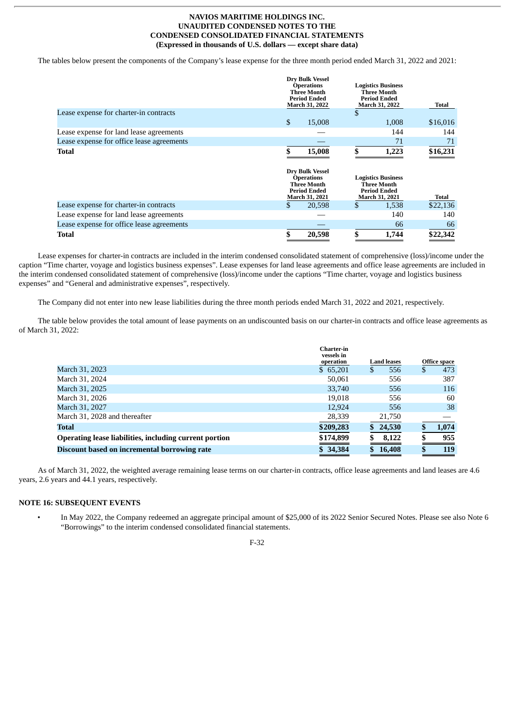The tables below present the components of the Company's lease expense for the three month period ended March 31, 2022 and 2021:

|                                           | <b>Dry Bulk Vessel</b><br><b>Operations</b><br><b>Three Month</b><br><b>Period Ended</b><br>March 31, 2022 | <b>Logistics Business</b><br><b>Three Month</b><br><b>Period Ended</b><br><b>March 31, 2022</b> | Total      |
|-------------------------------------------|------------------------------------------------------------------------------------------------------------|-------------------------------------------------------------------------------------------------|------------|
| Lease expense for charter-in contracts    |                                                                                                            | \$                                                                                              |            |
|                                           | \$<br>15,008                                                                                               | 1,008                                                                                           | \$16,016   |
| Lease expense for land lease agreements   |                                                                                                            |                                                                                                 | 144<br>144 |
| Lease expense for office lease agreements |                                                                                                            |                                                                                                 | 71<br>71   |
| Total                                     | 15,008                                                                                                     | 1,223                                                                                           | \$16,231   |
|                                           | <b>Dry Bulk Vessel</b><br><b>Operations</b><br><b>Three Month</b><br><b>Period Ended</b><br>March 31, 2021 | <b>Logistics Business</b><br><b>Three Month</b><br><b>Period Ended</b><br>March 31, 2021        | Total      |
| Lease expense for charter-in contracts    | \$<br>20,598                                                                                               | \$<br>1,538                                                                                     | \$22,136   |
| Lease expense for land lease agreements   |                                                                                                            |                                                                                                 | 140<br>140 |
| Lease expense for office lease agreements |                                                                                                            |                                                                                                 | 66<br>66   |
| Total                                     | 20,598                                                                                                     | \$<br>1,744                                                                                     | \$22,342   |

Lease expenses for charter-in contracts are included in the interim condensed consolidated statement of comprehensive (loss)/income under the caption "Time charter, voyage and logistics business expenses". Lease expenses for land lease agreements and office lease agreements are included in the interim condensed consolidated statement of comprehensive (loss)/income under the captions "Time charter, voyage and logistics business expenses" and "General and administrative expenses", respectively.

The Company did not enter into new lease liabilities during the three month periods ended March 31, 2022 and 2021, respectively.

The table below provides the total amount of lease payments on an undiscounted basis on our charter-in contracts and office lease agreements as of March 31, 2022:

|                                                        | <b>Charter-in</b><br>vessels in |                    |    |              |
|--------------------------------------------------------|---------------------------------|--------------------|----|--------------|
|                                                        | operation                       | <b>Land leases</b> |    | Office space |
| March 31, 2023                                         | \$65,201                        | 556<br>S           | \$ | 473          |
| March 31, 2024                                         | 50,061                          | 556                |    | 387          |
| March 31, 2025                                         | 33,740                          | 556                |    | 116          |
| March 31, 2026                                         | 19.018                          | 556                |    | 60           |
| March 31, 2027                                         | 12,924                          | 556                |    | 38           |
| March 31, 2028 and thereafter                          | 28,339                          | 21,750             |    |              |
| Total                                                  | \$209,283                       | 24,530<br>\$.      | S  | 1,074        |
| Operating lease liabilities, including current portion | \$174,899                       | 8,122              |    | 955          |
| Discount based on incremental borrowing rate           | \$34,384                        | 16,408             |    | 119          |

As of March 31, 2022, the weighted average remaining lease terms on our charter-in contracts, office lease agreements and land leases are 4.6 years, 2.6 years and 44.1 years, respectively.

# **NOTE 16: SUBSEQUENT EVENTS**

• In May 2022, the Company redeemed an aggregate principal amount of \$25,000 of its 2022 Senior Secured Notes. Please see also Note 6 "Borrowings" to the interim condensed consolidated financial statements.